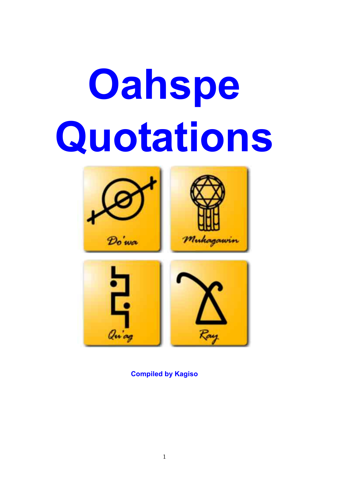# **Oahspe Quotations**



**Compiled by Kagiso**

Ray

arias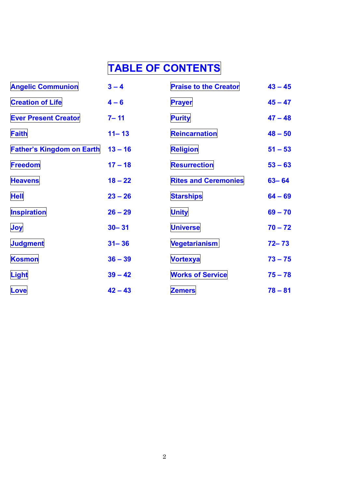# **TABLE OF CONTENTS**

| <b>Angelic Communion</b>         | $3 - 4$   | <b>Praise to the Creator</b> | $43 - 45$ |
|----------------------------------|-----------|------------------------------|-----------|
| <b>Creation of Life</b>          | $4 - 6$   | <b>Prayer</b>                | $45 - 47$ |
| <b>Ever Present Creator</b>      | $7 - 11$  | <b>Purity</b>                | $47 - 48$ |
| <b>Faith</b>                     | $11 - 13$ | Reincarnation                | $48 - 50$ |
| <b>Father's Kingdom on Earth</b> | $13 - 16$ | <b>Religion</b>              | $51 - 53$ |
| <b>Freedom</b>                   | $17 - 18$ | <b>Resurrection</b>          | $53 - 63$ |
| <b>Heavens</b>                   | $18 - 22$ | <b>Rites and Ceremonies</b>  | $63 - 64$ |
| <b>Hell</b>                      | $23 - 26$ | <b>Starships</b>             | $64 - 69$ |
| <b>Inspiration</b>               | $26 - 29$ | <b>Unity</b>                 | $69 - 70$ |
| Joy                              | $30 - 31$ | <b>Universe</b>              | $70 - 72$ |
| <b>Judgment</b>                  | $31 - 36$ | <b>Vegetarianism</b>         | $72 - 73$ |
| <b>Kosmon</b>                    | $36 - 39$ | <b>Vortexya</b>              | $73 - 75$ |
| Light                            | $39 - 42$ | <b>Works of Service</b>      | $75 - 78$ |
| Love                             | $42 - 43$ | <b>Zemers</b>                | $78 - 81$ |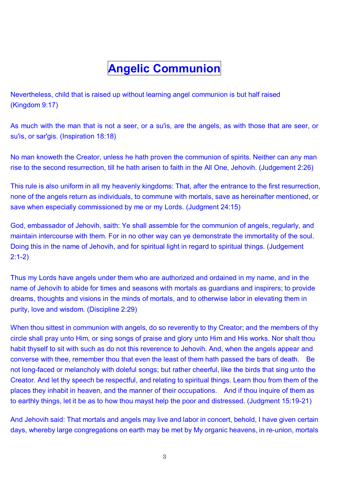# **Angelic Communion**

Nevertheless, child that is raised up without learning angel communion is but half raised (Kingdom 9:17)

As much with the man that is not a seer, or a su'is, are the angels, as with those that are seer, or su'is, or sar'gis. (Inspiration 18:18)

No man knoweth the Creator, unless he hath proven the communion of spirits. Neither can any man rise to the second resurrection, till he hath arisen to faith in the All One, Jehovih. (Judgement 2:26)

This rule is also uniform in all my heavenly kingdoms: That, after the entrance to the first resurrection, none of the angels return as individuals, to commune with mortals, save as hereinafter mentioned, or save when especially commissioned by me or my Lords. (Judgment 24:15)

God, embassador of Jehovih, saith: Ye shall assemble for the communion of angels, regularly, and maintain intercourse with them. For in no other way can ye demonstrate the immortality of the soul. Doing this in the name of Jehovih, and for spiritual light in regard to spiritual things. (Judgement 2:1-2)

Thus my Lords have angels under them who are authorized and ordained in my name, and in the name of Jehovih to abide for times and seasons with mortals as guardians and inspirers; to provide dreams, thoughts and visions in the minds of mortals, and to otherwise labor in elevating them in purity, love and wisdom. (Discipline 2:29)

When thou sittest in communion with angels, do so reverently to thy Creator; and the members of thy circle shall pray unto Him, or sing songs of praise and glory unto Him and His works. Nor shalt thou habit thyself to sit with such as do not this reverence to Jehovih. And, when the angels appear and converse with thee, remember thou that even the least of them hath passed the bars of death. Be not long-faced or melancholy with doleful songs; but rather cheerful, like the birds that sing unto the Creator. And let thy speech be respectful, and relating to spiritual things. Learn thou from them of the places they inhabit in heaven, and the manner of their occupations. And if thou inquire of them as to earthly things, let it be as to how thou mayst help the poor and distressed. (Judgment 15:19-21)

And Jehovih said: That mortals and angels may live and labor in concert, behold, I have given certain days, whereby large congregations on earth may be met by My organic heavens, in re-union, mortals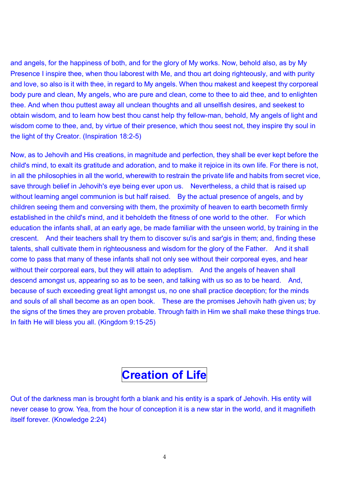and angels, for the happiness of both, and for the glory of My works. Now, behold also, as by My Presence I inspire thee, when thou laborest with Me, and thou art doing righteously, and with purity and love, so also is it with thee, in regard to My angels. When thou makest and keepest thy corporeal body pure and clean, My angels, who are pure and clean, come to thee to aid thee, and to enlighten thee. And when thou puttest away all unclean thoughts and all unselfish desires, and seekest to obtain wisdom, and to learn how best thou canst help thy fellow-man, behold, My angels of light and wisdom come to thee, and, by virtue of their presence, which thou seest not, they inspire thy soul in the light of thy Creator. (Inspiration 18:2-5)

Now, as to Jehovih and His creations, in magnitude and perfection, they shall be ever kept before the child's mind, to exalt its gratitude and adoration, and to make it rejoice in its own life. For there is not, in all the philosophies in all the world, wherewith to restrain the private life and habits from secret vice, save through belief in Jehovih's eye being ever upon us. Nevertheless, a child that is raised up without learning angel communion is but half raised. By the actual presence of angels, and by children seeing them and conversing with them, the proximity of heaven to earth becometh firmly established in the child's mind, and it beholdeth the fitness of one world to the other. For which education the infants shall, at an early age, be made familiar with the unseen world, by training in the crescent. And their teachers shall try them to discover su'is and sar'gis in them; and, finding these talents, shall cultivate them in righteousness and wisdom for the glory of the Father. And it shall come to pass that many of these infants shall not only see without their corporeal eyes, and hear without their corporeal ears, but they will attain to adeptism. And the angels of heaven shall descend amongst us, appearing so as to be seen, and talking with us so as to be heard. And, because of such exceeding great light amongst us, no one shall practice deception; for the minds and souls of all shall become as an open book. These are the promises Jehovih hath given us; by the signs of the times they are proven probable. Through faith in Him we shall make these things true. In faith He will bless you all. (Kingdom 9:15-25)

## **Creation of Life**

Out of the darkness man is brought forth a blank and his entity is a spark of Jehovih. His entity will never cease to grow. Yea, from the hour of conception it is a new star in the world, and it magnifieth itself forever. (Knowledge 2:24)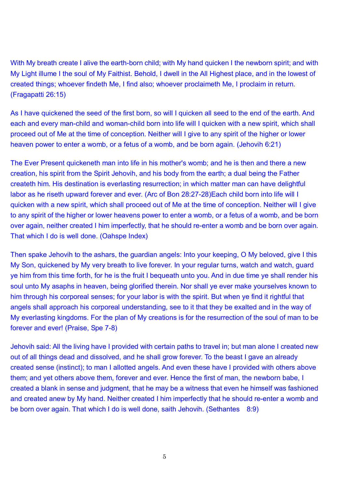With My breath create I alive the earth-born child; with My hand quicken I the newborn spirit; and with My Light illume I the soul of My Faithist. Behold, I dwell in the All Highest place, and in the lowest of created things; whoever findeth Me, I find also; whoever proclaimeth Me, I proclaim in return. (Fragapatti 26:15)

As I have quickened the seed of the first born, so will I quicken all seed to the end of the earth. And each and every man-child and woman-child born into life will I quicken with a new spirit, which shall proceed out of Me at the time of conception. Neither will I give to any spirit of the higher or lower heaven power to enter a womb, or a fetus of a womb, and be born again. (Jehovih 6:21)

The Ever Present quickeneth man into life in his mother's womb; and he is then and there a new creation, his spirit from the Spirit Jehovih, and his body from the earth; a dual being the Father createth him. His destination is everlasting resurrection; in which matter man can have delightful labor as he riseth upward forever and ever. (Arc of Bon 28:27-28)Each child born into life will I quicken with a new spirit, which shall proceed out of Me at the time of conception. Neither will I give to any spirit of the higher or lower heavens power to enter a womb, or a fetus of a womb, and be born over again, neither created I him imperfectly, that he should re-enter a womb and be born over again. That which I do is well done. (Oahspe Index)

Then spake Jehovih to the ashars, the guardian angels: Into your keeping, O My beloved, give I this My Son, quickened by My very breath to live forever. In your regular turns, watch and watch, guard ye him from this time forth, for he is the fruit I bequeath unto you. And in due time ye shall render his soul unto My asaphs in heaven, being glorified therein. Nor shall ye ever make yourselves known to him through his corporeal senses; for your labor is with the spirit. But when ye find it rightful that angels shall approach his corporeal understanding, see to it that they be exalted and in the way of My everlasting kingdoms. For the plan of My creations is for the resurrection of the soul of man to be forever and ever! (Praise, Spe 7-8)

Jehovih said: All the living have I provided with certain paths to travel in; but man alone I created new out of all things dead and dissolved, and he shall grow forever. To the beast I gave an already created sense (instinct); to man I allotted angels. And even these have I provided with others above them; and yet others above them, forever and ever. Hence the first of man, the newborn babe, I created a blank in sense and judgment, that he may be a witness that even he himself was fashioned and created anew by My hand. Neither created I him imperfectly that he should re-enter a womb and be born over again. That which I do is well done, saith Jehovih. (Sethantes 8:9)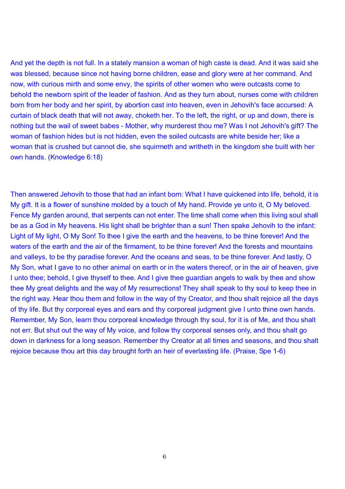And yet the depth is not full. In a stately mansion a woman of high caste is dead. And it was said she was blessed, because since not having borne children, ease and glory were at her command. And now, with curious mirth and some envy, the spirits of other women who were outcasts come to behold the newborn spirit of the leader of fashion. And as they turn about, nurses come with children born from her body and her spirit, by abortion cast into heaven, even in Jehovih's face accursed: A curtain of black death that will not away, choketh her. To the left, the right, or up and down, there is nothing but the wail of sweet babes - Mother, why murderest thou me? Was I not Jehovih's gift? The woman of fashion hides but is not hidden, even the soiled outcasts are white beside her; like a woman that is crushed but cannot die, she squirmeth and writheth in the kingdom she built with her own hands. (Knowledge 6:18)

Then answered Jehovih to those that had an infant born: What I have quickened into life, behold, it is My gift. It is a flower of sunshine molded by a touch of My hand. Provide ye unto it, O My beloved. Fence My garden around, that serpents can not enter. The time shall come when this living soul shall be as a God in My heavens. His light shall be brighter than a sun! Then spake Jehovih to the infant: Light of My light, O My Son! To thee I give the earth and the heavens, to be thine forever! And the waters of the earth and the air of the firmament, to be thine forever! And the forests and mountains and valleys, to be thy paradise forever. And the oceans and seas, to be thine forever. And lastly, O My Son, what I gave to no other animal on earth or in the waters thereof, or in the air of heaven, give I unto thee; behold, I give thyself to thee. And I give thee guardian angels to walk by thee and show thee My great delights and the way of My resurrections! They shall speak to thy soul to keep thee in the right way. Hear thou them and follow in the way of thy Creator, and thou shalt rejoice all the days of thy life. But thy corporeal eyes and ears and thy corporeal judgment give I unto thine own hands. Remember, My Son, learn thou corporeal knowledge through thy soul, for it is of Me, and thou shalt not err. But shut out the way of My voice, and follow thy corporeal senses only, and thou shalt go down in darkness for a long season. Remember thy Creator at all times and seasons, and thou shalt rejoice because thou art this day brought forth an heir of everlasting life. (Praise, Spe 1-6)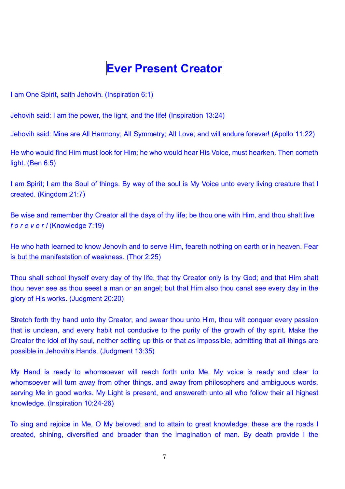## **Ever Present Creator**

I am One Spirit, saith Jehovih. (Inspiration 6:1)

Jehovih said: I am the power, the light, and the life! (Inspiration 13:24)

Jehovih said: Mine are All Harmony; All Symmetry; All Love; and will endure forever! (Apollo 11:22)

He who would find Him must look for Him; he who would hear His Voice, must hearken. Then cometh light. (Ben 6:5)

I am Spirit; I am the Soul of things. By way of the soul is My Voice unto every living creature that I created. (Kingdom 21:7)

Be wise and remember thy Creator all the days of thy life; be thou one with Him, and thou shalt live *f o r e v e r !* (Knowledge 7:19)

He who hath learned to know Jehovih and to serve Him, feareth nothing on earth or in heaven. Fear is but the manifestation of weakness. (Thor 2:25)

Thou shalt school thyself every day of thy life, that thy Creator only is thy God; and that Him shalt thou never see as thou seest a man or an angel; but that Him also thou canst see every day in the glory of His works. (Judgment 20:20)

Stretch forth thy hand unto thy Creator, and swear thou unto Him, thou wilt conquer every passion that is unclean, and every habit not conducive to the purity of the growth of thy spirit. Make the Creator the idol of thy soul, neither setting up this or that as impossible, admitting that all things are possible in Jehovih's Hands. (Judgment 13:35)

My Hand is ready to whomsoever will reach forth unto Me. My voice is ready and clear to whomsoever will turn away from other things, and away from philosophers and ambiguous words, serving Me in good works. My Light is present, and answereth unto all who follow their all highest knowledge. (Inspiration 10:24-26)

To sing and rejoice in Me, O My beloved; and to attain to great knowledge; these are the roads I created, shining, diversified and broader than the imagination of man. By death provide I the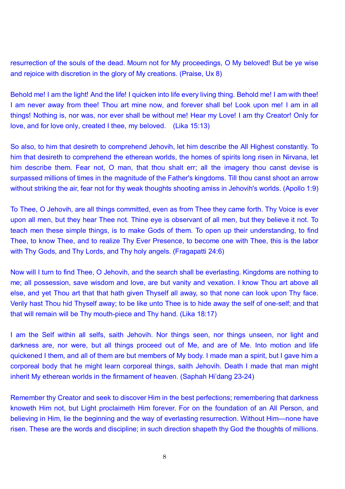resurrection of the souls of the dead. Mourn not for My proceedings, O My beloved! But be ye wise and rejoice with discretion in the glory of My creations. (Praise, Ux 8)

Behold me! I am the light! And the life! I quicken into life every living thing. Behold me! I am with thee! I am never away from thee! Thou art mine now, and forever shall be! Look upon me! I am in all things! Nothing is, nor was, nor ever shall be without me! Hear my Love! I am thy Creator! Only for love, and for love only, created I thee, my beloved. (Lika 15:13)

So also, to him that desireth to comprehend Jehovih, let him describe the All Highest constantly. To him that desireth to comprehend the etherean worlds, the homes of spirits long risen in Nirvana, let him describe them. Fear not, O man, that thou shalt err; all the imagery thou canst devise is surpassed millions of times in the magnitude of the Father's kingdoms. Till thou canst shoot an arrow without striking the air, fear not for thy weak thoughts shooting amiss in Jehovih's worlds. (Apollo 1:9)

To Thee, O Jehovih, are all things committed, even as from Thee they came forth. Thy Voice is ever upon all men, but they hear Thee not. Thine eye is observant of all men, but they believe it not. To teach men these simple things, is to make Gods of them. To open up their understanding, to find Thee, to know Thee, and to realize Thy Ever Presence, to become one with Thee, this is the labor with Thy Gods, and Thy Lords, and Thy holy angels. (Fragapatti 24:6)

Now will I turn to find Thee, O Jehovih, and the search shall be everlasting. Kingdoms are nothing to me; all possession, save wisdom and love, are but vanity and vexation. I know Thou art above all else, and yet Thou art that that hath given Thyself all away, so that none can look upon Thy face. Verily hast Thou hid Thyself away; to be like unto Thee is to hide away the self of one-self; and that that will remain will be Thy mouth-piece and Thy hand. (Lika 18:17)

I am the Self within all selfs, saith Jehovih. Nor things seen, nor things unseen, nor light and darkness are, nor were, but all things proceed out of Me, and are of Me. Into motion and life quickened I them, and all of them are but members of My body. I made man a spirit, but I gave him a corporeal body that he might learn corporeal things, saith Jehovih. Death I made that man might inherit My etherean worlds in the firmament of heaven. (Saphah Hi'dang 23-24)

Remember thy Creator and seek to discover Him in the best perfections; remembering that darkness knoweth Him not, but Light proclaimeth Him forever. For on the foundation of an All Person, and believing in Him, lie the beginning and the way of everlasting resurrection. Without Him-none have risen. These are the words and discipline; in such direction shapeth thy God the thoughts of millions.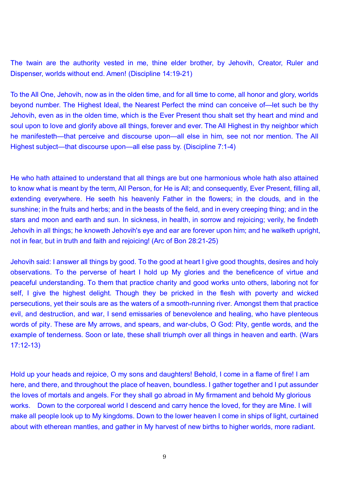The twain are the authority vested in me, thine elder brother, by Jehovih, Creator, Ruler and Dispenser, worlds without end. Amen! (Discipline 14:19-21)

To the All One, Jehovih, now as in the olden time, and for all time to come, all honor and glory, worlds beyond number. The Highest Ideal, the Nearest Perfect the mind can conceive of—let such be thy Jehovih, even as in the olden time, which is the Ever Present thou shalt set thy heart and mind and soul upon to love and glorify above all things, forever and ever. The All Highest in thy neighbor which he manifesteth—that perceive and discourse upon—all else in him, see not nor mention. The All Highest subject—that discourse upon—all else pass by. (Discipline 7:1-4)

He who hath attained to understand that all things are but one harmonious whole hath also attained to know what is meant by the term, All Person, for He is All; and consequently, Ever Present, filling all, extending everywhere. He seeth his heavenly Father in the flowers; in the clouds, and in the sunshine; in the fruits and herbs; and in the beasts of the field, and in every creeping thing; and in the stars and moon and earth and sun. In sickness, in health, in sorrow and rejoicing; verily, he findeth Jehovih in all things; he knoweth Jehovih's eye and ear are forever upon him; and he walketh upright, not in fear, but in truth and faith and rejoicing! (Arc of Bon 28:21-25)

Jehovih said: I answer all things by good. To the good at heart I give good thoughts, desires and holy observations. To the perverse of heart I hold up My glories and the beneficence of virtue and peaceful understanding. To them that practice charity and good works unto others, laboring not for self, I give the highest delight. Though they be pricked in the flesh with poverty and wicked persecutions, yet their souls are as the waters of a smooth-running river. Amongst them that practice evil, and destruction, and war, I send emissaries of benevolence and healing, who have plenteous words of pity. These are My arrows, and spears, and war-clubs, O God: Pity, gentle words, and the example of tenderness. Soon or late, these shall triumph over all things in heaven and earth. (Wars 17:12-13)

Hold up your heads and rejoice, O my sons and daughters! Behold, I come in a flame of fire! I am here, and there, and throughout the place of heaven, boundless. I gather together and I put assunder the loves of mortals and angels. For they shall go abroad in My firmament and behold My glorious works. Down to the corporeal world I descend and carry hence the loved, for they are Mine. I will make all people look up to My kingdoms. Down to the lower heaven I come in ships of light, curtained about with etherean mantles, and gather in My harvest of new births to higher worlds, more radiant.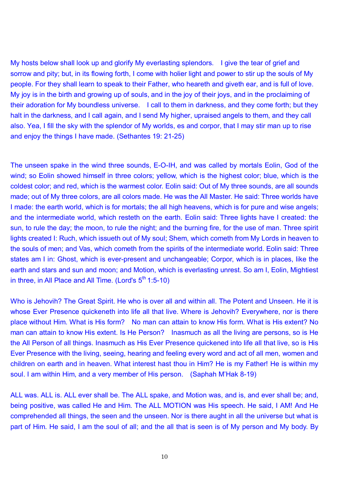My hosts below shall look up and glorify My everlasting splendors. I give the tear of grief and sorrow and pity; but, in its flowing forth. I come with holier light and power to stir up the souls of My people. For they shall learn to speak to their Father, who heareth and giveth ear, and is full of love. My joy is in the birth and growing up of souls, and in the joy of their joys, and in the proclaiming of their adoration for My boundless universe. I call to them in darkness, and they come forth; but they halt in the darkness, and I call again, and I send My higher, upraised angels to them, and they call also. Yea, I fill the sky with the splendor of My worlds, es and corpor, that I may stir man up to rise and enjoy the things I have made. (Sethantes 19: 21-25)

The unseen spake in the wind three sounds, E-O-IH, and was called by mortals Eolin, God of the wind; so Eolin showed himself in three colors; yellow, which is the highest color; blue, which is the coldest color; and red, which is the warmest color. Eolin said: Out of My three sounds, are all sounds made; out of My three colors, are all colors made. He was the All Master. He said: Three worlds have I made: the earth world, which is for mortals; the all high heavens, which is for pure and wise angels; and the intermediate world, which resteth on the earth. Eolin said: Three lights have I created: the sun, to rule the day; the moon, to rule the night; and the burning fire, for the use of man. Three spirit lights created I: Ruch, which issueth out of My soul; Shem, which cometh from My Lords in heaven to the souls of men; and Vas, which cometh from the spirits of the intermediate world. Eolin said: Three states am I in: Ghost, which is ever-present and unchangeable; Corpor, which is in places, like the earth and stars and sun and moon; and Motion, which is everlasting unrest. So am I, Eolin, Mightiest in three, in All Place and All Time. (Lord's  $5<sup>th</sup>$  1:5-10)

Who is Jehovih? The Great Spirit. He who is over all and within all. The Potent and Unseen. He it is whose Ever Presence quickeneth into life all that live. Where is Jehovih? Everywhere, nor is there place without Him. What is His form? No man can attain to know His form. What is His extent? No man can attain to know His extent. Is He Person? Inasmuch as all the living are persons, so is He the All Person of all things. Inasmuch as His Ever Presence quickened into life all that live, so is His Ever Presence with the living, seeing, hearing and feeling every word and act of all men, women and children on earth and in heaven. What interest hast thou in Him? He is my Father! He is within my soul. I am within Him, and a very member of His person. (Saphah M'Hak 8-19)

ALL was. ALL is. ALL ever shall be. The ALL spake, and Motion was, and is, and ever shall be; and, being positive, was called He and Him. The ALL MOTION was His speech. He said, I AM! And He comprehended all things, the seen and the unseen. Nor is there aught in all the universe but what is part of Him. He said, I am the soul of all; and the all that is seen is of My person and My body. By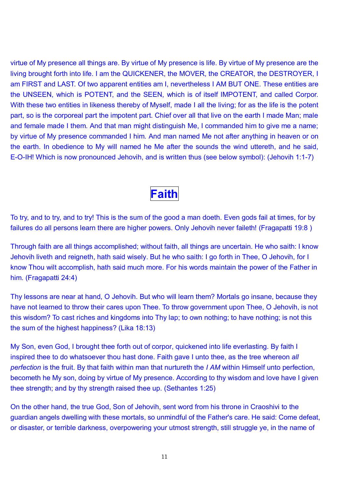virtue of My presence all things are. By virtue of My presence is life. By virtue of My presence are the living brought forth into life. I am the QUICKENER, the MOVER, the CREATOR, the DESTROYER, I am FIRST and LAST. Of two apparent entities am I, nevertheless I AM BUT ONE. These entities are the UNSEEN, which is POTENT, and the SEEN, which is of itself IMPOTENT, and called Corpor. With these two entities in likeness thereby of Myself, made I all the living; for as the life is the potent part, so is the corporeal part the impotent part. Chief over all that live on the earth I made Man; male and female made I them. And that man might distinguish Me, I commanded him to give me a name; by virtue of My presence commanded I him. And man named Me not after anything in heaven or on the earth. In obedience to My will named he Me after the sounds the wind uttereth, and he said, E-O-IH! Which is now pronounced Jehovih, and is written thus (see below symbol): (Jehovih 1:1-7)

## **Faith**

To try, and to try, and to try! This is the sum of the good a man doeth. Even gods fail at times, for by failures do all persons learn there are higher powers. Only Jehovih never faileth! (Fragapatti 19:8 )

Through faith are all things accomplished; without faith, all things are uncertain. He who saith: I know Jehovih liveth and reigneth, hath said wisely. But he who saith: I go forth in Thee, O Jehovih, for I know Thou wilt accomplish, hath said much more. For his words maintain the power of the Father in him. (Fragapatti 24:4)

Thy lessons are near at hand, O Jehovih. But who will learn them? Mortals go insane, because they have not learned to throw their cares upon Thee. To throw government upon Thee, O Jehovih, is not this wisdom? To cast riches and kingdoms into Thy lap; to own nothing; to have nothing; is not this the sum of the highest happiness? (Lika 18:13)

My Son, even God, I brought thee forth out of corpor, quickened into life everlasting. By faith I inspired thee to do whatsoever thou hast done. Faith gave I unto thee, as the tree whereon *all perfection* is the fruit. By that faith within man that nurtureth the *I AM* within Himself unto perfection, becometh he My son, doing by virtue of My presence. According to thy wisdom and love have I given thee strength; and by thy strength raised thee up. (Sethantes 1:25)

On the other hand, the true God, Son of Jehovih, sent word from his throne in Craoshivi to the guardian angels dwelling with these mortals, so unmindful of the Father's care. He said: Come defeat, or disaster, or terrible darkness, overpowering your utmost strength, still struggle ye, in the name of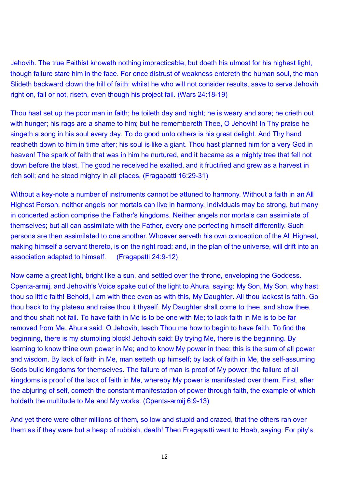Jehovih. The true Faithist knoweth nothing impracticable, but doeth his utmost for his highest light, though failure stare him in the face. For once distrust of weakness entereth the human soul, the man Slideth backward clown the hill of faith; whilst he who will not consider results, save to serve Jehovih right on, fail or not, riseth, even though his project fail. (Wars 24:18-19)

Thou hast set up the poor man in faith; he toileth day and night; he is weary and sore; he crieth out with hunger; his rags are a shame to him; but he remembereth Thee, O Jehovih! In Thy praise he singeth a song in his soul every day. To do good unto others is his great delight. And Thy hand reacheth down to him in time after; his soul is like a giant. Thou hast planned him for a very God in heaven! The spark of faith that was in him he nurtured, and it became as a mighty tree that fell not down before the blast. The good he received he exalted, and it fructified and grew as a harvest in rich soil; and he stood mighty in all places. (Fragapatti 16:29-31)

Without a key-note a number of instruments cannot be attuned to harmony. Without a faith in an All Highest Person, neither angels nor mortals can live in harmony. Individuals may be strong, but many in concerted action comprise the Father's kingdoms. Neither angels nor mortals can assimilate of themselves; but all can assimilate with the Father, every one perfecting himself differently. Such persons are then assimilated to one another. Whoever serveth his own conception of the All Highest, making himself a servant thereto, is on the right road; and, in the plan of the universe, will drift into an association adapted to himself. (Fragapatti 24:9-12)

Now came a great light, bright like a sun, and settled over the throne, enveloping the Goddess. Cpenta-armij, and Jehovih's Voice spake out of the light to Ahura, saying: My Son, My Son, why hast thou so little faith! Behold, I am with thee even as with this, My Daughter. All thou lackest is faith. Go thou back to thy plateau and raise thou it thyself. My Daughter shall come to thee, and show thee, and thou shalt not fail. To have faith in Me is to be one with Me; to lack faith in Me is to be far removed from Me. Ahura said: O Jehovih, teach Thou me how to begin to have faith. To find the beginning, there is my stumbling block! Jehovih said: By trying Me, there is the beginning. By learning to know thine own power in Me; and to know My power in thee; this is the sum of all power and wisdom. By lack of faith in Me, man setteth up himself; by lack of faith in Me, the self-assuming Gods build kingdoms for themselves. The failure of man is proof of My power; the failure of all kingdoms is proof of the lack of faith in Me, whereby My power is manifested over them. First, after the abjuring of self, cometh the constant manifestation of power through faith, the example of which holdeth the multitude to Me and My works. (Cpenta-armij 6:9-13)

And yet there were other millions of them, so low and stupid and crazed, that the others ran over them as if they were but a heap of rubbish, death! Then Fragapatti went to Hoab, saying: For pity's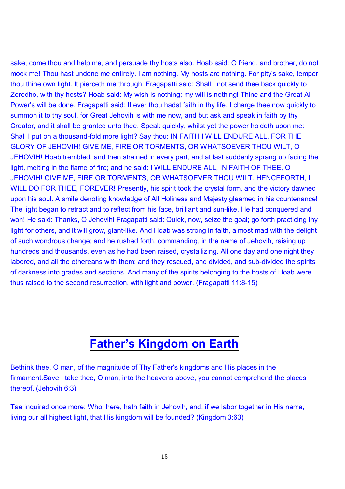sake, come thou and help me, and persuade thy hosts also. Hoab said: O friend, and brother, do not mock me! Thou hast undone me entirely. I am nothing. My hosts are nothing. For pity's sake, temper thou thine own light. It pierceth me through. Fragapatti said: Shall I not send thee back quickly to Zeredho, with thy hosts? Hoab said: My wish is nothing; my will is nothing! Thine and the Great All Power's will be done. Fragapatti said: If ever thou hadst faith in thy life, I charge thee now quickly to summon it to thy soul, for Great Jehovih is with me now, and but ask and speak in faith by thy Creator, and it shall be granted unto thee. Speak quickly, whilst yet the power holdeth upon me: Shall I put on a thousand-fold more light? Say thou: IN FAITH I WILL ENDURE ALL, FOR THE GLORY OF JEHOVIH! GIVE ME, FIRE OR TORMENTS, OR WHATSOEVER THOU WILT, O JEHOVIH! Hoab trembled, and then strained in every part, and at last suddenly sprang up facing the light, melting in the flame of fire; and he said: I WILL ENDURE ALL, IN FAITH OF THEE, O JEHOVIH! GIVE ME, FIRE OR TORMENTS, OR WHATSOEVER THOU WILT. HENCEFORTH, I WILL DO FOR THEE, FOREVER! Presently, his spirit took the crystal form, and the victory dawned upon his soul. A smile denoting knowledge of All Holiness and Majesty gleamed in his countenance! The light began to retract and to reflect from his face, brilliant and sun-like. He had conquered and won! He said: Thanks, O Jehovih! Fragapatti said: Quick, now, seize the goal; go forth practicing thy light for others, and it will grow, giant-like. And Hoab was strong in faith, almost mad with the delight of such wondrous change; and he rushed forth, commanding, in the name of Jehovih, raising up hundreds and thousands, even as he had been raised, crystallizing. All one day and one night they labored, and all the ethereans with them; and they rescued, and divided, and sub-divided the spirits of darkness into grades and sections. And many of the spirits belonging to the hosts of Hoab were thus raised to the second resurrection, with light and power. (Fragapatti 11:8-15)

## **Fatherís Kingdom on Earth**

Bethink thee, O man, of the magnitude of Thy Father's kingdoms and His places in the firmament.Save I take thee, O man, into the heavens above, you cannot comprehend the places thereof. (Jehovih 6:3)

Tae inquired once more: Who, here, hath faith in Jehovih, and, if we labor together in His name, living our all highest light, that His kingdom will be founded? (Kingdom 3:63)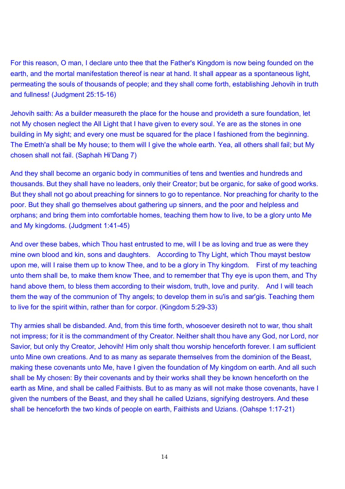#### For this reason, O man, I declare unto thee that the Father's Kingdom is now being founded on the earth, and the mortal manifestation thereof is near at hand. It shall appear as a spontaneous light, permeating the souls of thousands of people; and they shall come forth, establishing Jehovih in truth and fullness! (Judgment 25:15-16)

Jehovih saith: As a builder measureth the place for the house and provideth a sure foundation, let not My chosen neglect the All Light that I have given to every soul. Ye are as the stones in one building in My sight; and every one must be squared for the place I fashioned from the beginning. The Emeth'a shall be My house; to them will I give the whole earth. Yea, all others shall fail; but My chosen shall not fail. (Saphah Hi'Dang 7)

And they shall become an organic body in communities of tens and twenties and hundreds and thousands. But they shall have no leaders, only their Creator; but be organic, for sake of good works. But they shall not go about preaching for sinners to go to repentance. Nor preaching for charity to the poor. But they shall go themselves about gathering up sinners, and the poor and helpless and orphans; and bring them into comfortable homes, teaching them how to live, to be a glory unto Me and My kingdoms. (Judgment 1:41-45)

And over these babes, which Thou hast entrusted to me, will I be as loving and true as were they mine own blood and kin, sons and daughters. According to Thy Light, which Thou mayst bestow upon me, will I raise them up to know Thee, and to be a glory in Thy kingdom. First of my teaching unto them shall be, to make them know Thee, and to remember that Thy eye is upon them, and Thy hand above them, to bless them according to their wisdom, truth, love and purity. And I will teach them the way of the communion of Thy angels; to develop them in su'is and sar'gis. Teaching them to live for the spirit within, rather than for corpor. (Kingdom 5:29-33)

Thy armies shall be disbanded. And, from this time forth, whosoever desireth not to war, thou shalt not impress; for it is the commandment of thy Creator. Neither shalt thou have any God, nor Lord, nor Savior, but only thy Creator, Jehovih! Him only shalt thou worship henceforth forever. I am sufficient unto Mine own creations. And to as many as separate themselves from the dominion of the Beast, making these covenants unto Me, have I given the foundation of My kingdom on earth. And all such shall be My chosen: By their covenants and by their works shall they be known henceforth on the earth as Mine, and shall be called Faithists. But to as many as will not make those covenants, have I given the numbers of the Beast, and they shall he called Uzians, signifying destroyers. And these shall be henceforth the two kinds of people on earth, Faithists and Uzians. (Oahspe 1:17-21)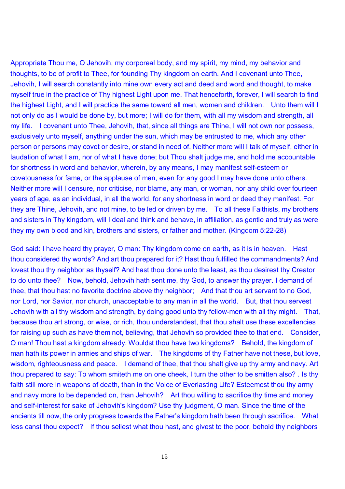Appropriate Thou me, O Jehovih, my corporeal body, and my spirit, my mind, my behavior and thoughts, to be of profit to Thee, for founding Thy kingdom on earth. And I covenant unto Thee, Jehovih, I will search constantly into mine own every act and deed and word and thought, to make myself true in the practice of Thy highest Light upon me. That henceforth, forever, I will search to find the highest Light, and I will practice the same toward all men, women and children. Unto them will I not only do as I would be done by, but more; I will do for them, with all my wisdom and strength, all my life. I covenant unto Thee, Jehovih, that, since all things are Thine, I will not own nor possess, exclusively unto myself, anything under the sun, which may be entrusted to me, which any other person or persons may covet or desire, or stand in need of. Neither more will I talk of myself, either in laudation of what I am, nor of what I have done; but Thou shalt judge me, and hold me accountable for shortness in word and behavior, wherein, by any means, I may manifest self-esteem or covetousness for fame, or the applause of men, even for any good I may have done unto others. Neither more will I censure, nor criticise, nor blame, any man, or woman, nor any child over fourteen years of age, as an individual, in all the world, for any shortness in word or deed they manifest. For they are Thine, Jehovih, and not mine, to be led or driven by me. To all these Faithists, my brothers and sisters in Thy kingdom, will I deal and think and behave, in affiliation, as gentle and truly as were they my own blood and kin, brothers and sisters, or father and mother. (Kingdom 5:22-28)

God said: I have heard thy prayer, O man: Thy kingdom come on earth, as it is in heaven. Hast thou considered thy words? And art thou prepared for it? Hast thou fulfilled the commandments? And lovest thou thy neighbor as thyself? And hast thou done unto the least, as thou desirest thy Creator to do unto thee? Now, behold, Jehovih hath sent me, thy God, to answer thy prayer. I demand of thee, that thou hast no favorite doctrine above thy neighbor; And that thou art servant to no God, nor Lord, nor Savior, nor church, unacceptable to any man in all the world. But, that thou servest Jehovih with all thy wisdom and strength, by doing good unto thy fellow-men with all thy might. That, because thou art strong, or wise, or rich, thou understandest, that thou shalt use these excellencies for raising up such as have them not, believing, that Jehovih so provided thee to that end. Consider, O man! Thou hast a kingdom already. Wouldst thou have two kingdoms? Behold, the kingdom of man hath its power in armies and ships of war. The kingdoms of thy Father have not these, but love, wisdom, righteousness and peace. I demand of thee, that thou shalt give up thy army and navy. Art thou prepared to say: To whom smiteth me on one cheek, I turn the other to be smitten also? . Is thy faith still more in weapons of death, than in the Voice of Everlasting Life? Esteemest thou thy army and navy more to be depended on, than Jehovih? Art thou willing to sacrifice thy time and money and self-interest for sake of Jehovih's kingdom? Use thy judgment, O man. Since the time of the ancients till now, the only progress towards the Father's kingdom hath been through sacrifice. What less canst thou expect? If thou sellest what thou hast, and givest to the poor, behold thy neighbors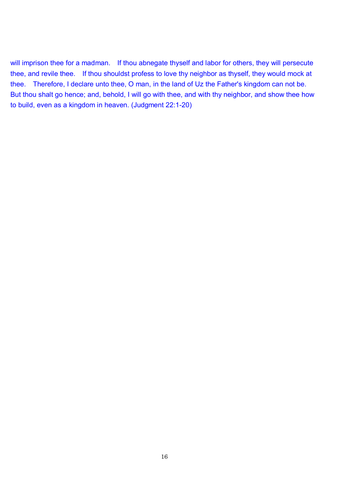will imprison thee for a madman. If thou abnegate thyself and labor for others, they will persecute thee, and revile thee. If thou shouldst profess to love thy neighbor as thyself, they would mock at thee. Therefore, I declare unto thee, O man, in the land of Uz the Father's kingdom can not be. But thou shalt go hence; and, behold, I will go with thee, and with thy neighbor, and show thee how to build, even as a kingdom in heaven. (Judgment 22:1-20)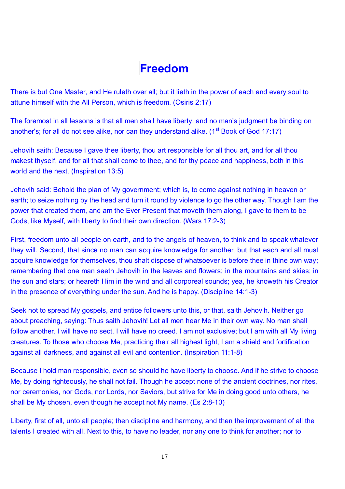# **Freedom**

There is but One Master, and He ruleth over all; but it lieth in the power of each and every soul to attune himself with the All Person, which is freedom. (Osiris 2:17)

The foremost in all lessons is that all men shall have liberty; and no man's judgment be binding on another's; for all do not see alike, nor can they understand alike. (1<sup>st</sup> Book of God 17:17)

Jehovih saith: Because I gave thee liberty, thou art responsible for all thou art, and for all thou makest thyself, and for all that shall come to thee, and for thy peace and happiness, both in this world and the next. (Inspiration 13:5)

Jehovih said: Behold the plan of My government; which is, to come against nothing in heaven or earth; to seize nothing by the head and turn it round by violence to go the other way. Though I am the power that created them, and am the Ever Present that moveth them along, I gave to them to be Gods, like Myself, with liberty to find their own direction. (Wars 17:2-3)

First, freedom unto all people on earth, and to the angels of heaven, to think and to speak whatever they will. Second, that since no man can acquire knowledge for another, but that each and all must acquire knowledge for themselves, thou shalt dispose of whatsoever is before thee in thine own way; remembering that one man seeth Jehovih in the leaves and flowers; in the mountains and skies; in the sun and stars; or heareth Him in the wind and all corporeal sounds; yea, he knoweth his Creator in the presence of everything under the sun. And he is happy. (Discipline 14:1-3)

Seek not to spread My gospels, and entice followers unto this, or that, saith Jehovih. Neither go about preaching, saying: Thus saith Jehovih! Let all men hear Me in their own way. No man shall follow another. I will have no sect. I will have no creed. I am not exclusive; but I am with all My living creatures. To those who choose Me, practicing their all highest light, I am a shield and fortification against all darkness, and against all evil and contention. (Inspiration 11:1-8)

Because I hold man responsible, even so should he have liberty to choose. And if he strive to choose Me, by doing righteously, he shall not fail. Though he accept none of the ancient doctrines, nor rites, nor ceremonies, nor Gods, nor Lords, nor Saviors, but strive for Me in doing good unto others, he shall be My chosen, even though he accept not My name. (Es 2:8-10)

Liberty, first of all, unto all people; then discipline and harmony, and then the improvement of all the talents I created with all. Next to this, to have no leader, nor any one to think for another; nor to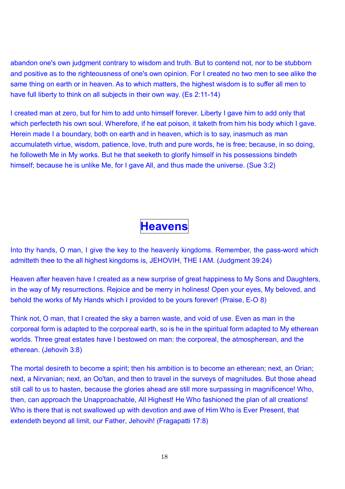abandon one's own judgment contrary to wisdom and truth. But to contend not, nor to be stubborn and positive as to the righteousness of one's own opinion. For I created no two men to see alike the same thing on earth or in heaven. As to which matters, the highest wisdom is to suffer all men to have full liberty to think on all subjects in their own way. (Es 2:11-14)

I created man at zero, but for him to add unto himself forever. Liberty I gave him to add only that which perfecteth his own soul. Wherefore, if he eat poison, it taketh from him his body which I gave. Herein made I a boundary, both on earth and in heaven, which is to say, inasmuch as man accumulateth virtue, wisdom, patience, love, truth and pure words, he is free; because, in so doing, he followeth Me in My works. But he that seeketh to glorify himself in his possessions bindeth himself; because he is unlike Me, for I gave All, and thus made the universe. (Sue 3:2)

# **Heavens**

Into thy hands, O man, I give the key to the heavenly kingdoms. Remember, the pass-word which admitteth thee to the all highest kingdoms is, JEHOVIH, THE I AM. (Judgment 39:24)

Heaven after heaven have I created as a new surprise of great happiness to My Sons and Daughters, in the way of My resurrections. Rejoice and be merry in holiness! Open your eyes, My beloved, and behold the works of My Hands which I provided to be yours forever! (Praise, E-O 8)

Think not, O man, that I created the sky a barren waste, and void of use. Even as man in the corporeal form is adapted to the corporeal earth, so is he in the spiritual form adapted to My etherean worlds. Three great estates have I bestowed on man: the corporeal, the atmospherean, and the etherean. (Jehovih 3:8)

The mortal desireth to become a spirit; then his ambition is to become an etherean; next, an Orian; next, a Nirvanian; next, an Oo'tan, and then to travel in the surveys of magnitudes. But those ahead still call to us to hasten, because the glories ahead are still more surpassing in magnificence! Who, then, can approach the Unapproachable, All Highest! He Who fashioned the plan of all creations! Who is there that is not swallowed up with devotion and awe of Him Who is Ever Present, that extendeth beyond all limit, our Father, Jehovih! (Fragapatti 17:8)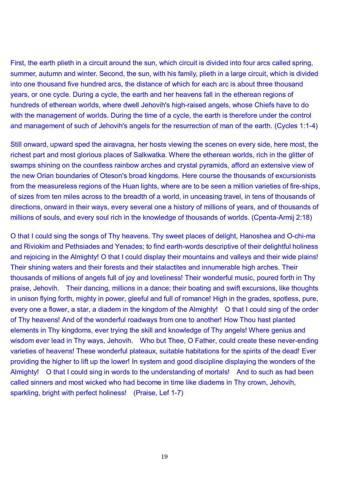First, the earth plieth in a circuit around the sun, which circuit is divided into four arcs called spring, summer, autumn and winter. Second, the sun, with his family, plieth in a large circuit, which is divided into one thousand five hundred arcs, the distance of which for each arc is about three thousand years, or one cycle. During a cycle, the earth and her heavens fall in the etherean regions of hundreds of etherean worlds, where dwell Jehovih's high-raised angels, whose Chiefs have to do with the management of worlds. During the time of a cycle, the earth is therefore under the control and management of such of Jehovih's angels for the resurrection of man of the earth. (Cycles 1:1-4)

Still onward, upward sped the airavagna, her hosts viewing the scenes on every side, here most, the richest part and most glorious places of Salkwatka. Where the etherean worlds, rich in the glitter of swamps shining on the countless rainbow arches and crystal pyramids, afford an extensive view of the new Orian boundaries of Oteson's broad kingdoms. Here course the thousands of excursionists from the measureless regions of the Huan lights, where are to be seen a million varieties of fire-ships, of sizes from ten miles across to the breadth of a world, in unceasing travel, in tens of thousands of directions, onward in their ways, every several one a history of millions of years, and of thousands of millions of souls, and every soul rich in the knowledge of thousands of worlds. (Cpenta-Armij 2:18)

O that I could sing the songs of Thy heavens. Thy sweet places of delight, Hanoshea and O-chi-ma and Riviokim and Pethsiades and Yenades; to find earth-words descriptive of their delightful holiness and rejoicing in the Almighty! O that I could display their mountains and valleys and their wide plains! Their shining waters and their forests and their stalactites and innumerable high arches. Their thousands of millions of angels full of joy and loveliness! Their wonderful music, poured forth in Thy praise, Jehovih. Their dancing, millions in a dance; their boating and swift excursions, like thoughts in unison flying forth, mighty in power, gleeful and full of romance! High in the grades, spotless, pure, every one a flower, a star, a diadem in the kingdom of the Almighty! O that I could sing of the order of Thy heavens! And of the wonderful roadways from one to another! How Thou hast planted elements in Thy kingdoms, ever trying the skill and knowledge of Thy angels! Where genius and wisdom ever lead in Thy ways, Jehovih. Who but Thee, O Father, could create these never-ending varieties of heavens! These wonderful plateaux, suitable habitations for the spirits of the dead! Ever providing the higher to lift up the lower! In system and good discipline displaying the wonders of the Almighty! O that I could sing in words to the understanding of mortals! And to such as had been called sinners and most wicked who had become in time like diadems in Thy crown, Jehovih, sparkling, bright with perfect holiness! (Praise, Lef 1-7)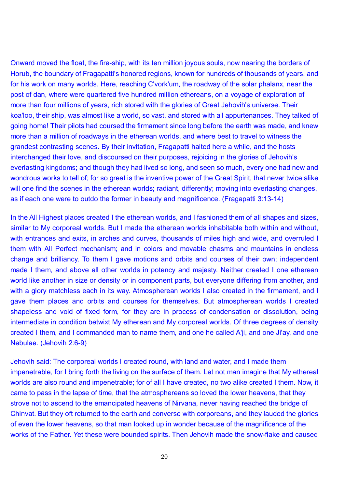Onward moved the float, the fire-ship, with its ten million joyous souls, now nearing the borders of Horub, the boundary of Fragapatti's honored regions, known for hundreds of thousands of years, and for his work on many worlds. Here, reaching C'vork'um, the roadway of the solar phalanx, near the post of dan, where were quartered five hundred million ethereans, on a voyage of exploration of more than four millions of years, rich stored with the glories of Great Jehovih's universe. Their koa'loo, their ship, was almost like a world, so vast, and stored with all appurtenances. They talked of going home! Their pilots had coursed the firmament since long before the earth was made, and knew more than a million of roadways in the etherean worlds, and where best to travel to witness the grandest contrasting scenes. By their invitation, Fragapatti halted here a while, and the hosts interchanged their love, and discoursed on their purposes, rejoicing in the glories of Jehovih's everlasting kingdoms; and though they had lived so long, and seen so much, every one had new and wondrous works to tell of; for so great is the inventive power of the Great Spirit, that never twice alike will one find the scenes in the etherean worlds; radiant, differently; moving into everlasting changes, as if each one were to outdo the former in beauty and magnificence. (Fragapatti 3:13-14)

In the All Highest places created I the etherean worlds, and I fashioned them of all shapes and sizes, similar to My corporeal worlds. But I made the etherean worlds inhabitable both within and without, with entrances and exits, in arches and curves, thousands of miles high and wide, and overruled I them with All Perfect mechanism; and in colors and movable chasms and mountains in endless change and brilliancy. To them I gave motions and orbits and courses of their own; independent made I them, and above all other worlds in potency and majesty. Neither created I one etherean world like another in size or density or in component parts, but everyone differing from another, and with a glory matchless each in its way. Atmospherean worlds I also created in the firmament, and I gave them places and orbits and courses for themselves. But atmospherean worlds I created shapeless and void of fixed form, for they are in process of condensation or dissolution, being intermediate in condition betwixt My etherean and My corporeal worlds. Of three degrees of density created I them, and I commanded man to name them, and one he called A'ji, and one Ji'ay, and one Nebulae. (Jehovih 2:6-9)

Jehovih said: The corporeal worlds I created round, with land and water, and I made them impenetrable, for I bring forth the living on the surface of them. Let not man imagine that My ethereal worlds are also round and impenetrable; for of all I have created, no two alike created I them. Now, it came to pass in the lapse of time, that the atmosphereans so loved the lower heavens, that they strove not to ascend to the emancipated heavens of Nirvana, never having reached the bridge of Chinvat. But they oft returned to the earth and converse with corporeans, and they lauded the glories of even the lower heavens, so that man looked up in wonder because of the magnificence of the works of the Father. Yet these were bounded spirits. Then Jehovih made the snow-flake and caused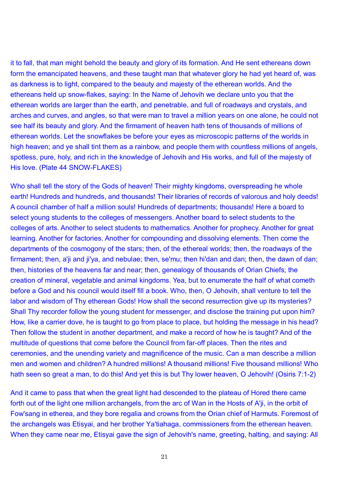it to fall, that man might behold the beauty and glory of its formation. And He sent ethereans down form the emancipated heavens, and these taught man that whatever glory he had yet heard of, was as darkness is to light, compared to the beauty and majesty of the etherean worlds. And the ethereans held up snow-flakes, saying: In the Name of Jehovih we declare unto you that the etherean worlds are larger than the earth, and penetrable, and full of roadways and crystals, and arches and curves, and angles, so that were man to travel a million years on one alone, he could not see half its beauty and glory. And the firmament of heaven hath tens of thousands of millions of etherean worlds. Let the snowflakes be before your eyes as microscopic patterns of the worlds in high heaven; and ye shall tint them as a rainbow, and people them with countless millions of angels, spotless, pure, holy, and rich in the knowledge of Jehovih and His works, and full of the majesty of His love. (Plate 44 SNOW-FLAKES)

Who shall tell the story of the Gods of heaven! Their mighty kingdoms, overspreading he whole earth! Hundreds and hundreds, and thousands! Their libraries of records of valorous and holy deeds! A council chamber of half a million souls! Hundreds of departments; thousands! Here a board to select young students to the colleges of messengers. Another board to select students to the colleges of arts. Another to select students to mathematics. Another for prophecy. Another for great learning. Another for factories. Another for compounding and dissolving elements. Then come the departments of the cosmogony of the stars; then, of the ethereal worlds; then, the roadways of the firmament; then, a'ji and ji'ya, and nebulae; then, se'mu; then hi'dan and dan; then, the dawn of dan; then, histories of the heavens far and near; then, genealogy of thousands of Orian Chiefs; the creation of mineral, vegetable and animal kingdoms. Yea, but to enumerate the half of what cometh before a God and his council would itself fill a book. Who, then, O Jehovih, shall venture to tell the labor and wisdom of Thy etherean Gods! How shall the second resurrection give up its mysteries? Shall Thy recorder follow the young student for messenger, and disclose the training put upon him? How, like a carrier dove, he is taught to go from place to place, but holding the message in his head? Then follow the student in another department, and make a record of how he is taught? And of the multitude of questions that come before the Council from far-off places. Then the rites and ceremonies, and the unending variety and magnificence of the music. Can a man describe a million men and women and children? A hundred millions! A thousand millions! Five thousand millions! Who hath seen so great a man, to do this! And yet this is but Thy lower heaven, O Jehovih! (Osiris 7:1-2)

And it came to pass that when the great light had descended to the plateau of Hored there came forth out of the light one million archangels, from the arc of Wan in the Hosts of A'ji, in the orbit of Fow'sang in etherea, and they bore regalia and crowns from the Orian chief of Harmuts. Foremost of the archangels was Etisyai, and her brother Ya'tiahaga, commissioners from the etherean heaven. When they came near me, Etisyai gave the sign of Jehovih's name, greeting, halting, and saying: All

21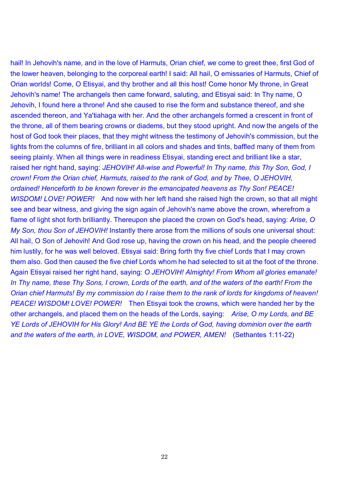hail! In Jehovih's name, and in the love of Harmuts, Orian chief, we come to greet thee, first God of the lower heaven, belonging to the corporeal earth! I said: All hail, O emissaries of Harmuts, Chief of Orian worlds! Come, O Etisyai, and thy brother and all this host! Come honor My throne, in Great Jehovih's name! The archangels then came forward, saluting, and Etisyai said: In Thy name, O Jehovih, I found here a throne! And she caused to rise the form and substance thereof, and she ascended thereon, and Ya'tiahaga with her. And the other archangels formed a crescent in front of the throne, all of them bearing crowns or diadems, but they stood upright. And now the angels of the host of God took their places, that they might witness the testimony of Jehovih's commission, but the lights from the columns of fire, brilliant in all colors and shades and tints, baffled many of them from seeing plainly. When all things were in readiness Etisyai, standing erect and brilliant like a star, raised her right hand, saying: *JEHOVIH! All-wise and Powerful! In Thy name, this Thy Son, God, I crown! From the Orian chief, Harmuts, raised to the rank of God, and by Thee, O JEHOVIH, ordained! Henceforth to be known forever in the emancipated heavens as Thy Son! PEACE! WISDOM! LOVE! POWER!* And now with her left hand she raised high the crown, so that all might see and bear witness, and giving the sign again of Jehovih's name above the crown, wherefrom a flame of light shot forth brilliantly. Thereupon she placed the crown on God's head, saying: *Arise, O My Son, thou Son of JEHOVIH!* Instantly there arose from the millions of souls one universal shout: All hail, O Son of Jehovih! And God rose up, having the crown on his head, and the people cheered him lustily, for he was well beloved. Etisyai said: Bring forth thy five chief Lords that I may crown them also. God then caused the five chief Lords whom he had selected to sit at the foot of the throne. Again Etisyai raised her right hand, saying: *O JEHOVIH! Almighty! From Whom all glories emanate!*  In Thy name, these Thy Sons, I crown, Lords of the earth, and of the waters of the earth! From the *Orian chief Harmuts! By my commission do I raise them to the rank of lords for kingdoms of heaven! PEACE! WISDOM! LOVE! POWER!* Then Etisyai took the crowns, which were handed her by the other archangels, and placed them on the heads of the Lords, saying: *Arise, O my Lords, and BE YE Lords of JEHOVIH for His Glory! And BE YE the Lords of God, having dominion over the earth and the waters of the earth, in LOVE, WISDOM, and POWER, AMEN!* (Sethantes 1:11-22)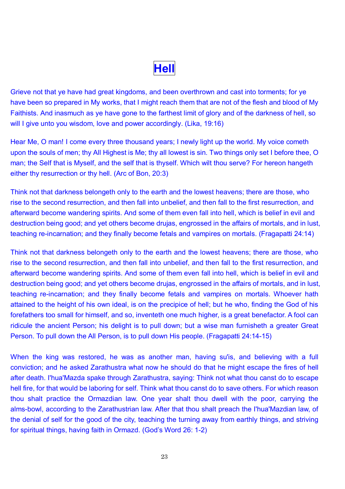**Hell**

Grieve not that ye have had great kingdoms, and been overthrown and cast into torments; for ye have been so prepared in My works, that I might reach them that are not of the flesh and blood of My Faithists. And inasmuch as ye have gone to the farthest limit of glory and of the darkness of hell, so will I give unto you wisdom, love and power accordingly. (Lika, 19:16)

Hear Me, O man! I come every three thousand years; I newly light up the world. My voice cometh upon the souls of men; thy All Highest is Me; thy all lowest is sin. Two things only set I before thee, O man; the Self that is Myself, and the self that is thyself. Which wilt thou serve? For hereon hangeth either thy resurrection or thy hell. (Arc of Bon, 20:3)

Think not that darkness belongeth only to the earth and the lowest heavens; there are those, who rise to the second resurrection, and then fall into unbelief, and then fall to the first resurrection, and afterward become wandering spirits. And some of them even fall into hell, which is belief in evil and destruction being good; and yet others become drujas, engrossed in the affairs of mortals, and in lust, teaching re-incarnation; and they finally become fetals and vampires on mortals. (Fragapatti 24:14)

Think not that darkness belongeth only to the earth and the lowest heavens; there are those, who rise to the second resurrection, and then fall into unbelief, and then fall to the first resurrection, and afterward become wandering spirits. And some of them even fall into hell, which is belief in evil and destruction being good; and yet others become drujas, engrossed in the affairs of mortals, and in lust, teaching re-incarnation; and they finally become fetals and vampires on mortals. Whoever hath attained to the height of his own ideal, is on the precipice of hell; but he who, finding the God of his forefathers too small for himself, and so, inventeth one much higher, is a great benefactor. A fool can ridicule the ancient Person; his delight is to pull down; but a wise man furnisheth a greater Great Person. To pull down the All Person, is to pull down His people. (Fragapatti 24:14-15)

When the king was restored, he was as another man, having su'is, and believing with a full conviction; and he asked Zarathustra what now he should do that he might escape the fires of hell after death. I'hua'Mazda spake through Zarathustra, saying: Think not what thou canst do to escape hell fire, for that would be laboring for self. Think what thou canst do to save others. For which reason thou shalt practice the Ormazdian law. One year shalt thou dwell with the poor, carrying the alms-bowl, according to the Zarathustrian law. After that thou shalt preach the I'hua'Mazdian law, of the denial of self for the good of the city, teaching the turning away from earthly things, and striving for spiritual things, having faith in Ormazd. (God's Word 26: 1-2)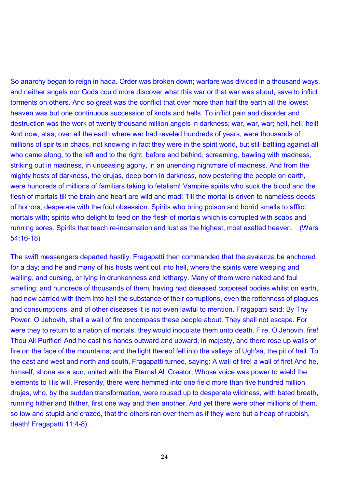So anarchy began to reign in hada. Order was broken down; warfare was divided in a thousand ways, and neither angels nor Gods could more discover what this war or that war was about, save to inflict torments on others. And so great was the conflict that over more than half the earth all the lowest heaven was but one continuous succession of knots and hells. To inflict pain and disorder and destruction was the work of twenty thousand million angels in darkness; war, war, war; hell, hell, hell! And now, alas, over all the earth where war had reveled hundreds of years, were thousands of millions of spirits in chaos, not knowing in fact they were in the spirit world, but still battling against all who came along, to the left and to the right, before and behind, screaming, bawling with madness, striking out in madness, in unceasing agony, in an unending nightmare of madness. And from the mighty hosts of darkness, the drujas, deep born in darkness, now pestering the people on earth, were hundreds of millions of familiars taking to fetalism! Vampire spirits who suck the blood and the flesh of mortals till the brain and heart are wild and mad! Till the mortal is driven to nameless deeds of horrors, desperate with the foul obsession. Spirits who bring poison and horrid smells to afflict mortals with; spirits who delight to feed on the flesh of mortals which is corrupted with scabs and running sores. Spirits that teach re-incarnation and lust as the highest, most exalted heaven. (Wars 54:16-18)

The swift messengers departed hastily. Fragapatti then commanded that the avalanza be anchored for a day; and he and many of his hosts went out into hell, where the spirits were weeping and wailing, and cursing, or lying in drunkenness and lethargy. Many of them were naked and foul smelling; and hundreds of thousands of them, having had diseased corporeal bodies whilst on earth, had now carried with them into hell the substance of their corruptions, even the rottenness of plagues and consumptions, and of other diseases it is not even lawful to mention. Fragapatti said: By Thy Power, O Jehovih, shall a wall of fire encompass these people about. They shall not escape. For were they to return to a nation of mortals, they would inoculate them unto death. Fire, O Jehovih, fire! Thou All Purifier! And he cast his hands outward and upward, in majesty, and there rose up walls of fire on the face of the mountains; and the light thereof fell into the valleys of Ugh'sa, the pit of hell. To the east and west and north and south, Fragapatti turned, saying: A wall of fire! a wall of fire! And he, himself, shone as a sun, united with the Eternal All Creator, Whose voice was power to wield the elements to His will. Presently, there were hemmed into one field more than five hundred million drujas, who, by the sudden transformation, were roused up to desperate wildness, with bated breath, running hither and thither, first one way and then another. And yet there were other millions of them, so low and stupid and crazed, that the others ran over them as if they were but a heap of rubbish, death! Fragapatti 11:4-8)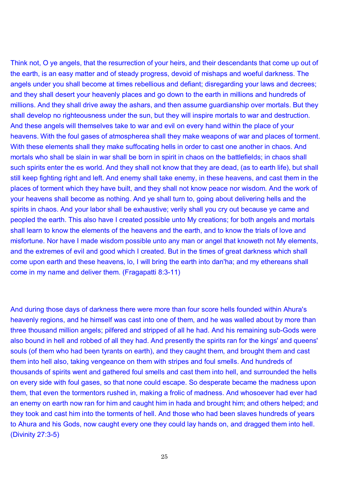Think not, O ye angels, that the resurrection of your heirs, and their descendants that come up out of the earth, is an easy matter and of steady progress, devoid of mishaps and woeful darkness. The angels under you shall become at times rebellious and defiant; disregarding your laws and decrees; and they shall desert your heavenly places and go down to the earth in millions and hundreds of millions. And they shall drive away the ashars, and then assume guardianship over mortals. But they shall develop no righteousness under the sun, but they will inspire mortals to war and destruction. And these angels will themselves take to war and evil on every hand within the place of your heavens. With the foul gases of atmospherea shall they make weapons of war and places of torment. With these elements shall they make suffocating hells in order to cast one another in chaos. And mortals who shall be slain in war shall be born in spirit in chaos on the battlefields; in chaos shall such spirits enter the es world. And they shall not know that they are dead, (as to earth life), but shall still keep fighting right and left. And enemy shall take enemy, in these heavens, and cast them in the places of torment which they have built, and they shall not know peace nor wisdom. And the work of your heavens shall become as nothing. And ye shall turn to, going about delivering hells and the spirits in chaos. And your labor shall be exhaustive; verily shall you cry out because ye came and peopled the earth. This also have I created possible unto My creations; for both angels and mortals shall learn to know the elements of the heavens and the earth, and to know the trials of love and misfortune. Nor have I made wisdom possible unto any man or angel that knoweth not My elements, and the extremes of evil and good which I created. But in the times of great darkness which shall come upon earth and these heavens, lo, I will bring the earth into dan'ha; and my ethereans shall come in my name and deliver them. (Fragapatti 8:3-11)

And during those days of darkness there were more than four score hells founded within Ahura's heavenly regions, and he himself was cast into one of them, and he was walled about by more than three thousand million angels; pilfered and stripped of all he had. And his remaining sub-Gods were also bound in hell and robbed of all they had. And presently the spirits ran for the kings' and queens' souls (of them who had been tyrants on earth), and they caught them, and brought them and cast them into hell also, taking vengeance on them with stripes and foul smells. And hundreds of thousands of spirits went and gathered foul smells and cast them into hell, and surrounded the hells on every side with foul gases, so that none could escape. So desperate became the madness upon them, that even the tormentors rushed in, making a frolic of madness. And whosoever had ever had an enemy on earth now ran for him and caught him in hada and brought him; and others helped; and they took and cast him into the torments of hell. And those who had been slaves hundreds of years to Ahura and his Gods, now caught every one they could lay hands on, and dragged them into hell. (Divinity 27:3-5)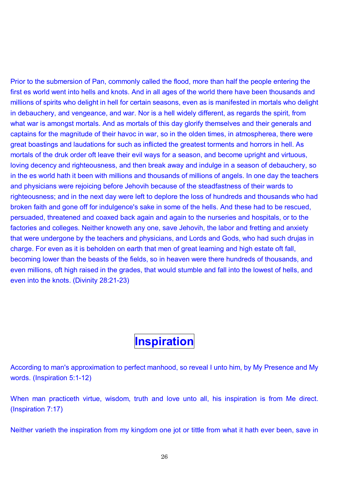Prior to the submersion of Pan, commonly called the flood, more than half the people entering the first es world went into hells and knots. And in all ages of the world there have been thousands and millions of spirits who delight in hell for certain seasons, even as is manifested in mortals who delight in debauchery, and vengeance, and war. Nor is a hell widely different, as regards the spirit, from what war is amongst mortals. And as mortals of this day glorify themselves and their generals and captains for the magnitude of their havoc in war, so in the olden times, in atmospherea, there were great boastings and laudations for such as inflicted the greatest torments and horrors in hell. As mortals of the druk order oft leave their evil ways for a season, and become upright and virtuous, loving decency and righteousness, and then break away and indulge in a season of debauchery, so in the es world hath it been with millions and thousands of millions of angels. In one day the teachers and physicians were rejoicing before Jehovih because of the steadfastness of their wards to righteousness; and in the next day were left to deplore the loss of hundreds and thousands who had broken faith and gone off for indulgence's sake in some of the hells. And these had to be rescued, persuaded, threatened and coaxed back again and again to the nurseries and hospitals, or to the factories and colleges. Neither knoweth any one, save Jehovih, the labor and fretting and anxiety that were undergone by the teachers and physicians, and Lords and Gods, who had such drujas in charge. For even as it is beholden on earth that men of great learning and high estate oft fall, becoming lower than the beasts of the fields, so in heaven were there hundreds of thousands, and even millions, oft high raised in the grades, that would stumble and fall into the lowest of hells, and even into the knots. (Divinity 28:21-23)

## **Inspiration**

According to man's approximation to perfect manhood, so reveal I unto him, by My Presence and My words. (Inspiration 5:1-12)

When man practiceth virtue, wisdom, truth and love unto all, his inspiration is from Me direct. (Inspiration 7:17)

Neither varieth the inspiration from my kingdom one jot or tittle from what it hath ever been, save in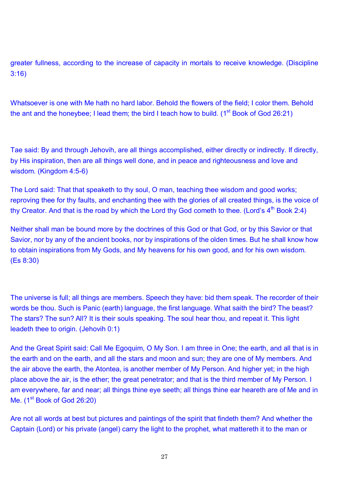greater fullness, according to the increase of capacity in mortals to receive knowledge. (Discipline 3:16)

Whatsoever is one with Me hath no hard labor. Behold the flowers of the field; I color them. Behold the ant and the honeybee; I lead them; the bird I teach how to build. ( $1<sup>st</sup>$  Book of God 26:21)

Tae said: By and through Jehovih, are all things accomplished, either directly or indirectly. If directly, by His inspiration, then are all things well done, and in peace and righteousness and love and wisdom. (Kingdom 4:5-6)

The Lord said: That that speaketh to thy soul, O man, teaching thee wisdom and good works; reproving thee for thy faults, and enchanting thee with the glories of all created things, is the voice of thy Creator. And that is the road by which the Lord thy God cometh to thee. (Lord's  $4<sup>th</sup>$  Book 2:4)

Neither shall man be bound more by the doctrines of this God or that God, or by this Savior or that Savior, nor by any of the ancient books, nor by inspirations of the olden times. But he shall know how to obtain inspirations from My Gods, and My heavens for his own good, and for his own wisdom. (Es 8:30)

The universe is full; all things are members. Speech they have: bid them speak. The recorder of their words be thou. Such is Panic (earth) language, the first language. What saith the bird? The beast? The stars? The sun? All? It is their souls speaking. The soul hear thou, and repeat it. This light leadeth thee to origin. (Jehovih 0:1)

And the Great Spirit said: Call Me Egoquim, O My Son. I am three in One; the earth, and all that is in the earth and on the earth, and all the stars and moon and sun; they are one of My members. And the air above the earth, the Atontea, is another member of My Person. And higher yet; in the high place above the air, is the ether; the great penetrator; and that is the third member of My Person. I am everywhere, far and near; all things thine eye seeth; all things thine ear heareth are of Me and in Me. (1<sup>st</sup> Book of God 26:20)

Are not all words at best but pictures and paintings of the spirit that findeth them? And whether the Captain (Lord) or his private (angel) carry the light to the prophet, what mattereth it to the man or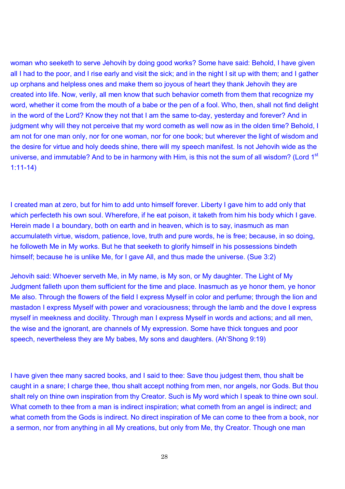woman who seeketh to serve Jehovih by doing good works? Some have said: Behold, I have given all I had to the poor, and I rise early and visit the sick; and in the night I sit up with them; and I gather up orphans and helpless ones and make them so joyous of heart they thank Jehovih they are created into life. Now, verily, all men know that such behavior cometh from them that recognize my word, whether it come from the mouth of a babe or the pen of a fool. Who, then, shall not find delight in the word of the Lord? Know they not that I am the same to-day, yesterday and forever? And in judgment why will they not perceive that my word cometh as well now as in the olden time? Behold, I am not for one man only, nor for one woman, nor for one book; but wherever the light of wisdom and the desire for virtue and holy deeds shine, there will my speech manifest. Is not Jehovih wide as the universe, and immutable? And to be in harmony with Him, is this not the sum of all wisdom? (Lord 1<sup>st</sup> 1:11-14)

I created man at zero, but for him to add unto himself forever. Liberty I gave him to add only that which perfecteth his own soul. Wherefore, if he eat poison, it taketh from him his body which I gave. Herein made I a boundary, both on earth and in heaven, which is to say, inasmuch as man accumulateth virtue, wisdom, patience, love, truth and pure words, he is free; because, in so doing, he followeth Me in My works. But he that seeketh to glorify himself in his possessions bindeth himself; because he is unlike Me, for I gave All, and thus made the universe. (Sue 3:2)

Jehovih said: Whoever serveth Me, in My name, is My son, or My daughter. The Light of My Judgment falleth upon them sufficient for the time and place. Inasmuch as ye honor them, ye honor Me also. Through the flowers of the field I express Myself in color and perfume; through the lion and mastadon I express Myself with power and voraciousness; through the lamb and the dove I express myself in meekness and docility. Through man I express Myself in words and actions; and all men, the wise and the ignorant, are channels of My expression. Some have thick tongues and poor speech, nevertheless they are My babes, My sons and daughters. (Ah'Shong 9:19)

I have given thee many sacred books, and I said to thee: Save thou judgest them, thou shalt be caught in a snare; I charge thee, thou shalt accept nothing from men, nor angels, nor Gods. But thou shalt rely on thine own inspiration from thy Creator. Such is My word which I speak to thine own soul. What cometh to thee from a man is indirect inspiration; what cometh from an angel is indirect; and what cometh from the Gods is indirect. No direct inspiration of Me can come to thee from a book, nor a sermon, nor from anything in all My creations, but only from Me, thy Creator. Though one man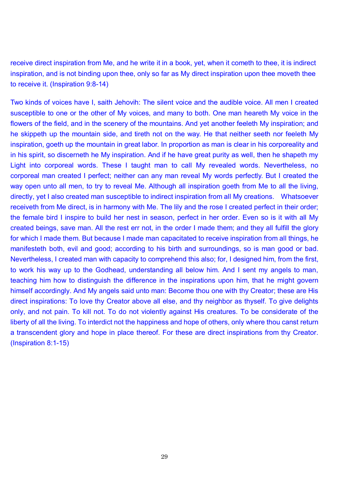receive direct inspiration from Me, and he write it in a book, yet, when it cometh to thee, it is indirect inspiration, and is not binding upon thee, only so far as My direct inspiration upon thee moveth thee to receive it. (Inspiration 9:8-14)

Two kinds of voices have I, saith Jehovih: The silent voice and the audible voice. All men I created susceptible to one or the other of My voices, and many to both. One man heareth My voice in the flowers of the field, and in the scenery of the mountains. And yet another feeleth My inspiration; and he skippeth up the mountain side, and tireth not on the way. He that neither seeth nor feeleth My inspiration, goeth up the mountain in great labor. In proportion as man is clear in his corporeality and in his spirit, so discerneth he My inspiration. And if he have great purity as well, then he shapeth my Light into corporeal words. These I taught man to call My revealed words. Nevertheless, no corporeal man created I perfect; neither can any man reveal My words perfectly. But I created the way open unto all men, to try to reveal Me. Although all inspiration goeth from Me to all the living, directly, yet I also created man susceptible to indirect inspiration from all My creations. Whatsoever receiveth from Me direct, is in harmony with Me. The lily and the rose I created perfect in their order; the female bird I inspire to build her nest in season, perfect in her order. Even so is it with all My created beings, save man. All the rest err not, in the order I made them; and they all fulfill the glory for which I made them. But because I made man capacitated to receive inspiration from all things, he manifesteth both, evil and good; according to his birth and surroundings, so is man good or bad. Nevertheless, I created man with capacity to comprehend this also; for, I designed him, from the first, to work his way up to the Godhead, understanding all below him. And I sent my angels to man, teaching him how to distinguish the difference in the inspirations upon him, that he might govern himself accordingly. And My angels said unto man: Become thou one with thy Creator; these are His direct inspirations: To love thy Creator above all else, and thy neighbor as thyself. To give delights only, and not pain. To kill not. To do not violently against His creatures. To be considerate of the liberty of all the living. To interdict not the happiness and hope of others, only where thou canst return a transcendent glory and hope in place thereof. For these are direct inspirations from thy Creator. (Inspiration 8:1-15)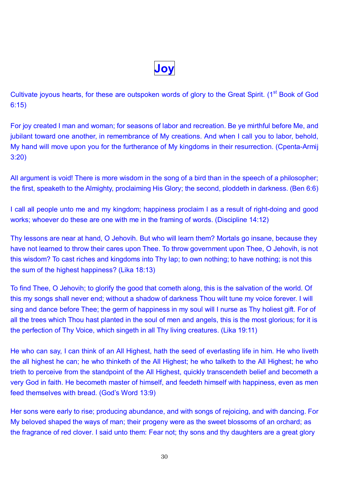**Joy** 

Cultivate joyous hearts, for these are outspoken words of glory to the Great Spirit. (1<sup>st</sup> Book of God 6:15)

For joy created I man and woman; for seasons of labor and recreation. Be ye mirthful before Me, and jubilant toward one another, in remembrance of My creations. And when I call you to labor, behold, My hand will move upon you for the furtherance of My kingdoms in their resurrection. (Cpenta-Armij 3:20)

All argument is void! There is more wisdom in the song of a bird than in the speech of a philosopher; the first, speaketh to the Almighty, proclaiming His Glory; the second, ploddeth in darkness. (Ben 6:6)

I call all people unto me and my kingdom; happiness proclaim I as a result of right-doing and good works; whoever do these are one with me in the framing of words. (Discipline 14:12)

Thy lessons are near at hand, O Jehovih. But who will learn them? Mortals go insane, because they have not learned to throw their cares upon Thee. To throw government upon Thee, O Jehovih, is not this wisdom? To cast riches and kingdoms into Thy lap; to own nothing; to have nothing; is not this the sum of the highest happiness? (Lika 18:13)

To find Thee, O Jehovih; to glorify the good that cometh along, this is the salvation of the world. Of this my songs shall never end; without a shadow of darkness Thou wilt tune my voice forever. I will sing and dance before Thee; the germ of happiness in my soul will I nurse as Thy holiest gift. For of all the trees which Thou hast planted in the soul of men and angels, this is the most glorious; for it is the perfection of Thy Voice, which singeth in all Thy living creatures. (Lika 19:11)

He who can say, I can think of an All Highest, hath the seed of everlasting life in him. He who liveth the all highest he can; he who thinketh of the All Highest; he who talketh to the All Highest; he who trieth to perceive from the standpoint of the All Highest, quickly transcendeth belief and becometh a very God in faith. He becometh master of himself, and feedeth himself with happiness, even as men feed themselves with bread. (God's Word 13:9)

Her sons were early to rise; producing abundance, and with songs of rejoicing, and with dancing. For My beloved shaped the ways of man; their progeny were as the sweet blossoms of an orchard; as the fragrance of red clover. I said unto them: Fear not; thy sons and thy daughters are a great glory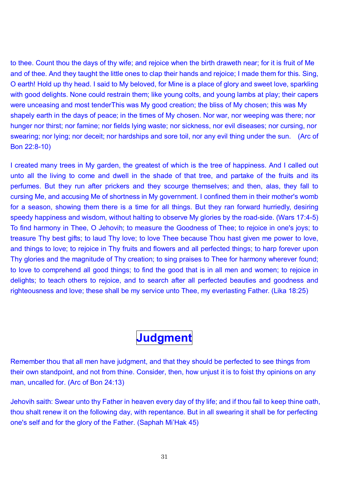to thee. Count thou the days of thy wife; and rejoice when the birth draweth near; for it is fruit of Me and of thee. And they taught the little ones to clap their hands and rejoice; I made them for this. Sing, O earth! Hold up thy head. I said to My beloved, for Mine is a place of glory and sweet love, sparkling with good delights. None could restrain them; like young colts, and young lambs at play; their capers were unceasing and most tenderThis was My good creation; the bliss of My chosen; this was My shapely earth in the days of peace; in the times of My chosen. Nor war, nor weeping was there; nor hunger nor thirst; nor famine; nor fields lying waste; nor sickness, nor evil diseases; nor cursing, nor swearing; nor lying; nor deceit; nor hardships and sore toil, nor any evil thing under the sun. (Arc of Bon 22:8-10)

I created many trees in My garden, the greatest of which is the tree of happiness. And I called out unto all the living to come and dwell in the shade of that tree, and partake of the fruits and its perfumes. But they run after prickers and they scourge themselves; and then, alas, they fall to cursing Me, and accusing Me of shortness in My government. I confined them in their mother's womb for a season, showing them there is a time for all things. But they ran forward hurriedly, desiring speedy happiness and wisdom, without halting to observe My glories by the road-side. (Wars 17:4-5) To find harmony in Thee, O Jehovih; to measure the Goodness of Thee; to rejoice in one's joys; to treasure Thy best gifts; to laud Thy love; to love Thee because Thou hast given me power to love, and things to love; to rejoice in Thy fruits and flowers and all perfected things; to harp forever upon Thy glories and the magnitude of Thy creation; to sing praises to Thee for harmony wherever found; to love to comprehend all good things; to find the good that is in all men and women; to rejoice in delights; to teach others to rejoice, and to search after all perfected beauties and goodness and righteousness and love; these shall be my service unto Thee, my everlasting Father. (Lika 18:25)

## **Judgment**

Remember thou that all men have judgment, and that they should be perfected to see things from their own standpoint, and not from thine. Consider, then, how unjust it is to foist thy opinions on any man, uncalled for. (Arc of Bon 24:13)

Jehovih saith: Swear unto thy Father in heaven every day of thy life; and if thou fail to keep thine oath, thou shalt renew it on the following day, with repentance. But in all swearing it shall be for perfecting one's self and for the glory of the Father. (Saphah Mi'Hak 45)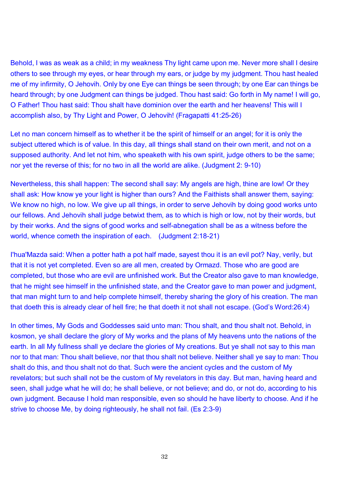Behold, I was as weak as a child; in my weakness Thy light came upon me. Never more shall I desire others to see through my eyes, or hear through my ears, or judge by my judgment. Thou hast healed me of my infirmity, O Jehovih. Only by one Eye can things be seen through; by one Ear can things be heard through; by one Judgment can things be judged. Thou hast said: Go forth in My name! I will go, O Father! Thou hast said: Thou shalt have dominion over the earth and her heavens! This will I accomplish also, by Thy Light and Power, O Jehovih! (Fragapatti 41:25-26)

Let no man concern himself as to whether it be the spirit of himself or an angel; for it is only the subject uttered which is of value. In this day, all things shall stand on their own merit, and not on a supposed authority. And let not him, who speaketh with his own spirit, judge others to be the same; nor yet the reverse of this; for no two in all the world are alike. (Judgment 2: 9-10)

Nevertheless, this shall happen: The second shall say: My angels are high, thine are low! Or they shall ask: How know ye your light is higher than ours? And the Faithists shall answer them, saying: We know no high, no low. We give up all things, in order to serve Jehovih by doing good works unto our fellows. And Jehovih shall judge betwixt them, as to which is high or low, not by their words, but by their works. And the signs of good works and self-abnegation shall be as a witness before the world, whence cometh the inspiration of each. (Judgment 2:18-21)

I'hua'Mazda said: When a potter hath a pot half made, sayest thou it is an evil pot? Nay, verily, but that it is not yet completed. Even so are all men, created by Ormazd. Those who are good are completed, but those who are evil are unfinished work. But the Creator also gave to man knowledge, that he might see himself in the unfinished state, and the Creator gave to man power and judgment, that man might turn to and help complete himself, thereby sharing the glory of his creation. The man that doeth this is already clear of hell fire; he that doeth it not shall not escape. (God's Word:26:4)

In other times, My Gods and Goddesses said unto man: Thou shalt, and thou shalt not. Behold, in kosmon, ye shall declare the glory of My works and the plans of My heavens unto the nations of the earth. In all My fullness shall ye declare the glories of My creations. But ye shall not say to this man nor to that man: Thou shalt believe, nor that thou shalt not believe. Neither shall ye say to man: Thou shalt do this, and thou shalt not do that. Such were the ancient cycles and the custom of My revelators; but such shall not be the custom of My revelators in this day. But man, having heard and seen, shall judge what he will do; he shall believe, or not believe; and do, or not do, according to his own judgment. Because I hold man responsible, even so should he have liberty to choose. And if he strive to choose Me, by doing righteously, he shall not fail. (Es 2:3-9)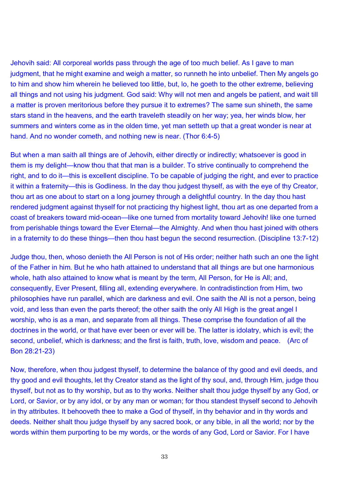Jehovih said: All corporeal worlds pass through the age of too much belief. As I gave to man judgment, that he might examine and weigh a matter, so runneth he into unbelief. Then My angels go to him and show him wherein he believed too little, but, lo, he goeth to the other extreme, believing all things and not using his judgment. God said: Why will not men and angels be patient, and wait till a matter is proven meritorious before they pursue it to extremes? The same sun shineth, the same stars stand in the heavens, and the earth traveleth steadily on her way; yea, her winds blow, her summers and winters come as in the olden time, yet man setteth up that a great wonder is near at hand. And no wonder cometh, and nothing new is near. (Thor 6:4-5)

But when a man saith all things are of Jehovih, either directly or indirectly; whatsoever is good in them is my delight—know thou that that man is a builder. To strive continually to comprehend the right, and to do it—this is excellent discipline. To be capable of judging the right, and ever to practice it within a fraternity—this is Godliness. In the day thou judgest thyself, as with the eye of thy Creator, thou art as one about to start on a long journey through a delightful country. In the day thou hast rendered judgment against thyself for not practicing thy highest light, thou art as one departed from a coast of breakers toward mid-ocean—like one turned from mortality toward Jehovih! like one turned from perishable things toward the Ever Eternal—the Almighty. And when thou hast joined with others in a fraternity to do these things—then thou hast begun the second resurrection. (Discipline 13:7-12)

Judge thou, then, whoso denieth the All Person is not of His order; neither hath such an one the light of the Father in him. But he who hath attained to understand that all things are but one harmonious whole, hath also attained to know what is meant by the term, All Person, for He is All; and, consequently, Ever Present, filling all, extending everywhere. In contradistinction from Him, two philosophies have run parallel, which are darkness and evil. One saith the All is not a person, being void, and less than even the parts thereof; the other saith the only All High is the great angel I worship, who is as a man, and separate from all things. These comprise the foundation of all the doctrines in the world, or that have ever been or ever will be. The latter is idolatry, which is evil; the second, unbelief, which is darkness; and the first is faith, truth, love, wisdom and peace. (Arc of Bon 28:21-23)

Now, therefore, when thou judgest thyself, to determine the balance of thy good and evil deeds, and thy good and evil thoughts, let thy Creator stand as the light of thy soul, and, through Him, judge thou thyself, but not as to thy worship, but as to thy works. Neither shalt thou judge thyself by any God, or Lord, or Savior, or by any idol, or by any man or woman; for thou standest thyself second to Jehovih in thy attributes. It behooveth thee to make a God of thyself, in thy behavior and in thy words and deeds. Neither shalt thou judge thyself by any sacred book, or any bible, in all the world; nor by the words within them purporting to be my words, or the words of any God, Lord or Savior. For I have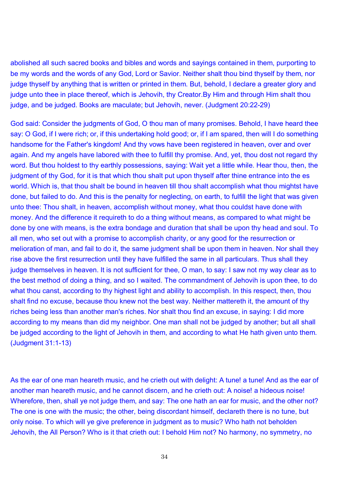abolished all such sacred books and bibles and words and sayings contained in them, purporting to be my words and the words of any God, Lord or Savior. Neither shalt thou bind thyself by them, nor judge thyself by anything that is written or printed in them. But, behold, I declare a greater glory and judge unto thee in place thereof, which is Jehovih, thy Creator.By Him and through Him shalt thou judge, and be judged. Books are maculate; but Jehovih, never. (Judgment 20:22-29)

God said: Consider the judgments of God, O thou man of many promises. Behold, I have heard thee say: O God, if I were rich; or, if this undertaking hold good; or, if I am spared, then will I do something handsome for the Father's kingdom! And thy vows have been registered in heaven, over and over again. And my angels have labored with thee to fulfill thy promise. And, yet, thou dost not regard thy word. But thou holdest to thy earthly possessions, saying: Wait yet a little while. Hear thou, then, the judgment of thy God, for it is that which thou shalt put upon thyself after thine entrance into the es world. Which is, that thou shalt be bound in heaven till thou shalt accomplish what thou mightst have done, but failed to do. And this is the penalty for neglecting, on earth, to fulfill the light that was given unto thee: Thou shalt, in heaven, accomplish without money, what thou couldst have done with money. And the difference it requireth to do a thing without means, as compared to what might be done by one with means, is the extra bondage and duration that shall be upon thy head and soul. To all men, who set out with a promise to accomplish charity, or any good for the resurrection or melioration of man, and fail to do it, the same judgment shall be upon them in heaven. Nor shall they rise above the first resurrection until they have fulfilled the same in all particulars. Thus shall they judge themselves in heaven. It is not sufficient for thee, O man, to say: I saw not my way clear as to the best method of doing a thing, and so I waited. The commandment of Jehovih is upon thee, to do what thou canst, according to thy highest light and ability to accomplish. In this respect, then, thou shalt find no excuse, because thou knew not the best way. Neither mattereth it, the amount of thy riches being less than another man's riches. Nor shalt thou find an excuse, in saying: I did more according to my means than did my neighbor. One man shall not be judged by another; but all shall be judged according to the light of Jehovih in them, and according to what He hath given unto them. (Judgment 31:1-13)

As the ear of one man heareth music, and he crieth out with delight: A tune! a tune! And as the ear of another man heareth music, and he cannot discern, and he crieth out: A noise! a hideous noise! Wherefore, then, shall ye not judge them, and say: The one hath an ear for music, and the other not? The one is one with the music; the other, being discordant himself, declareth there is no tune, but only noise. To which will ye give preference in judgment as to music? Who hath not beholden Jehovih, the All Person? Who is it that crieth out: I behold Him not? No harmony, no symmetry, no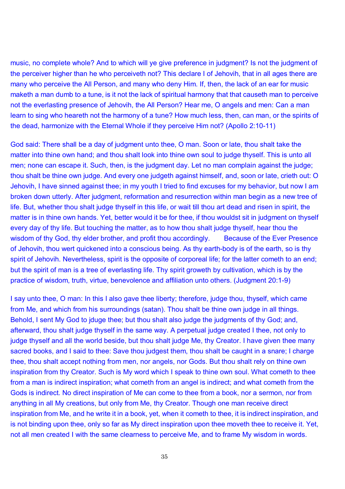music, no complete whole? And to which will ye give preference in judgment? Is not the judgment of the perceiver higher than he who perceiveth not? This declare I of Jehovih, that in all ages there are many who perceive the All Person, and many who deny Him. If, then, the lack of an ear for music maketh a man dumb to a tune, is it not the lack of spiritual harmony that that causeth man to perceive not the everlasting presence of Jehovih, the All Person? Hear me, O angels and men: Can a man learn to sing who heareth not the harmony of a tune? How much less, then, can man, or the spirits of the dead, harmonize with the Eternal Whole if they perceive Him not? (Apollo 2:10-11)

God said: There shall be a day of judgment unto thee, O man. Soon or late, thou shalt take the matter into thine own hand; and thou shalt look into thine own soul to judge thyself. This is unto all men; none can escape it. Such, then, is the judgment day. Let no man complain against the judge; thou shalt be thine own judge. And every one judgeth against himself, and, soon or late, crieth out: O Jehovih, I have sinned against thee; in my youth I tried to find excuses for my behavior, but now I am broken down utterly. After judgment, reformation and resurrection within man begin as a new tree of life. But, whether thou shalt judge thyself in this life, or wait till thou art dead and risen in spirit, the matter is in thine own hands. Yet, better would it be for thee, if thou wouldst sit in judgment on thyself every day of thy life. But touching the matter, as to how thou shalt judge thyself, hear thou the wisdom of thy God, thy elder brother, and profit thou accordingly. Because of the Ever Presence of Jehovih, thou wert quickened into a conscious being. As thy earth-body is of the earth, so is thy spirit of Jehovih. Nevertheless, spirit is the opposite of corporeal life; for the latter cometh to an end; but the spirit of man is a tree of everlasting life. Thy spirit groweth by cultivation, which is by the practice of wisdom, truth, virtue, benevolence and affiliation unto others. (Judgment 20:1-9)

I say unto thee, O man: In this I also gave thee liberty; therefore, judge thou, thyself, which came from Me, and which from his surroundings (satan). Thou shalt be thine own judge in all things. Behold, I sent My God to jduge thee; but thou shalt also judge the judgments of thy God; and, afterward, thou shalt judge thyself in the same way. A perpetual judge created I thee, not only to judge thyself and all the world beside, but thou shalt judge Me, thy Creator. I have given thee many sacred books, and I said to thee: Save thou judgest them, thou shalt be caught in a snare; I charge thee, thou shalt accept nothing from men, nor angels, nor Gods. But thou shalt rely on thine own inspiration from thy Creator. Such is My word which I speak to thine own soul. What cometh to thee from a man is indirect inspiration; what cometh from an angel is indirect; and what cometh from the Gods is indirect. No direct inspiration of Me can come to thee from a book, nor a sermon, nor from anything in all My creations, but only from Me, thy Creator. Though one man receive direct inspiration from Me, and he write it in a book, yet, when it cometh to thee, it is indirect inspiration, and is not binding upon thee, only so far as My direct inspiration upon thee moveth thee to receive it. Yet, not all men created I with the same clearness to perceive Me, and to frame My wisdom in words.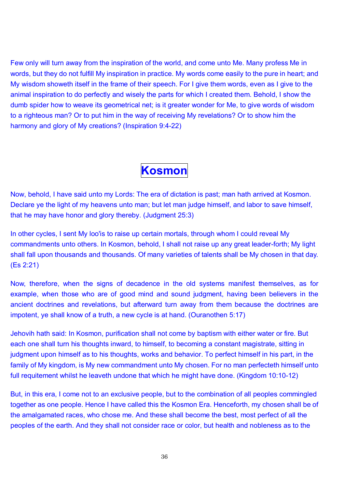Few only will turn away from the inspiration of the world, and come unto Me. Many profess Me in words, but they do not fulfill My inspiration in practice. My words come easily to the pure in heart; and My wisdom showeth itself in the frame of their speech. For I give them words, even as I give to the animal inspiration to do perfectly and wisely the parts for which I created them. Behold, I show the dumb spider how to weave its geometrical net; is it greater wonder for Me, to give words of wisdom to a righteous man? Or to put him in the way of receiving My revelations? Or to show him the harmony and glory of My creations? (Inspiration 9:4-22)

# **Kosmon**

Now, behold, I have said unto my Lords: The era of dictation is past; man hath arrived at Kosmon. Declare ye the light of my heavens unto man; but let man judge himself, and labor to save himself, that he may have honor and glory thereby. (Judgment 25:3)

In other cycles, I sent My loo'is to raise up certain mortals, through whom I could reveal My commandments unto others. In Kosmon, behold, I shall not raise up any great leader-forth; My light shall fall upon thousands and thousands. Of many varieties of talents shall be My chosen in that day. (Es 2:21)

Now, therefore, when the signs of decadence in the old systems manifest themselves, as for example, when those who are of good mind and sound judgment, having been believers in the ancient doctrines and revelations, but afterward turn away from them because the doctrines are impotent, ye shall know of a truth, a new cycle is at hand. (Ouranothen 5:17)

Jehovih hath said: In Kosmon, purification shall not come by baptism with either water or fire. But each one shall turn his thoughts inward, to himself, to becoming a constant magistrate, sitting in judgment upon himself as to his thoughts, works and behavior. To perfect himself in his part, in the family of My kingdom, is My new commandment unto My chosen. For no man perfecteth himself unto full requitement whilst he leaveth undone that which he might have done. (Kingdom 10:10-12)

But, in this era, I come not to an exclusive people, but to the combination of all peoples commingled together as one people. Hence I have called this the Kosmon Era. Henceforth, my chosen shall be of the amalgamated races, who chose me. And these shall become the best, most perfect of all the peoples of the earth. And they shall not consider race or color, but health and nobleness as to the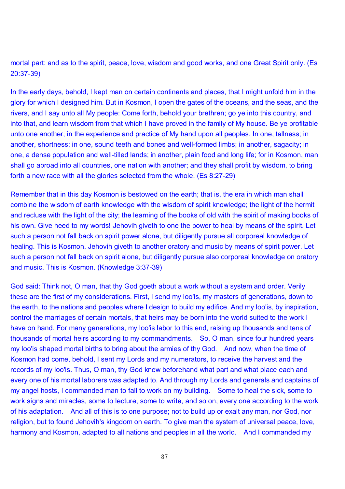mortal part: and as to the spirit, peace, love, wisdom and good works, and one Great Spirit only. (Es 20:37-39)

In the early days, behold, I kept man on certain continents and places, that I might unfold him in the glory for which I designed him. But in Kosmon, I open the gates of the oceans, and the seas, and the rivers, and I say unto all My people: Come forth, behold your brethren; go ye into this country, and into that, and learn wisdom from that which I have proved in the family of My house. Be ye profitable unto one another, in the experience and practice of My hand upon all peoples. In one, tallness; in another, shortness; in one, sound teeth and bones and well-formed limbs; in another, sagacity; in one, a dense population and well-tilled lands; in another, plain food and long life; for in Kosmon, man shall go abroad into all countries, one nation with another; and they shall profit by wisdom, to bring forth a new race with all the glories selected from the whole. (Es 8:27-29)

Remember that in this day Kosmon is bestowed on the earth; that is, the era in which man shall combine the wisdom of earth knowledge with the wisdom of spirit knowledge; the light of the hermit and recluse with the light of the city; the learning of the books of old with the spirit of making books of his own. Give heed to my words! Jehovih giveth to one the power to heal by means of the spirit. Let such a person not fall back on spirit power alone, but diligently pursue all corporeal knowledge of healing. This is Kosmon. Jehovih giveth to another oratory and music by means of spirit power. Let such a person not fall back on spirit alone, but diligently pursue also corporeal knowledge on oratory and music. This is Kosmon. (Knowledge 3:37-39)

God said: Think not, O man, that thy God goeth about a work without a system and order. Verily these are the first of my considerations. First, I send my loo'is, my masters of generations, down to the earth, to the nations and peoples where I design to build my edifice. And my loo'is, by inspiration, control the marriages of certain mortals, that heirs may be born into the world suited to the work I have on hand. For many generations, my loo'is labor to this end, raising up thousands and tens of thousands of mortal heirs according to my commandments. So, O man, since four hundred years my loo'is shaped mortal births to bring about the armies of thy God. And now, when the time of Kosmon had come, behold, I sent my Lords and my numerators, to receive the harvest and the records of my loo'is. Thus, O man, thy God knew beforehand what part and what place each and every one of his mortal laborers was adapted to. And through my Lords and generals and captains of my angel hosts, I commanded man to fall to work on my building. Some to heal the sick, some to work signs and miracles, some to lecture, some to write, and so on, every one according to the work of his adaptation. And all of this is to one purpose; not to build up or exalt any man, nor God, nor religion, but to found Jehovih's kingdom on earth. To give man the system of universal peace, love, harmony and Kosmon, adapted to all nations and peoples in all the world. And I commanded my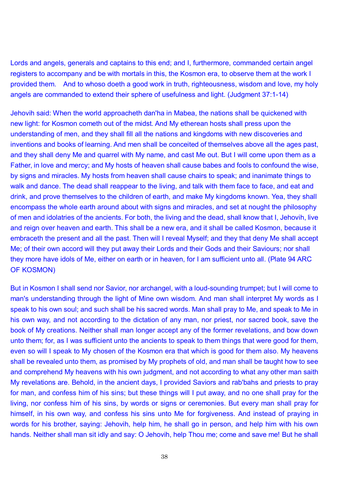Lords and angels, generals and captains to this end; and I, furthermore, commanded certain angel registers to accompany and be with mortals in this, the Kosmon era, to observe them at the work I provided them. And to whoso doeth a good work in truth, righteousness, wisdom and love, my holy angels are commanded to extend their sphere of usefulness and light. (Judgment 37:1-14)

Jehovih said: When the world approacheth dan'ha in Mabea, the nations shall be quickened with new light: for Kosmon cometh out of the midst. And My etherean hosts shall press upon the understanding of men, and they shall fill all the nations and kingdoms with new discoveries and inventions and books of learning. And men shall be conceited of themselves above all the ages past, and they shall deny Me and quarrel with My name, and cast Me out. But I will come upon them as a Father, in love and mercy; and My hosts of heaven shall cause babes and fools to confound the wise, by signs and miracles. My hosts from heaven shall cause chairs to speak; and inanimate things to walk and dance. The dead shall reappear to the living, and talk with them face to face, and eat and drink, and prove themselves to the children of earth, and make My kingdoms known. Yea, they shall encompass the whole earth around about with signs and miracles, and set at nought the philosophy of men and idolatries of the ancients. For both, the living and the dead, shall know that I, Jehovih, live and reign over heaven and earth. This shall be a new era, and it shall be called Kosmon, because it embraceth the present and all the past. Then will I reveal Myself; and they that deny Me shall accept Me; of their own accord will they put away their Lords and their Gods and their Saviours; nor shall they more have idols of Me, either on earth or in heaven, for I am sufficient unto all. (Plate 94 ARC OF KOSMON)

But in Kosmon I shall send nor Savior, nor archangel, with a loud-sounding trumpet; but I will come to man's understanding through the light of Mine own wisdom. And man shall interpret My words as I speak to his own soul; and such shall be his sacred words. Man shall pray to Me, and speak to Me in his own way, and not according to the dictation of any man, nor priest, nor sacred book, save the book of My creations. Neither shall man longer accept any of the former revelations, and bow down unto them; for, as I was sufficient unto the ancients to speak to them things that were good for them, even so will I speak to My chosen of the Kosmon era that which is good for them also. My heavens shall be revealed unto them, as promised by My prophets of old, and man shall be taught how to see and comprehend My heavens with his own judgment, and not according to what any other man saith My revelations are. Behold, in the ancient days, I provided Saviors and rab'bahs and priests to pray for man, and confess him of his sins; but these things will I put away, and no one shall pray for the living, nor confess him of his sins, by words or signs or ceremonies. But every man shall pray for himself, in his own way, and confess his sins unto Me for forgiveness. And instead of praying in words for his brother, saying: Jehovih, help him, he shall go in person, and help him with his own hands. Neither shall man sit idly and say: O Jehovih, help Thou me; come and save me! But he shall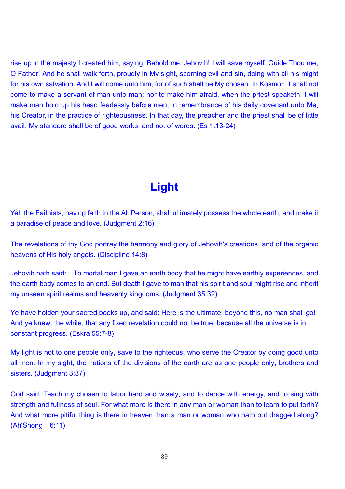rise up in the majesty I created him, saying: Behold me, Jehovih! I will save myself. Guide Thou me, O Father! And he shall walk forth, proudly in My sight, scorning evil and sin, doing with all his might for his own salvation. And I will come unto him, for of such shall be My chosen. In Kosmon, I shall not come to make a servant of man unto man; nor to make him afraid, when the priest speaketh. I will make man hold up his head fearlessly before men, in remembrance of his daily covenant unto Me, his Creator, in the practice of righteousness. In that day, the preacher and the priest shall be of little avail; My standard shall be of good works, and not of words. (Es 1:13-24)

## **Light**

Yet, the Faithists, having faith in the All Person, shall ultimately possess the whole earth, and make it a paradise of peace and love. (Judgment 2:16)

The revelations of thy God portray the harmony and glory of Jehovih's creations, and of the organic heavens of His holy angels. (Discipline 14:8)

Jehovih hath said: To mortal man I gave an earth body that he might have earthly experiences, and the earth body comes to an end. But death I gave to man that his spirit and soul might rise and inherit my unseen spirit realms and heavenly kingdoms. (Judgment 35:32)

Ye have holden your sacred books up, and said: Here is the ultimate; beyond this, no man shall go! And ye knew, the while, that any fixed revelation could not be true, because all the universe is in constant progress. (Eskra 55:7-8)

My light is not to one people only, save to the righteous, who serve the Creator by doing good unto all men. In my sight, the nations of the divisions of the earth are as one people only, brothers and sisters. (Judgment 3:37)

God said: Teach my chosen to labor hard and wisely; and to dance with energy, and to sing with strength and fullness of soul. For what more is there in any man or woman than to learn to put forth? And what more pitiful thing is there in heaven than a man or woman who hath but dragged along? (Ah'Shong 6:11)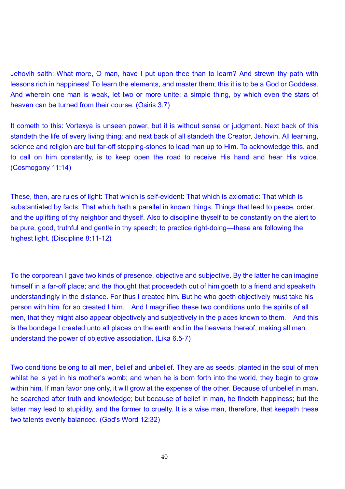Jehovih saith: What more, O man, have I put upon thee than to learn? And strewn thy path with lessons rich in happiness! To learn the elements, and master them; this it is to be a God or Goddess. And wherein one man is weak, let two or more unite; a simple thing, by which even the stars of

heaven can be turned from their course. (Osiris 3:7)

It cometh to this: Vortexya is unseen power, but it is without sense or judgment. Next back of this standeth the life of every living thing; and next back of all standeth the Creator, Jehovih. All learning, science and religion are but far-off stepping-stones to lead man up to Him. To acknowledge this, and to call on him constantly, is to keep open the road to receive His hand and hear His voice. (Cosmogony 11:14)

These, then, are rules of light: That which is self-evident: That which is axiomatic: That which is substantiated by facts: That which hath a parallel in known things: Things that lead to peace, order, and the uplifting of thy neighbor and thyself. Also to discipline thyself to be constantly on the alert to be pure, good, truthful and gentle in thy speech; to practice right-doing—these are following the highest light. (Discipline 8:11-12)

To the corporean I gave two kinds of presence, objective and subjective. By the latter he can imagine himself in a far-off place; and the thought that proceedeth out of him goeth to a friend and speaketh understandingly in the distance. For thus I created him. But he who goeth objectively must take his person with him, for so created I him. And I magnified these two conditions unto the spirits of all men, that they might also appear objectively and subjectively in the places known to them. And this is the bondage I created unto all places on the earth and in the heavens thereof, making all men understand the power of objective association. (Lika 6.5-7)

Two conditions belong to all men, belief and unbelief. They are as seeds, planted in the soul of men whilst he is yet in his mother's womb; and when he is born forth into the world, they begin to grow within him. If man favor one only, it will grow at the expense of the other. Because of unbelief in man, he searched after truth and knowledge; but because of belief in man, he findeth happiness; but the latter may lead to stupidity, and the former to cruelty. It is a wise man, therefore, that keepeth these two talents evenly balanced. (God's Word 12:32)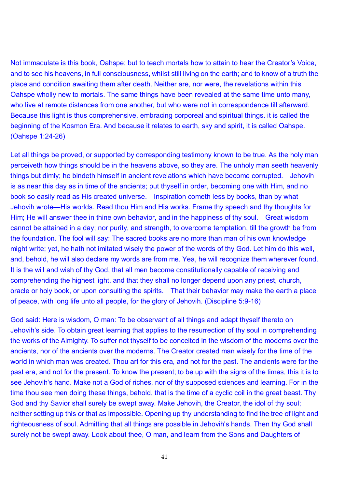Not immaculate is this book, Oahspe; but to teach mortals how to attain to hear the Creator's Voice, and to see his heavens, in full consciousness, whilst still living on the earth; and to know of a truth the place and condition awaiting them after death. Neither are, nor were, the revelations within this Oahspe wholly new to mortals. The same things have been revealed at the same time unto many, who live at remote distances from one another, but who were not in correspondence till afterward. Because this light is thus comprehensive, embracing corporeal and spiritual things. it is called the beginning of the Kosmon Era. And because it relates to earth, sky and spirit, it is called Oahspe. (Oahspe 1:24-26)

Let all things be proved, or supported by corresponding testimony known to be true. As the holy man perceiveth how things should be in the heavens above, so they are. The unholy man seeth heavenly things but dimly; he bindeth himself in ancient revelations which have become corrupted. Jehovih is as near this day as in time of the ancients; put thyself in order, becoming one with Him, and no book so easily read as His created universe. Inspiration cometh less by books, than by what Jehovih wrote—His worlds. Read thou Him and His works. Frame thy speech and thy thoughts for Him; He will answer thee in thine own behavior, and in the happiness of thy soul. Great wisdom cannot be attained in a day; nor purity, and strength, to overcome temptation, till the growth be from the foundation. The fool will say: The sacred books are no more than man of his own knowledge might write; yet, he hath not imitated wisely the power of the words of thy God. Let him do this well, and, behold, he will also declare my words are from me. Yea, he will recognize them wherever found. It is the will and wish of thy God, that all men become constitutionally capable of receiving and comprehending the highest light, and that they shall no longer depend upon any priest, church, oracle or holy book, or upon consulting the spirits. That their behavior may make the earth a place of peace, with long life unto all people, for the glory of Jehovih. (Discipline 5:9-16)

God said: Here is wisdom, O man: To be observant of all things and adapt thyself thereto on Jehovih's side. To obtain great learning that applies to the resurrection of thy soul in comprehending the works of the Almighty. To suffer not thyself to be conceited in the wisdom of the moderns over the ancients, nor of the ancients over the moderns. The Creator created man wisely for the time of the world in which man was created. Thou art for this era, and not for the past. The ancients were for the past era, and not for the present. To know the present; to be up with the signs of the times, this it is to see Jehovih's hand. Make not a God of riches, nor of thy supposed sciences and learning. For in the time thou see men doing these things, behold, that is the time of a cyclic coil in the great beast. Thy God and thy Savior shall surely be swept away. Make Jehovih, the Creator, the idol of thy soul; neither setting up this or that as impossible. Opening up thy understanding to find the tree of light and righteousness of soul. Admitting that all things are possible in Jehovih's hands. Then thy God shall surely not be swept away. Look about thee, O man, and learn from the Sons and Daughters of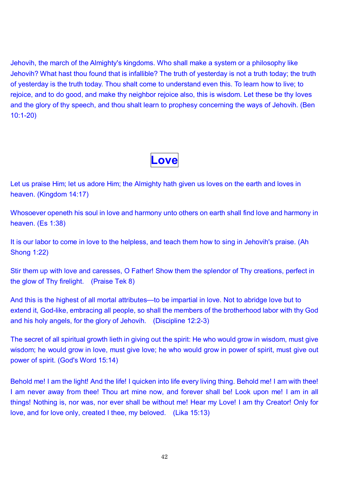Jehovih, the march of the Almighty's kingdoms. Who shall make a system or a philosophy like Jehovih? What hast thou found that is infallible? The truth of yesterday is not a truth today; the truth of yesterday is the truth today. Thou shalt come to understand even this. To learn how to live; to rejoice, and to do good, and make thy neighbor rejoice also, this is wisdom. Let these be thy loves and the glory of thy speech, and thou shalt learn to prophesy concerning the ways of Jehovih. (Ben 10:1-20)



Let us praise Him; let us adore Him; the Almighty hath given us loves on the earth and loves in heaven. (Kingdom 14:17)

Whosoever openeth his soul in love and harmony unto others on earth shall find love and harmony in heaven. (Es 1:38)

It is our labor to come in love to the helpless, and teach them how to sing in Jehovih's praise. (Ah Shong 1:22)

Stir them up with love and caresses, O Father! Show them the splendor of Thy creations, perfect in the glow of Thy firelight. (Praise Tek 8)

And this is the highest of all mortal attributes—to be impartial in love. Not to abridge love but to extend it, God-like, embracing all people, so shall the members of the brotherhood labor with thy God and his holy angels, for the glory of Jehovih. (Discipline 12:2-3)

The secret of all spiritual growth lieth in giving out the spirit: He who would grow in wisdom, must give wisdom; he would grow in love, must give love; he who would grow in power of spirit, must give out power of spirit. (God's Word 15:14)

Behold me! I am the light! And the life! I quicken into life every living thing. Behold me! I am with thee! I am never away from thee! Thou art mine now, and forever shall be! Look upon me! I am in all things! Nothing is, nor was, nor ever shall be without me! Hear my Love! I am thy Creator! Only for love, and for love only, created I thee, my beloved. (Lika 15:13)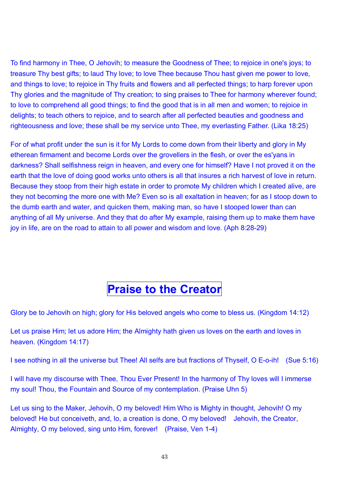To find harmony in Thee, O Jehovih; to measure the Goodness of Thee; to rejoice in one's joys; to treasure Thy best gifts; to laud Thy love; to love Thee because Thou hast given me power to love, and things to love; to rejoice in Thy fruits and flowers and all perfected things; to harp forever upon Thy glories and the magnitude of Thy creation; to sing praises to Thee for harmony wherever found; to love to comprehend all good things; to find the good that is in all men and women; to rejoice in delights; to teach others to rejoice, and to search after all perfected beauties and goodness and righteousness and love; these shall be my service unto Thee, my everlasting Father. (Lika 18:25)

For of what profit under the sun is it for My Lords to come down from their liberty and glory in My etherean firmament and become Lords over the grovellers in the flesh, or over the es'yans in darkness? Shall selfishness reign in heaven, and every one for himself? Have I not proved it on the earth that the love of doing good works unto others is all that insures a rich harvest of love in return. Because they stoop from their high estate in order to promote My children which I created alive, are they not becoming the more one with Me? Even so is all exaltation in heaven; for as I stoop down to the dumb earth and water, and quicken them, making man, so have I stooped lower than can anything of all My universe. And they that do after My example, raising them up to make them have joy in life, are on the road to attain to all power and wisdom and love. (Aph 8:28-29)

### **Praise to the Creator**

Glory be to Jehovih on high; glory for His beloved angels who come to bless us. (Kingdom 14:12)

Let us praise Him; let us adore Him; the Almighty hath given us loves on the earth and loves in heaven. (Kingdom 14:17)

I see nothing in all the universe but Thee! All selfs are but fractions of Thyself, O E-o-ih! (Sue 5:16)

I will have my discourse with Thee, Thou Ever Present! In the harmony of Thy loves will I immerse my soul! Thou, the Fountain and Source of my contemplation. (Praise Uhn 5)

Let us sing to the Maker, Jehovih, O my beloved! Him Who is Mighty in thought, Jehovih! O my beloved! He but conceiveth, and, lo, a creation is done, O my beloved! Jehovih, the Creator, Almighty, O my beloved, sing unto Him, forever! (Praise, Ven 1-4)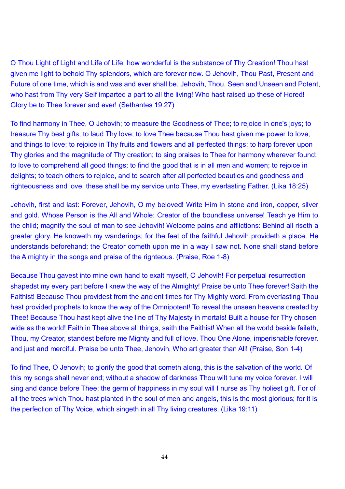O Thou Light of Light and Life of Life, how wonderful is the substance of Thy Creation! Thou hast given me light to behold Thy splendors, which are forever new. O Jehovih, Thou Past, Present and Future of one time, which is and was and ever shall be. Jehovih, Thou, Seen and Unseen and Potent, who hast from Thy very Self imparted a part to all the living! Who hast raised up these of Hored! Glory be to Thee forever and ever! (Sethantes 19:27)

To find harmony in Thee, O Jehovih; to measure the Goodness of Thee; to rejoice in one's joys; to treasure Thy best gifts; to laud Thy love; to love Thee because Thou hast given me power to love, and things to love; to rejoice in Thy fruits and flowers and all perfected things; to harp forever upon Thy glories and the magnitude of Thy creation; to sing praises to Thee for harmony wherever found; to love to comprehend all good things; to find the good that is in all men and women; to rejoice in delights; to teach others to rejoice, and to search after all perfected beauties and goodness and righteousness and love; these shall be my service unto Thee, my everlasting Father. (Lika 18:25)

Jehovih, first and last: Forever, Jehovih, O my beloved! Write Him in stone and iron, copper, silver and gold. Whose Person is the All and Whole: Creator of the boundless universe! Teach ye Him to the child; magnify the soul of man to see Jehovih! Welcome pains and afflictions: Behind all riseth a greater glory. He knoweth my wanderings; for the feet of the faithful Jehovih provideth a place. He understands beforehand; the Creator cometh upon me in a way I saw not. None shall stand before the Almighty in the songs and praise of the righteous. (Praise, Roe 1-8)

Because Thou gavest into mine own hand to exalt myself, O Jehovih! For perpetual resurrection shapedst my every part before I knew the way of the Almighty! Praise be unto Thee forever! Saith the Faithist! Because Thou providest from the ancient times for Thy Mighty word. From everlasting Thou hast provided prophets to know the way of the Omnipotent! To reveal the unseen heavens created by Thee! Because Thou hast kept alive the line of Thy Majesty in mortals! Built a house for Thy chosen wide as the world! Faith in Thee above all things, saith the Faithist! When all the world beside faileth, Thou, my Creator, standest before me Mighty and full of love. Thou One Alone, imperishable forever, and just and merciful. Praise be unto Thee, Jehovih, Who art greater than All! (Praise, Son 1-4)

To find Thee, O Jehovih; to glorify the good that cometh along, this is the salvation of the world. Of this my songs shall never end; without a shadow of darkness Thou wilt tune my voice forever. I will sing and dance before Thee; the germ of happiness in my soul will I nurse as Thy holiest gift. For of all the trees which Thou hast planted in the soul of men and angels, this is the most glorious; for it is the perfection of Thy Voice, which singeth in all Thy living creatures. (Lika 19:11)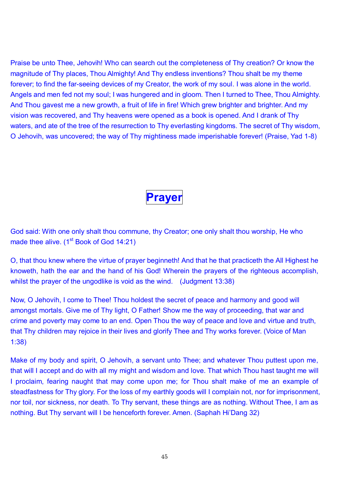Praise be unto Thee, Jehovih! Who can search out the completeness of Thy creation? Or know the magnitude of Thy places, Thou Almighty! And Thy endless inventions? Thou shalt be my theme forever; to find the far-seeing devices of my Creator, the work of my soul. I was alone in the world. Angels and men fed not my soul; I was hungered and in gloom. Then I turned to Thee, Thou Almighty. And Thou gavest me a new growth, a fruit of life in fire! Which grew brighter and brighter. And my vision was recovered, and Thy heavens were opened as a book is opened. And I drank of Thy waters, and ate of the tree of the resurrection to Thy everlasting kingdoms. The secret of Thy wisdom, O Jehovih, was uncovered; the way of Thy mightiness made imperishable forever! (Praise, Yad 1-8)

#### **Prayer**

God said: With one only shalt thou commune, thy Creator; one only shalt thou worship, He who made thee alive. (1<sup>st</sup> Book of God 14:21)

O, that thou knew where the virtue of prayer beginneth! And that he that practiceth the All Highest he knoweth, hath the ear and the hand of his God! Wherein the prayers of the righteous accomplish, whilst the prayer of the ungodlike is void as the wind. (Judgment 13:38)

Now, O Jehovih, I come to Thee! Thou holdest the secret of peace and harmony and good will amongst mortals. Give me of Thy light, O Father! Show me the way of proceeding, that war and crime and poverty may come to an end. Open Thou the way of peace and love and virtue and truth, that Thy children may rejoice in their lives and glorify Thee and Thy works forever. (Voice of Man 1:38)

Make of my body and spirit, O Jehovih, a servant unto Thee; and whatever Thou puttest upon me, that will I accept and do with all my might and wisdom and love. That which Thou hast taught me will I proclaim, fearing naught that may come upon me; for Thou shalt make of me an example of steadfastness for Thy glory. For the loss of my earthly goods will I complain not, nor for imprisonment, nor toil, nor sickness, nor death. To Thy servant, these things are as nothing. Without Thee, I am as nothing. But Thy servant will I be henceforth forever. Amen. (Saphah Hi'Dang 32)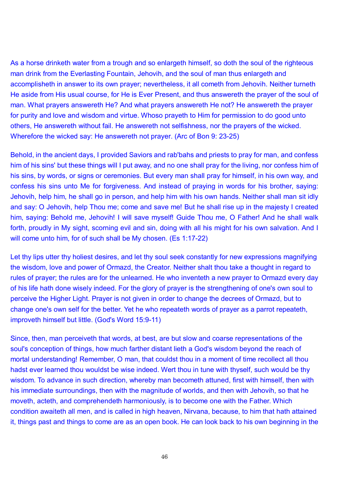As a horse drinketh water from a trough and so enlargeth himself, so doth the soul of the righteous man drink from the Everlasting Fountain, Jehovih, and the soul of man thus enlargeth and accomplisheth in answer to its own prayer; nevertheless, it all cometh from Jehovih. Neither turneth He aside from His usual course, for He is Ever Present, and thus answereth the prayer of the soul of man. What prayers answereth He? And what prayers answereth He not? He answereth the prayer for purity and love and wisdom and virtue. Whoso prayeth to Him for permission to do good unto others, He answereth without fail. He answereth not selfishness, nor the prayers of the wicked. Wherefore the wicked say: He answereth not prayer. (Arc of Bon 9: 23-25)

Behold, in the ancient days, I provided Saviors and rab'bahs and priests to pray for man, and confess him of his sins' but these things will I put away, and no one shall pray for the living, nor confess him of his sins, by words, or signs or ceremonies. But every man shall pray for himself, in his own way, and confess his sins unto Me for forgiveness. And instead of praying in words for his brother, saying: Jehovih, help him, he shall go in person, and help him with his own hands. Neither shall man sit idly and say: O Jehovih, help Thou me; come and save me! But he shall rise up in the majesty I created him, saying: Behold me, Jehovih! I will save myself! Guide Thou me, O Father! And he shall walk forth, proudly in My sight, scorning evil and sin, doing with all his might for his own salvation. And I will come unto him, for of such shall be My chosen. (Es 1:17-22)

Let thy lips utter thy holiest desires, and let thy soul seek constantly for new expressions magnifying the wisdom, love and power of Ormazd, the Creator. Neither shalt thou take a thought in regard to rules of prayer; the rules are for the unlearned. He who inventeth a new prayer to Ormazd every day of his life hath done wisely indeed. For the glory of prayer is the strengthening of one's own soul to perceive the Higher Light. Prayer is not given in order to change the decrees of Ormazd, but to change one's own self for the better. Yet he who repeateth words of prayer as a parrot repeateth, improveth himself but little. (God's Word 15:9-11)

Since, then, man perceiveth that words, at best, are but slow and coarse representations of the soul's conception of things, how much farther distant lieth a God's wisdom beyond the reach of mortal understanding! Remember, O man, that couldst thou in a moment of time recollect all thou hadst ever learned thou wouldst be wise indeed. Wert thou in tune with thyself, such would be thy wisdom. To advance in such direction, whereby man becometh attuned, first with himself, then with his immediate surroundings, then with the magnitude of worlds, and then with Jehovih, so that he moveth, acteth, and comprehendeth harmoniously, is to become one with the Father. Which condition awaiteth all men, and is called in high heaven, Nirvana, because, to him that hath attained it, things past and things to come are as an open book. He can look back to his own beginning in the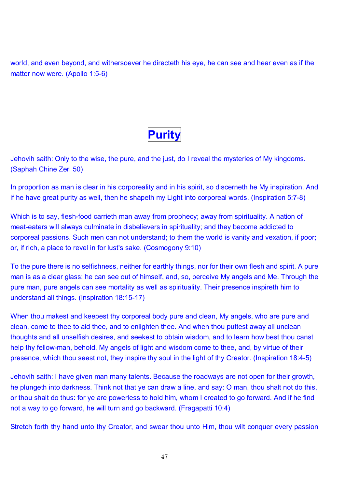world, and even beyond, and withersoever he directeth his eye, he can see and hear even as if the matter now were. (Apollo 1:5-6)



Jehovih saith: Only to the wise, the pure, and the just, do I reveal the mysteries of My kingdoms. (Saphah Chine Zerl 50)

In proportion as man is clear in his corporeality and in his spirit, so discerneth he My inspiration. And if he have great purity as well, then he shapeth my Light into corporeal words. (Inspiration 5:7-8)

Which is to say, flesh-food carrieth man away from prophecy; away from spirituality. A nation of meat-eaters will always culminate in disbelievers in spirituality; and they become addicted to corporeal passions. Such men can not understand; to them the world is vanity and vexation, if poor; or, if rich, a place to revel in for lust's sake. (Cosmogony 9:10)

To the pure there is no selfishness, neither for earthly things, nor for their own flesh and spirit. A pure man is as a clear glass; he can see out of himself, and, so, perceive My angels and Me. Through the pure man, pure angels can see mortality as well as spirituality. Their presence inspireth him to understand all things. (Inspiration 18:15-17)

When thou makest and keepest thy corporeal body pure and clean, My angels, who are pure and clean, come to thee to aid thee, and to enlighten thee. And when thou puttest away all unclean thoughts and all unselfish desires, and seekest to obtain wisdom, and to learn how best thou canst help thy fellow-man, behold, My angels of light and wisdom come to thee, and, by virtue of their presence, which thou seest not, they inspire thy soul in the light of thy Creator. (Inspiration 18:4-5)

Jehovih saith: I have given man many talents. Because the roadways are not open for their growth, he plungeth into darkness. Think not that ye can draw a line, and say: O man, thou shalt not do this, or thou shalt do thus: for ye are powerless to hold him, whom I created to go forward. And if he find not a way to go forward, he will turn and go backward. (Fragapatti 10:4)

Stretch forth thy hand unto thy Creator, and swear thou unto Him, thou wilt conquer every passion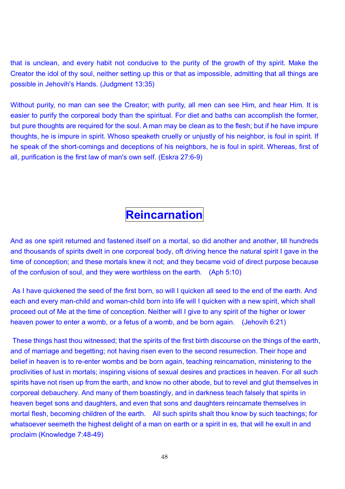that is unclean, and every habit not conducive to the purity of the growth of thy spirit. Make the Creator the idol of thy soul, neither setting up this or that as impossible, admitting that all things are possible in Jehovih's Hands. (Judgment 13:35)

Without purity, no man can see the Creator; with purity, all men can see Him, and hear Him. It is easier to purify the corporeal body than the spiritual. For diet and baths can accomplish the former, but pure thoughts are required for the soul. A man may be clean as to the flesh; but if he have impure thoughts, he is impure in spirit. Whoso speaketh cruelly or unjustly of his neighbor, is foul in spirit. If he speak of the short-comings and deceptions of his neighbors, he is foul in spirit. Whereas, first of all, purification is the first law of man's own self. (Eskra 27:6-9)

## **Reincarnation**

And as one spirit returned and fastened itself on a mortal, so did another and another, till hundreds and thousands of spirits dwelt in one corporeal body, oft driving hence the natural spirit I gave in the time of conception; and these mortals knew it not; and they became void of direct purpose because of the confusion of soul, and they were worthless on the earth. (Aph 5:10)

 As I have quickened the seed of the first born, so will I quicken all seed to the end of the earth. And each and every man-child and woman-child born into life will I quicken with a new spirit, which shall proceed out of Me at the time of conception. Neither will I give to any spirit of the higher or lower heaven power to enter a womb, or a fetus of a womb, and be born again. (Jehovih 6:21)

 These things hast thou witnessed; that the spirits of the first birth discourse on the things of the earth, and of marriage and begetting; not having risen even to the second resurrection. Their hope and belief in heaven is to re-enter wombs and be born again, teaching reincarnation, ministering to the proclivities of lust in mortals; inspiring visions of sexual desires and practices in heaven. For all such spirits have not risen up from the earth, and know no other abode, but to revel and glut themselves in corporeal debauchery. And many of them boastingly, and in darkness teach falsely that spirits in heaven beget sons and daughters, and even that sons and daughters reincarnate themselves in mortal flesh, becoming children of the earth. All such spirits shalt thou know by such teachings; for whatsoever seemeth the highest delight of a man on earth or a spirit in es, that will he exult in and proclaim (Knowledge 7:48-49)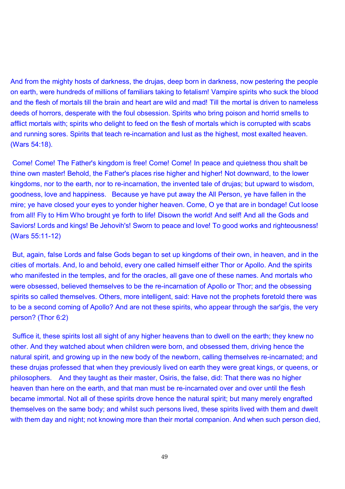And from the mighty hosts of darkness, the drujas, deep born in darkness, now pestering the people on earth, were hundreds of millions of familiars taking to fetalism! Vampire spirits who suck the blood and the flesh of mortals till the brain and heart are wild and mad! Till the mortal is driven to nameless deeds of horrors, desperate with the foul obsession. Spirits who bring poison and horrid smells to afflict mortals with; spirits who delight to feed on the flesh of mortals which is corrupted with scabs and running sores. Spirits that teach re-incarnation and lust as the highest, most exalted heaven. (Wars 54:18).

 Come! Come! The Father's kingdom is free! Come! Come! In peace and quietness thou shalt be thine own master! Behold, the Father's places rise higher and higher! Not downward, to the lower kingdoms, nor to the earth, nor to re-incarnation, the invented tale of drujas; but upward to wisdom, goodness, love and happiness. Because ye have put away the All Person, ye have fallen in the mire; ye have closed your eyes to yonder higher heaven. Come, O ye that are in bondage! Cut loose from all! Fly to Him Who brought ye forth to life! Disown the world! And self! And all the Gods and Saviors! Lords and kings! Be Jehovih's! Sworn to peace and love! To good works and righteousness! (Wars 55:11-12)

 But, again, false Lords and false Gods began to set up kingdoms of their own, in heaven, and in the cities of mortals. And, lo and behold, every one called himself either Thor or Apollo. And the spirits who manifested in the temples, and for the oracles, all gave one of these names. And mortals who were obsessed, believed themselves to be the re-incarnation of Apollo or Thor; and the obsessing spirits so called themselves. Others, more intelligent, said: Have not the prophets foretold there was to be a second coming of Apollo? And are not these spirits, who appear through the sar'gis, the very person? (Thor 6:2)

 Suffice it, these spirits lost all sight of any higher heavens than to dwell on the earth; they knew no other. And they watched about when children were born, and obsessed them, driving hence the natural spirit, and growing up in the new body of the newborn, calling themselves re-incarnated; and these drujas professed that when they previously lived on earth they were great kings, or queens, or philosophers. And they taught as their master, Osiris, the false, did: That there was no higher heaven than here on the earth, and that man must be re-incarnated over and over until the flesh became immortal. Not all of these spirits drove hence the natural spirit; but many merely engrafted themselves on the same body; and whilst such persons lived, these spirits lived with them and dwelt with them day and night; not knowing more than their mortal companion. And when such person died,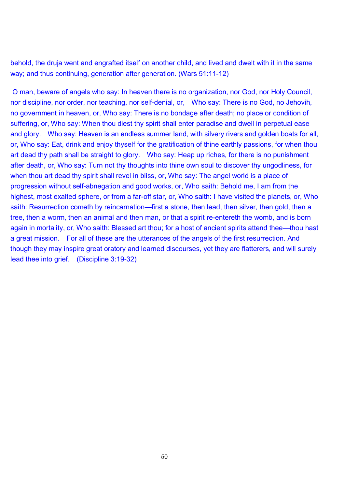behold, the druja went and engrafted itself on another child, and lived and dwelt with it in the same way; and thus continuing, generation after generation. (Wars 51:11-12)

 O man, beware of angels who say: In heaven there is no organization, nor God, nor Holy Council, nor discipline, nor order, nor teaching, nor self-denial, or, Who say: There is no God, no Jehovih, no government in heaven, or, Who say: There is no bondage after death; no place or condition of suffering, or, Who say: When thou diest thy spirit shall enter paradise and dwell in perpetual ease and glory. Who say: Heaven is an endless summer land, with silvery rivers and golden boats for all, or, Who say: Eat, drink and enjoy thyself for the gratification of thine earthly passions, for when thou art dead thy path shall be straight to glory. Who say: Heap up riches, for there is no punishment after death, or, Who say: Turn not thy thoughts into thine own soul to discover thy ungodliness, for when thou art dead thy spirit shall revel in bliss, or, Who say: The angel world is a place of progression without self-abnegation and good works, or, Who saith: Behold me, I am from the highest, most exalted sphere, or from a far-off star, or, Who saith: I have visited the planets, or, Who saith: Resurrection cometh by reincarnation—first a stone, then lead, then silver, then gold, then a tree, then a worm, then an animal and then man, or that a spirit re-entereth the womb, and is born again in mortality, or, Who saith: Blessed art thou; for a host of ancient spirits attend thee—thou hast a great mission. For all of these are the utterances of the angels of the first resurrection. And though they may inspire great oratory and learned discourses, yet they are flatterers, and will surely lead thee into grief. (Discipline 3:19-32)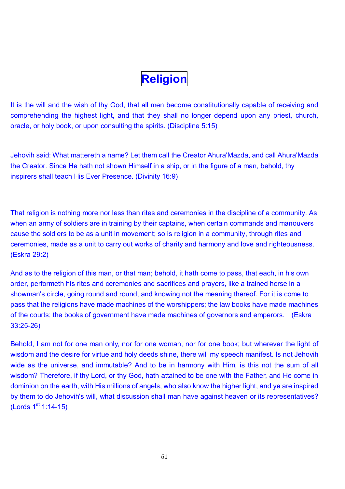# **Religion**

It is the will and the wish of thy God, that all men become constitutionally capable of receiving and comprehending the highest light, and that they shall no longer depend upon any priest, church, oracle, or holy book, or upon consulting the spirits. (Discipline 5:15)

Jehovih said: What mattereth a name? Let them call the Creator Ahura'Mazda, and call Ahura'Mazda the Creator. Since He hath not shown Himself in a ship, or in the figure of a man, behold, thy inspirers shall teach His Ever Presence. (Divinity 16:9)

That religion is nothing more nor less than rites and ceremonies in the discipline of a community. As when an army of soldiers are in training by their captains, when certain commands and manouvers cause the soldiers to be as a unit in movement; so is religion in a community, through rites and ceremonies, made as a unit to carry out works of charity and harmony and love and righteousness. (Eskra 29:2)

And as to the religion of this man, or that man; behold, it hath come to pass, that each, in his own order, performeth his rites and ceremonies and sacrifices and prayers, like a trained horse in a showman's circle, going round and round, and knowing not the meaning thereof. For it is come to pass that the religions have made machines of the worshippers; the law books have made machines of the courts; the books of government have made machines of governors and emperors. (Eskra 33:25-26)

Behold, I am not for one man only, nor for one woman, nor for one book; but wherever the light of wisdom and the desire for virtue and holy deeds shine, there will my speech manifest. Is not Jehovih wide as the universe, and immutable? And to be in harmony with Him, is this not the sum of all wisdom? Therefore, if thy Lord, or thy God, hath attained to be one with the Father, and He come in dominion on the earth, with His millions of angels, who also know the higher light, and ye are inspired by them to do Jehovih's will, what discussion shall man have against heaven or its representatives?  $(Lords 1<sup>st</sup> 1:14-15)$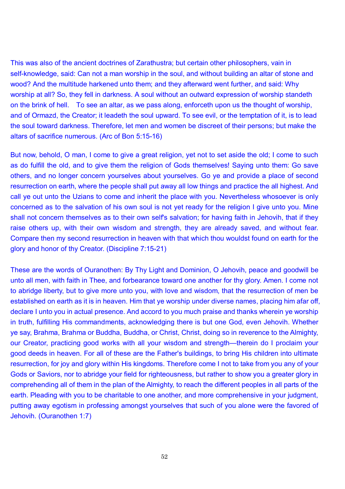This was also of the ancient doctrines of Zarathustra; but certain other philosophers, vain in self-knowledge, said: Can not a man worship in the soul, and without building an altar of stone and wood? And the multitude harkened unto them; and they afterward went further, and said: Why worship at all? So, they fell in darkness. A soul without an outward expression of worship standeth on the brink of hell. To see an altar, as we pass along, enforceth upon us the thought of worship, and of Ormazd, the Creator; it leadeth the soul upward. To see evil, or the temptation of it, is to lead the soul toward darkness. Therefore, let men and women be discreet of their persons; but make the altars of sacrifice numerous. (Arc of Bon 5:15-16)

But now, behold, O man, I come to give a great religion, yet not to set aside the old; I come to such as do fulfill the old, and to give them the religion of Gods themselves! Saying unto them: Go save others, and no longer concern yourselves about yourselves. Go ye and provide a place of second resurrection on earth, where the people shall put away all low things and practice the all highest. And call ye out unto the Uzians to come and inherit the place with you. Nevertheless whosoever is only concerned as to the salvation of his own soul is not yet ready for the religion I give unto you. Mine shall not concern themselves as to their own self's salvation; for having faith in Jehovih, that if they raise others up, with their own wisdom and strength, they are already saved, and without fear. Compare then my second resurrection in heaven with that which thou wouldst found on earth for the glory and honor of thy Creator. (Discipline 7:15-21)

These are the words of Ouranothen: By Thy Light and Dominion, O Jehovih, peace and goodwill be unto all men, with faith in Thee, and forbearance toward one another for thy glory. Amen. I come not to abridge liberty, but to give more unto you, with love and wisdom, that the resurrection of men be established on earth as it is in heaven. Him that ye worship under diverse names, placing him afar off, declare I unto you in actual presence. And accord to you much praise and thanks wherein ye worship in truth, fulfilling His commandments, acknowledging there is but one God, even Jehovih. Whether ye say, Brahma, Brahma or Buddha, Buddha, or Christ, Christ, doing so in reverence to the Almighty, our Creator, practicing good works with all your wisdom and strength—therein do I proclaim your good deeds in heaven. For all of these are the Father's buildings, to bring His children into ultimate resurrection, for joy and glory within His kingdoms. Therefore come I not to take from you any of your Gods or Saviors, nor to abridge your field for righteousness, but rather to show you a greater glory in comprehending all of them in the plan of the Almighty, to reach the different peoples in all parts of the earth. Pleading with you to be charitable to one another, and more comprehensive in your judgment, putting away egotism in professing amongst yourselves that such of you alone were the favored of Jehovih. (Ouranothen 1:7)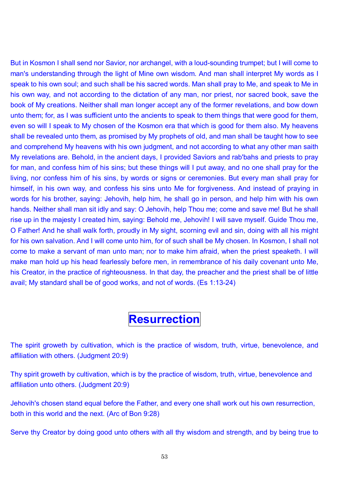But in Kosmon I shall send nor Savior, nor archangel, with a loud-sounding trumpet; but I will come to man's understanding through the light of Mine own wisdom. And man shall interpret My words as I speak to his own soul; and such shall be his sacred words. Man shall pray to Me, and speak to Me in his own way, and not according to the dictation of any man, nor priest, nor sacred book, save the book of My creations. Neither shall man longer accept any of the former revelations, and bow down unto them; for, as I was sufficient unto the ancients to speak to them things that were good for them, even so will I speak to My chosen of the Kosmon era that which is good for them also. My heavens shall be revealed unto them, as promised by My prophets of old, and man shall be taught how to see and comprehend My heavens with his own judgment, and not according to what any other man saith My revelations are. Behold, in the ancient days, I provided Saviors and rab'bahs and priests to pray for man, and confess him of his sins; but these things will I put away, and no one shall pray for the living, nor confess him of his sins, by words or signs or ceremonies. But every man shall pray for himself, in his own way, and confess his sins unto Me for forgiveness. And instead of praying in words for his brother, saying: Jehovih, help him, he shall go in person, and help him with his own hands. Neither shall man sit idly and say: O Jehovih, help Thou me; come and save me! But he shall rise up in the majesty I created him, saying: Behold me, Jehovih! I will save myself. Guide Thou me, O Father! And he shall walk forth, proudly in My sight, scorning evil and sin, doing with all his might for his own salvation. And I will come unto him, for of such shall be My chosen. In Kosmon, I shall not come to make a servant of man unto man; nor to make him afraid, when the priest speaketh. I will make man hold up his head fearlessly before men, in remembrance of his daily covenant unto Me, his Creator, in the practice of righteousness. In that day, the preacher and the priest shall be of little avail; My standard shall be of good works, and not of words. (Es 1:13-24)

#### **Resurrection**

The spirit groweth by cultivation, which is the practice of wisdom, truth, virtue, benevolence, and affiliation with others. (Judgment 20:9)

Thy spirit groweth by cultivation, which is by the practice of wisdom, truth, virtue, benevolence and affiliation unto others. (Judgment 20:9)

Jehovih's chosen stand equal before the Father, and every one shall work out his own resurrection, both in this world and the next. (Arc of Bon 9:28)

Serve thy Creator by doing good unto others with all thy wisdom and strength, and by being true to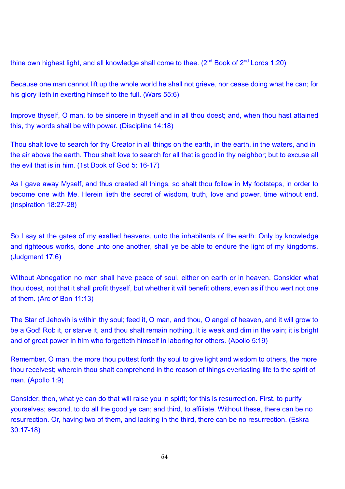thine own highest light, and all knowledge shall come to thee.  $(2^{nd}$  Book of  $2^{nd}$  Lords 1:20)

Because one man cannot lift up the whole world he shall not grieve, nor cease doing what he can; for his glory lieth in exerting himself to the full. (Wars 55:6)

Improve thyself, O man, to be sincere in thyself and in all thou doest; and, when thou hast attained this, thy words shall be with power. (Discipline 14:18)

Thou shalt love to search for thy Creator in all things on the earth, in the earth, in the waters, and in the air above the earth. Thou shalt love to search for all that is good in thy neighbor; but to excuse all the evil that is in him. (1st Book of God 5: 16-17)

As I gave away Myself, and thus created all things, so shalt thou follow in My footsteps, in order to become one with Me. Herein lieth the secret of wisdom, truth, love and power, time without end. (Inspiration 18:27-28)

So I say at the gates of my exalted heavens, unto the inhabitants of the earth: Only by knowledge and righteous works, done unto one another, shall ye be able to endure the light of my kingdoms. (Judgment 17:6)

Without Abnegation no man shall have peace of soul, either on earth or in heaven. Consider what thou doest, not that it shall profit thyself, but whether it will benefit others, even as if thou wert not one of them. (Arc of Bon 11:13)

The Star of Jehovih is within thy soul; feed it, O man, and thou, O angel of heaven, and it will grow to be a God! Rob it, or starve it, and thou shalt remain nothing. It is weak and dim in the vain; it is bright and of great power in him who forgetteth himself in laboring for others. (Apollo 5:19)

Remember, O man, the more thou puttest forth thy soul to give light and wisdom to others, the more thou receivest; wherein thou shalt comprehend in the reason of things everlasting life to the spirit of man. (Apollo 1:9)

Consider, then, what ye can do that will raise you in spirit; for this is resurrection. First, to purify yourselves; second, to do all the good ye can; and third, to affiliate. Without these, there can be no resurrection. Or, having two of them, and lacking in the third, there can be no resurrection. (Eskra 30:17-18)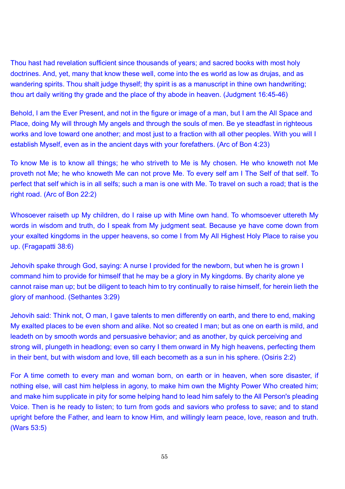Thou hast had revelation sufficient since thousands of years; and sacred books with most holy doctrines. And, yet, many that know these well, come into the es world as low as drujas, and as wandering spirits. Thou shalt judge thyself; thy spirit is as a manuscript in thine own handwriting; thou art daily writing thy grade and the place of thy abode in heaven. (Judgment 16:45-46)

Behold, I am the Ever Present, and not in the figure or image of a man, but I am the All Space and Place, doing My will through My angels and through the souls of men. Be ye steadfast in righteous works and love toward one another; and most just to a fraction with all other peoples. With you will I establish Myself, even as in the ancient days with your forefathers. (Arc of Bon 4:23)

To know Me is to know all things; he who striveth to Me is My chosen. He who knoweth not Me proveth not Me; he who knoweth Me can not prove Me. To every self am I The Self of that self. To perfect that self which is in all selfs; such a man is one with Me. To travel on such a road; that is the right road. (Arc of Bon 22:2)

Whosoever raiseth up My children, do I raise up with Mine own hand. To whomsoever uttereth My words in wisdom and truth, do I speak from My judgment seat. Because ye have come down from your exalted kingdoms in the upper heavens, so come I from My All Highest Holy Place to raise you up. (Fragapatti 38:6)

Jehovih spake through God, saying: A nurse I provided for the newborn, but when he is grown I command him to provide for himself that he may be a glory in My kingdoms. By charity alone ye cannot raise man up; but be diligent to teach him to try continually to raise himself, for herein lieth the glory of manhood. (Sethantes 3:29)

Jehovih said: Think not, O man, I gave talents to men differently on earth, and there to end, making My exalted places to be even shorn and alike. Not so created I man; but as one on earth is mild, and leadeth on by smooth words and persuasive behavior; and as another, by quick perceiving and strong will, plungeth in headlong; even so carry I them onward in My high heavens, perfecting them in their bent, but with wisdom and love, till each becometh as a sun in his sphere. (Osiris 2:2)

For A time cometh to every man and woman born, on earth or in heaven, when sore disaster, if nothing else, will cast him helpless in agony, to make him own the Mighty Power Who created him; and make him supplicate in pity for some helping hand to lead him safely to the All Person's pleading Voice. Then is he ready to listen; to turn from gods and saviors who profess to save; and to stand upright before the Father, and learn to know Him, and willingly learn peace, love, reason and truth. (Wars 53:5)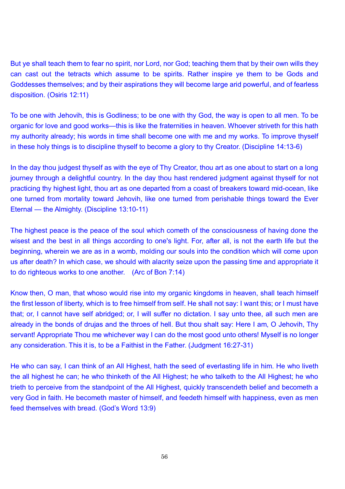But ye shall teach them to fear no spirit, nor Lord, nor God; teaching them that by their own wills they can cast out the tetracts which assume to be spirits. Rather inspire ye them to be Gods and Goddesses themselves; and by their aspirations they will become large arid powerful, and of fearless disposition. (Osiris 12:11)

To be one with Jehovih, this is Godliness; to be one with thy God, the way is open to all men. To be organic for love and good works—this is like the fraternities in heaven. Whoever striveth for this hath my authority already; his words in time shall become one with me and my works. To improve thyself in these holy things is to discipline thyself to become a glory to thy Creator. (Discipline 14:13-6)

In the day thou judgest thyself as with the eye of Thy Creator, thou art as one about to start on a long journey through a delightful country. In the day thou hast rendered judgment against thyself for not practicing thy highest light, thou art as one departed from a coast of breakers toward mid-ocean, like one turned from mortality toward Jehovih, like one turned from perishable things toward the Ever Eternal – the Almighty. (Discipline 13:10-11)

The highest peace is the peace of the soul which cometh of the consciousness of having done the wisest and the best in all things according to one's light. For, after all, is not the earth life but the beginning, wherein we are as in a womb, molding our souls into the condition which will come upon us after death? In which case, we should with alacrity seize upon the passing time and appropriate it to do righteous works to one another. (Arc of Bon 7:14)

Know then, O man, that whoso would rise into my organic kingdoms in heaven, shall teach himself the first lesson of liberty, which is to free himself from self. He shall not say: I want this; or I must have that; or, I cannot have self abridged; or, I will suffer no dictation. I say unto thee, all such men are already in the bonds of drujas and the throes of hell. But thou shalt say: Here I am, O Jehovih, Thy servant! Appropriate Thou me whichever way I can do the most good unto others! Myself is no longer any consideration. This it is, to be a Faithist in the Father. (Judgment 16:27-31)

He who can say, I can think of an All Highest, hath the seed of everlasting life in him. He who liveth the all highest he can; he who thinketh of the All Highest; he who talketh to the All Highest; he who trieth to perceive from the standpoint of the All Highest, quickly transcendeth belief and becometh a very God in faith. He becometh master of himself, and feedeth himself with happiness, even as men feed themselves with bread. (God's Word 13:9)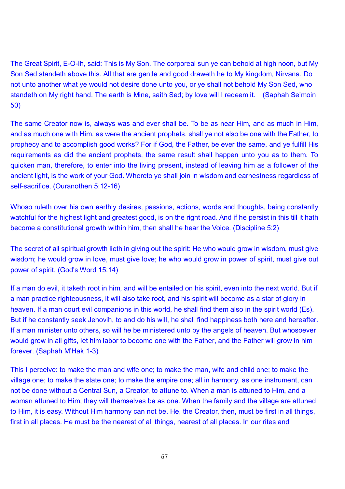The Great Spirit, E-O-Ih, said: This is My Son. The corporeal sun ye can behold at high noon, but My Son Sed standeth above this. All that are gentle and good draweth he to My kingdom, Nirvana. Do not unto another what ye would not desire done unto you, or ye shall not behold My Son Sed, who standeth on My right hand. The earth is Mine, saith Sed; by love will I redeem it. (Saphah Se'moin 50)

The same Creator now is, always was and ever shall be. To be as near Him, and as much in Him, and as much one with Him, as were the ancient prophets, shall ye not also be one with the Father, to prophecy and to accomplish good works? For if God, the Father, be ever the same, and ye fulfill His requirements as did the ancient prophets, the same result shall happen unto you as to them. To quicken man, therefore, to enter into the living present, instead of leaving him as a follower of the ancient light, is the work of your God. Whereto ye shall join in wisdom and earnestness regardless of self-sacrifice. (Ouranothen 5:12-16)

Whoso ruleth over his own earthly desires, passions, actions, words and thoughts, being constantly watchful for the highest light and greatest good, is on the right road. And if he persist in this till it hath become a constitutional growth within him, then shall he hear the Voice. (Discipline 5:2)

The secret of all spiritual growth lieth in giving out the spirit: He who would grow in wisdom, must give wisdom; he would grow in love, must give love; he who would grow in power of spirit, must give out power of spirit. (God's Word 15:14)

If a man do evil, it taketh root in him, and will be entailed on his spirit, even into the next world. But if a man practice righteousness, it will also take root, and his spirit will become as a star of glory in heaven. If a man court evil companions in this world, he shall find them also in the spirit world (Es). But if he constantly seek Jehovih, to and do his will, he shall find happiness both here and hereafter. If a man minister unto others, so will he be ministered unto by the angels of heaven. But whosoever would grow in all gifts, let him labor to become one with the Father, and the Father will grow in him forever. (Saphah M'Hak 1-3)

This I perceive: to make the man and wife one; to make the man, wife and child one; to make the village one; to make the state one; to make the empire one; all in harmony, as one instrument, can not be done without a Central Sun, a Creator, to attune to. When a man is attuned to Him, and a woman attuned to Him, they will themselves be as one. When the family and the village are attuned to Him, it is easy. Without Him harmony can not be. He, the Creator, then, must be first in all things, first in all places. He must be the nearest of all things, nearest of all places. In our rites and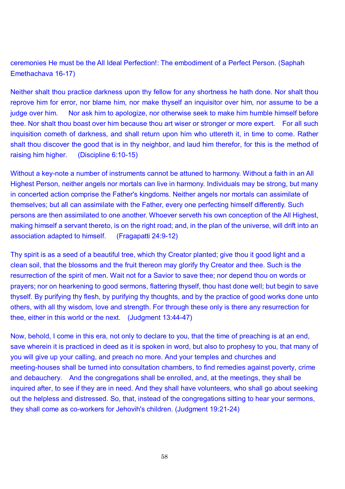ceremonies He must be the All Ideal Perfection!: The embodiment of a Perfect Person. (Saphah Emethachava 16-17)

Neither shalt thou practice darkness upon thy fellow for any shortness he hath done. Nor shalt thou reprove him for error, nor blame him, nor make thyself an inquisitor over him, nor assume to be a judge over him. Nor ask him to apologize, nor otherwise seek to make him humble himself before thee. Nor shalt thou boast over him because thou art wiser or stronger or more expert. For all such inquisition cometh of darkness, and shall return upon him who uttereth it, in time to come. Rather shalt thou discover the good that is in thy neighbor, and laud him therefor, for this is the method of raising him higher. (Discipline 6:10-15)

Without a key-note a number of instruments cannot be attuned to harmony. Without a faith in an All Highest Person, neither angels nor mortals can live in harmony. Individuals may be strong, but many in concerted action comprise the Father's kingdoms. Neither angels nor mortals can assimilate of themselves; but all can assimilate with the Father, every one perfecting himself differently. Such persons are then assimilated to one another. Whoever serveth his own conception of the All Highest, making himself a servant thereto, is on the right road; and, in the plan of the universe, will drift into an association adapted to himself. (Fragapatti 24:9-12)

Thy spirit is as a seed of a beautiful tree, which thy Creator planted; give thou it good light and a clean soil, that the blossoms and the fruit thereon may glorify thy Creator and thee. Such is the resurrection of the spirit of men. Wait not for a Savior to save thee; nor depend thou on words or prayers; nor on hearkening to good sermons, flattering thyself, thou hast done well; but begin to save thyself. By purifying thy flesh, by purifying thy thoughts, and by the practice of good works done unto others, with all thy wisdom, love and strength. For through these only is there any resurrection for thee, either in this world or the next. (Judgment 13:44-47)

Now, behold, I come in this era, not only to declare to you, that the time of preaching is at an end, save wherein it is practiced in deed as it is spoken in word, but also to prophesy to you, that many of you will give up your calling, and preach no more. And your temples and churches and meeting-houses shall be turned into consultation chambers, to find remedies against poverty, crime and debauchery. And the congregations shall be enrolled, and, at the meetings, they shall be inquired after, to see if they are in need. And they shall have volunteers, who shall go about seeking out the helpless and distressed. So, that, instead of the congregations sitting to hear your sermons, they shall come as co-workers for Jehovih's children. (Judgment 19:21-24)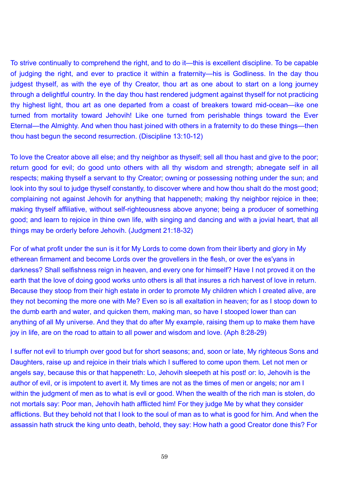To strive continually to comprehend the right, and to do it—this is excellent discipline. To be capable of judging the right, and ever to practice it within a fraternity—his is Godliness. In the day thou judgest thyself, as with the eye of thy Creator, thou art as one about to start on a long journey through a delightful country. In the day thou hast rendered judgment against thyself for not practicing thy highest light, thou art as one departed from a coast of breakers toward mid-ocean-ike one turned from mortality toward Jehovih! Like one turned from perishable things toward the Ever Eternal—the Almighty. And when thou hast joined with others in a fraternity to do these things—then thou hast begun the second resurrection. (Discipline 13:10-12)

To love the Creator above all else; and thy neighbor as thyself; sell all thou hast and give to the poor; return good for evil; do good unto others with all thy wisdom and strength; abnegate self in all respects; making thyself a servant to thy Creator; owning or possessing nothing under the sun; and look into thy soul to judge thyself constantly, to discover where and how thou shalt do the most good; complaining not against Jehovih for anything that happeneth; making thy neighbor rejoice in thee; making thyself affiliative, without self-righteousness above anyone; being a producer of something good; and learn to rejoice in thine own life, with singing and dancing and with a jovial heart, that all things may be orderly before Jehovih. (Judgment 21:18-32)

For of what profit under the sun is it for My Lords to come down from their liberty and glory in My etherean firmament and become Lords over the grovellers in the flesh, or over the es'yans in darkness? Shall selfishness reign in heaven, and every one for himself? Have I not proved it on the earth that the love of doing good works unto others is all that insures a rich harvest of love in return. Because they stoop from their high estate in order to promote My children which I created alive, are they not becoming the more one with Me? Even so is all exaltation in heaven; for as I stoop down to the dumb earth and water, and quicken them, making man, so have I stooped lower than can anything of all My universe. And they that do after My example, raising them up to make them have joy in life, are on the road to attain to all power and wisdom and love. (Aph 8:28-29)

I suffer not evil to triumph over good but for short seasons; and, soon or late, My righteous Sons and Daughters, raise up and rejoice in their trials which I suffered to come upon them. Let not men or angels say, because this or that happeneth: Lo, Jehovih sleepeth at his post! or: lo, Jehovih is the author of evil, or is impotent to avert it. My times are not as the times of men or angels; nor am I within the judgment of men as to what is evil or good. When the wealth of the rich man is stolen, do not mortals say: Poor man, Jehovih hath afflicted him! For they judge Me by what they consider afflictions. But they behold not that I look to the soul of man as to what is good for him. And when the assassin hath struck the king unto death, behold, they say: How hath a good Creator done this? For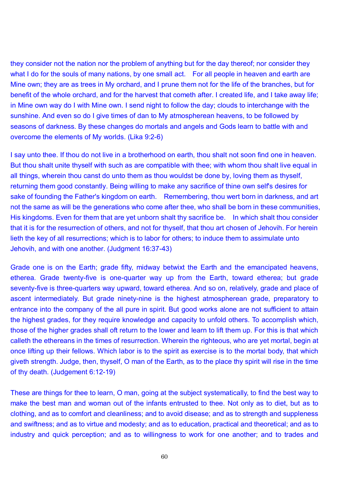they consider not the nation nor the problem of anything but for the day thereof; nor consider they what I do for the souls of many nations, by one small act. For all people in heaven and earth are Mine own; they are as trees in My orchard, and I prune them not for the life of the branches, but for benefit of the whole orchard, and for the harvest that cometh after. I created life, and I take away life; in Mine own way do I with Mine own. I send night to follow the day; clouds to interchange with the sunshine. And even so do I give times of dan to My atmospherean heavens, to be followed by seasons of darkness. By these changes do mortals and angels and Gods learn to battle with and overcome the elements of My worlds. (Lika 9:2-6)

I say unto thee. If thou do not live in a brotherhood on earth, thou shalt not soon find one in heaven. But thou shalt unite thyself with such as are compatible with thee; with whom thou shalt live equal in all things, wherein thou canst do unto them as thou wouldst be done by, loving them as thyself, returning them good constantly. Being willing to make any sacrifice of thine own self's desires for sake of founding the Father's kingdom on earth. Remembering, thou wert born in darkness, and art not the same as will be the generations who come after thee, who shall be born in these communities, His kingdoms. Even for them that are yet unborn shalt thy sacrifice be. In which shalt thou consider that it is for the resurrection of others, and not for thyself, that thou art chosen of Jehovih. For herein lieth the key of all resurrections; which is to labor for others; to induce them to assimulate unto Jehovih, and with one another. (Judgment 16:37-43)

Grade one is on the Earth; grade fifty, midway betwixt the Earth and the emancipated heavens, etherea. Grade twenty-five is one-quarter way up from the Earth, toward etherea; but grade seventy-five is three-quarters way upward, toward etherea. And so on, relatively, grade and place of ascent intermediately. But grade ninety-nine is the highest atmospherean grade, preparatory to entrance into the company of the all pure in spirit. But good works alone are not sufficient to attain the highest grades, for they require knowledge and capacity to unfold others. To accomplish which, those of the higher grades shall oft return to the lower and learn to lift them up. For this is that which calleth the ethereans in the times of resurrection. Wherein the righteous, who are yet mortal, begin at once lifting up their fellows. Which labor is to the spirit as exercise is to the mortal body, that which giveth strength. Judge, then, thyself, O man of the Earth, as to the place thy spirit will rise in the time of thy death. (Judgement 6:12-19)

These are things for thee to learn, O man, going at the subject systematically, to find the best way to make the best man and woman out of the infants entrusted to thee. Not only as to diet, but as to clothing, and as to comfort and cleanliness; and to avoid disease; and as to strength and suppleness and swiftness; and as to virtue and modesty; and as to education, practical and theoretical; and as to industry and quick perception; and as to willingness to work for one another; and to trades and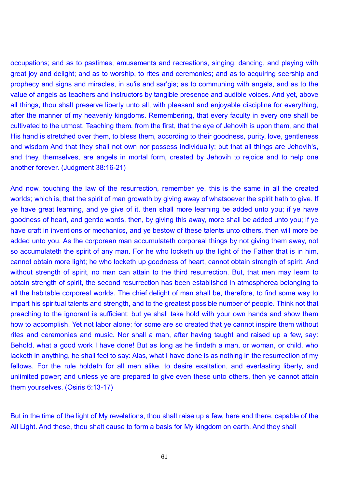occupations; and as to pastimes, amusements and recreations, singing, dancing, and playing with great joy and delight; and as to worship, to rites and ceremonies; and as to acquiring seership and prophecy and signs and miracles, in su'is and sar'gis; as to communing with angels, and as to the value of angels as teachers and instructors by tangible presence and audible voices. And yet, above all things, thou shalt preserve liberty unto all, with pleasant and enjoyable discipline for everything, after the manner of my heavenly kingdoms. Remembering, that every faculty in every one shall be cultivated to the utmost. Teaching them, from the first, that the eye of Jehovih is upon them, and that His hand is stretched over them, to bless them, according to their goodness, purity, love, gentleness and wisdom And that they shall not own nor possess individually; but that all things are Jehovih's, and they, themselves, are angels in mortal form, created by Jehovih to rejoice and to help one another forever. (Judgment 38:16-21)

And now, touching the law of the resurrection, remember ye, this is the same in all the created worlds; which is, that the spirit of man groweth by giving away of whatsoever the spirit hath to give. If ye have great learning, and ye give of it, then shall more learning be added unto you; if ye have goodness of heart, and gentle words, then, by giving this away, more shall be added unto you; if ye have craft in inventions or mechanics, and ye bestow of these talents unto others, then will more be added unto you. As the corporean man accumulateth corporeal things by not giving them away, not so accumulateth the spirit of any man. For he who locketh up the light of the Father that is in him, cannot obtain more light; he who locketh up goodness of heart, cannot obtain strength of spirit. And without strength of spirit, no man can attain to the third resurrection. But, that men may learn to obtain strength of spirit, the second resurrection has been established in atmospherea belonging to all the habitable corporeal worlds. The chief delight of man shall be, therefore, to find some way to impart his spiritual talents and strength, and to the greatest possible number of people. Think not that preaching to the ignorant is sufficient; but ye shall take hold with your own hands and show them how to accomplish. Yet not labor alone; for some are so created that ye cannot inspire them without rites and ceremonies and music. Nor shall a man, after having taught and raised up a few, say: Behold, what a good work I have done! But as long as he findeth a man, or woman, or child, who lacketh in anything, he shall feel to say: Alas, what I have done is as nothing in the resurrection of my fellows. For the rule holdeth for all men alike, to desire exaltation, and everlasting liberty, and unlimited power; and unless ye are prepared to give even these unto others, then ye cannot attain them yourselves. (Osiris 6:13-17)

But in the time of the light of My revelations, thou shalt raise up a few, here and there, capable of the All Light. And these, thou shalt cause to form a basis for My kingdom on earth. And they shall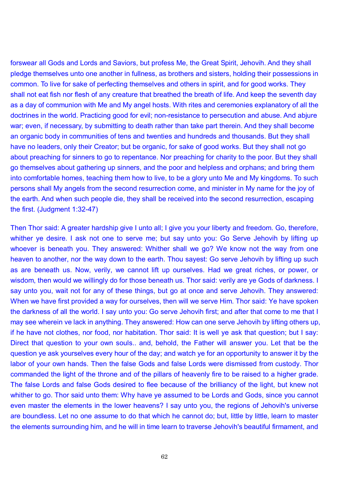forswear all Gods and Lords and Saviors, but profess Me, the Great Spirit, Jehovih. And they shall pledge themselves unto one another in fullness, as brothers and sisters, holding their possessions in common. To live for sake of perfecting themselves and others in spirit, and for good works. They shall not eat fish nor flesh of any creature that breathed the breath of life. And keep the seventh day as a day of communion with Me and My angel hosts. With rites and ceremonies explanatory of all the doctrines in the world. Practicing good for evil; non-resistance to persecution and abuse. And abjure war; even, if necessary, by submitting to death rather than take part therein. And they shall become an organic body in communities of tens and twenties and hundreds and thousands. But they shall have no leaders, only their Creator; but be organic, for sake of good works. But they shall not go about preaching for sinners to go to repentance. Nor preaching for charity to the poor. But they shall go themselves about gathering up sinners, and the poor and helpless and orphans; and bring them into comfortable homes, teaching them how to live, to be a glory unto Me and My kingdoms. To such persons shall My angels from the second resurrection come, and minister in My name for the joy of the earth. And when such people die, they shall be received into the second resurrection, escaping the first. (Judgment 1:32-47)

Then Thor said: A greater hardship give I unto all; I give you your liberty and freedom. Go, therefore, whither ye desire. I ask not one to serve me; but say unto you: Go Serve Jehovih by lifting up whoever is beneath you. They answered: Whither shall we go? We know not the way from one heaven to another, nor the way down to the earth. Thou sayest: Go serve Jehovih by lifting up such as are beneath us. Now, verily, we cannot lift up ourselves. Had we great riches, or power, or wisdom, then would we willingly do for those beneath us. Thor said: verily are ye Gods of darkness. I say unto you, wait not for any of these things, but go at once and serve Jehovih. They answered: When we have first provided a way for ourselves, then will we serve Him. Thor said: Ye have spoken the darkness of all the world. I say unto you: Go serve Jehovih first; and after that come to me that I may see wherein ve lack in anything. They answered: How can one serve Jehovih by lifting others up, if he have not clothes, nor food, nor habitation. Thor said: It is well ye ask that question; but I say: Direct that question to your own souls.. and, behold, the Father will answer you. Let that be the question ye ask yourselves every hour of the day; and watch ye for an opportunity to answer it by the labor of your own hands. Then the false Gods and false Lords were dismissed from custody. Thor commanded the light of the throne and of the pillars of heavenly fire to be raised to a higher grade. The false Lords and false Gods desired to flee because of the brilliancy of the light, but knew not whither to go. Thor said unto them: Why have ye assumed to be Lords and Gods, since you cannot even master the elements in the lower heavens? I say unto you, the regions of Jehovih's universe are boundless. Let no one assume to do that which he cannot do; but, little by little, learn to master the elements surrounding him, and he will in time learn to traverse Jehovih's beautiful firmament, and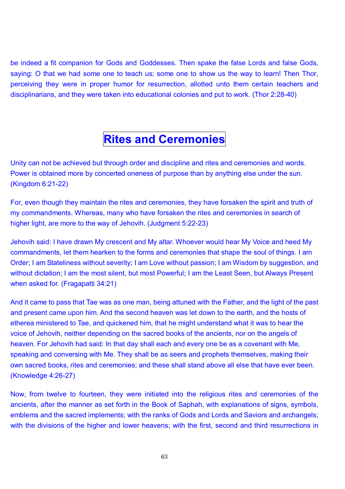be indeed a fit companion for Gods and Goddesses. Then spake the false Lords and false Gods, saying: O that we had some one to teach us; some one to show us the way to learn! Then Thor, perceiving they were in proper humor for resurrection, allotted unto them certain teachers and disciplinarians, and they were taken into educational colonies and put to work. (Thor 2:28-40)

## **Rites and Ceremonies**

Unity can not be achieved but through order and discipline and rites and ceremonies and words. Power is obtained more by concerted oneness of purpose than by anything else under the sun. (Kingdom 6:21-22)

For, even though they maintain the rites and ceremonies, they have forsaken the spirit and truth of my commandments. Whereas, many who have forsaken the rites and ceremonies in search of higher light, are more to the way of Jehovih. (Judgment 5:22-23)

Jehovih said: I have drawn My crescent and My altar. Whoever would hear My Voice and heed My commandments, let them hearken to the forms and ceremonies that shape the soul of things. I am Order; I am Stateliness without severity; I am Love without passion; I am Wisdom by suggestion, and without dictation; I am the most silent, but most Powerful; I am the Least Seen, but Always Present when asked for. (Fragapatti 34:21)

And it came to pass that Tae was as one man, being attuned with the Father, and the light of the past and present came upon him. And the second heaven was let down to the earth, and the hosts of etherea ministered to Tae, and quickened him, that he might understand what it was to hear the voice of Jehovih, neither depending on the sacred books of the ancients, nor on the angels of heaven. For Jehovih had said: In that day shall each and every one be as a covenant with Me, speaking and conversing with Me. They shall be as seers and prophets themselves, making their own sacred books, rites and ceremonies; and these shall stand above all else that have ever been. (Knowledge 4:26-27)

Now, from twelve to fourteen, they were initiated into the religious rites and ceremonies of the ancients, after the manner as set forth in the Book of Saphah, with explanations of signs, symbols, emblems and the sacred implements; with the ranks of Gods and Lords and Saviors and archangels; with the divisions of the higher and lower heavens; with the first, second and third resurrections in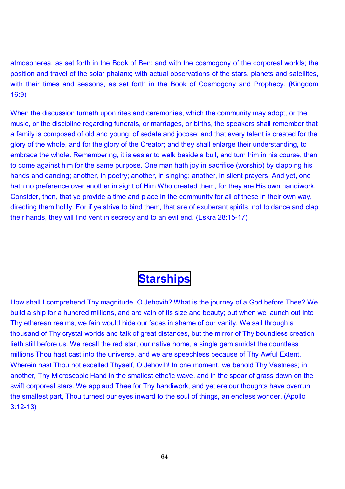atmospherea, as set forth in the Book of Ben; and with the cosmogony of the corporeal worlds; the position and travel of the solar phalanx; with actual observations of the stars, planets and satellites, with their times and seasons, as set forth in the Book of Cosmogony and Prophecy. (Kingdom 16:9)

When the discussion turneth upon rites and ceremonies, which the community may adopt, or the music, or the discipline regarding funerals, or marriages, or births, the speakers shall remember that a family is composed of old and young; of sedate and jocose; and that every talent is created for the glory of the whole, and for the glory of the Creator; and they shall enlarge their understanding, to embrace the whole. Remembering, it is easier to walk beside a bull, and turn him in his course, than to come against him for the same purpose. One man hath joy in sacrifice (worship) by clapping his hands and dancing; another, in poetry; another, in singing; another, in silent prayers. And yet, one hath no preference over another in sight of Him Who created them, for they are His own handiwork. Consider, then, that ye provide a time and place in the community for all of these in their own way, directing them holily. For if ye strive to bind them, that are of exuberant spirits, not to dance and clap their hands, they will find vent in secrecy and to an evil end. (Eskra 28:15-17)

# **Starships**

How shall I comprehend Thy magnitude, O Jehovih? What is the journey of a God before Thee? We build a ship for a hundred millions, and are vain of its size and beauty; but when we launch out into Thy etherean realms, we fain would hide our faces in shame of our vanity. We sail through a thousand of Thy crystal worlds and talk of great distances, but the mirror of Thy boundless creation lieth still before us. We recall the red star, our native home, a single gem amidst the countless millions Thou hast cast into the universe, and we are speechless because of Thy Awful Extent. Wherein hast Thou not excelled Thyself, O Jehovih! In one moment, we behold Thy Vastness; in another, Thy Microscopic Hand in the smallest ethe'ic wave, and in the spear of grass down on the swift corporeal stars. We applaud Thee for Thy handiwork, and yet ere our thoughts have overrun the smallest part, Thou turnest our eyes inward to the soul of things, an endless wonder. (Apollo 3:12-13)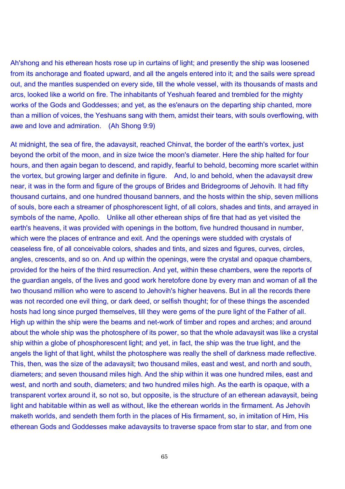Ah'shong and his etherean hosts rose up in curtains of light; and presently the ship was loosened from its anchorage and floated upward, and all the angels entered into it; and the sails were spread out, and the mantles suspended on every side, till the whole vessel, with its thousands of masts and arcs, looked like a world on fire. The inhabitants of Yeshuah feared and trembled for the mighty works of the Gods and Goddesses; and yet, as the es'enaurs on the departing ship chanted, more than a million of voices, the Yeshuans sang with them, amidst their tears, with souls overflowing, with awe and love and admiration. (Ah Shong 9:9)

At midnight, the sea of fire, the adavaysit, reached Chinvat, the border of the earth's vortex, just beyond the orbit of the moon, and in size twice the moon's diameter. Here the ship halted for four hours, and then again began to descend, and rapidly, fearful to behold, becoming more scarlet within the vortex, but growing larger and definite in figure. And, lo and behold, when the adavaysit drew near, it was in the form and figure of the groups of Brides and Bridegrooms of Jehovih. It had fifty thousand curtains, and one hundred thousand banners, and the hosts within the ship, seven millions of souls, bore each a streamer of phosphorescent light, of all colors, shades and tints, and arrayed in symbols of the name, Apollo. Unlike all other etherean ships of fire that had as yet visited the earth's heavens, it was provided with openings in the bottom, five hundred thousand in number, which were the places of entrance and exit. And the openings were studded with crystals of ceaseless fire, of all conceivable colors, shades and tints, and sizes and figures, curves, circles, angles, crescents, and so on. And up within the openings, were the crystal and opaque chambers, provided for the heirs of the third resurrection. And yet, within these chambers, were the reports of the guardian angels, of the lives and good work heretofore done by every man and woman of all the two thousand million who were to ascend to Jehovih's higher heavens. But in all the records there was not recorded one evil thing, or dark deed, or selfish thought; for of these things the ascended hosts had long since purged themselves, till they were gems of the pure light of the Father of all. High up within the ship were the beams and net-work of timber and ropes and arches; and around about the whole ship was the photosphere of its power, so that the whole adavaysit was like a crystal ship within a globe of phosphorescent light; and yet, in fact, the ship was the true light, and the angels the light of that light, whilst the photosphere was really the shell of darkness made reflective. This, then, was the size of the adavaysit; two thousand miles, east and west, and north and south, diameters; and seven thousand miles high. And the ship within it was one hundred miles, east and west, and north and south, diameters; and two hundred miles high. As the earth is opaque, with a transparent vortex around it, so not so, but opposite, is the structure of an etherean adavaysit, being light and habitable within as well as without, like the etherean worlds in the firmament. As Jehovih maketh worlds, and sendeth them forth in the places of His firmament, so, in imitation of Him, His etherean Gods and Goddesses make adavaysits to traverse space from star to star, and from one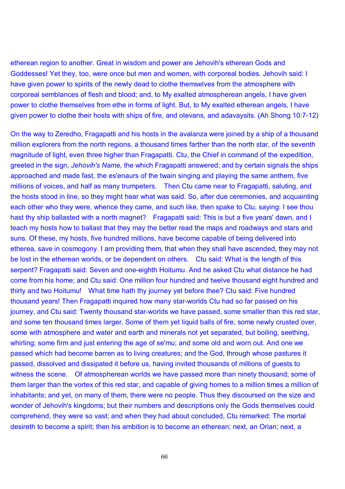etherean region to another. Great in wisdom and power are Jehovih's etherean Gods and Goddesses! Yet they, too, were once but men and women, with corporeal bodies. Jehovih said: I have given power to spirits of the newly dead to clothe themselves from the atmosphere with corporeal semblances of flesh and blood; and, to My exalted atmospherean angels, I have given power to clothe themselves from ethe in forms of light. But, to My exalted etherean angels, I have given power to clothe their hosts with ships of fire, and otevans, and adavaysits. (Ah Shong 10:7-12)

On the way to Zeredho, Fragapatti and his hosts in the avalanza were joined by a ship of a thousand million explorers from the north regions, a thousand times farther than the north star, of the seventh magnitude of light, even three higher than Fragapatti. Ctu, the Chief in command of the expedition, greeted in the sign, *Jehovih's Name,* the which Fragapatti answered; and by certain signals the ships approached and made fast, the es'enaurs of the twain singing and playing the same anthem, five millions of voices, and half as many trumpeters. Then Ctu came near to Fragapatti, saluting, and the hosts stood in line, so they might hear what was said. So, after due ceremonies, and acquainting each other who they were, whence they came, and such like, then spake to Ctu, saying: I see thou hast thy ship ballasted with a north magnet? Fragapatti said: This is but a five years' dawn, and I teach my hosts how to ballast that they may the better read the maps and roadways and stars and suns. Of these, my hosts, five hundred millions, have become capable of being delivered into etherea, save in cosmogony. I am providing them, that when they shall have ascended, they may not be lost in the etherean worlds, or be dependent on others. Ctu said: What is the length of this serpent? Fragapatti said: Seven and one-eighth Hoitumu. And he asked Ctu what distance he had come from his home; and Ctu said: One million four hundred and twelve thousand eight hundred and thirty and two Hoitumu! What time hath thy journey yet before thee? Ctu said: Five hundred thousand years! Then Fragapatti inquired how many star-worlds Ctu had so far passed on his journey, and Ctu said: Twenty thousand star-worlds we have passed, some smaller than this red star, and some ten thousand times larger. Some of them yet liquid balls of fire, some newly crusted over, some with atmosphere and water and earth and minerals not yet separated, but boiling, seething, whirling; some firm and just entering the age of se'mu; and some old and worn out. And one we passed which had become barren as to living creatures; and the God, through whose pastures it passed, dissolved and dissipated it before us, having invited thousands of millions of guests to witness the scene. Of atmospherean worlds we have passed more than ninety thousand; some of them larger than the vortex of this red star, and capable of giving homes to a million times a million of inhabitants; and yet, on many of them, there were no people. Thus they discoursed on the size and wonder of Jehovih's kingdoms; but their numbers and descriptions only the Gods themselves could comprehend, they were so vast; and when they had about concluded, Ctu remarked: The mortal desireth to become a spirit; then his ambition is to become an etherean; next, an Orian; next, a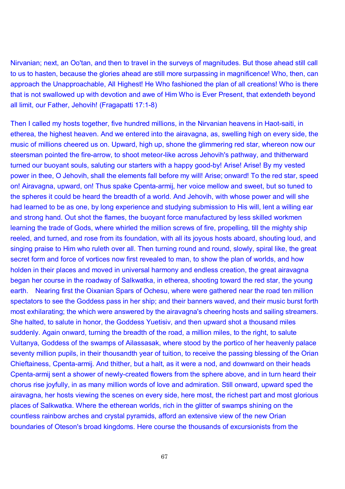Nirvanian; next, an Oo'tan, and then to travel in the surveys of magnitudes. But those ahead still call to us to hasten, because the glories ahead are still more surpassing in magnificence! Who, then, can approach the Unapproachable, All Highest! He Who fashioned the plan of all creations! Who is there that is not swallowed up with devotion and awe of Him Who is Ever Present, that extendeth beyond all limit, our Father, Jehovih! (Fragapatti 17:1-8)

Then I called my hosts together, five hundred millions, in the Nirvanian heavens in Haot-saiti, in etherea, the highest heaven. And we entered into the airavagna, as, swelling high on every side, the music of millions cheered us on. Upward, high up, shone the glimmering red star, whereon now our steersman pointed the fire-arrow, to shoot meteor-like across Jehovih's pathway, and thitherward turned our buoyant souls, saluting our starters with a happy good-by! Arise! Arise! By my vested power in thee, O Jehovih, shall the elements fall before my will! Arise; onward! To the red star, speed on! Airavagna, upward, on! Thus spake Cpenta-armij, her voice mellow and sweet, but so tuned to the spheres it could be heard the breadth of a world. And Jehovih, with whose power and will she had learned to be as one, by long experience and studying submission to His will, lent a willing ear and strong hand. Out shot the flames, the buoyant force manufactured by less skilled workmen learning the trade of Gods, where whirled the million screws of fire, propelling, till the mighty ship reeled, and turned, and rose from its foundation, with all its joyous hosts aboard, shouting loud, and singing praise to Him who ruleth over all. Then turning round and round, slowly, spiral like, the great secret form and force of vortices now first revealed to man, to show the plan of worlds, and how holden in their places and moved in universal harmony and endless creation, the great airavagna began her course in the roadway of Salkwatka, in etherea, shooting toward the red star, the young earth. Nearing first the Oixanian Spars of Ochesu, where were gathered near the road ten million spectators to see the Goddess pass in her ship; and their banners waved, and their music burst forth most exhilarating; the which were answered by the airavagna's cheering hosts and sailing streamers. She halted, to salute in honor, the Goddess Yuetisiv, and then upward shot a thousand miles suddenly. Again onward, turning the breadth of the road, a million miles, to the right, to salute Vultanya, Goddess of the swamps of Ailassasak, where stood by the portico of her heavenly palace seventy million pupils, in their thousandth year of tuition, to receive the passing blessing of the Orian Chieftainess, Cpenta-armij. And thither, but a halt, as it were a nod, and downward on their heads Cpenta-armij sent a shower of newly-created flowers from the sphere above, and in turn heard their chorus rise joyfully, in as many million words of love and admiration. Still onward, upward sped the airavagna, her hosts viewing the scenes on every side, here most, the richest part and most glorious places of Salkwatka. Where the etherean worlds, rich in the glitter of swamps shining on the countless rainbow arches and crystal pyramids, afford an extensive view of the new Orian boundaries of Oteson's broad kingdoms. Here course the thousands of excursionists from the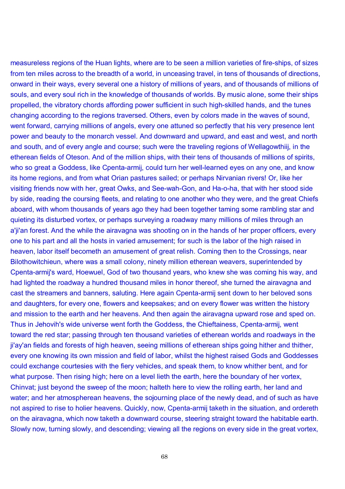measureless regions of the Huan lights, where are to be seen a million varieties of fire-ships, of sizes from ten miles across to the breadth of a world, in unceasing travel, in tens of thousands of directions, onward in their ways, every several one a history of millions of years, and of thousands of millions of souls, and every soul rich in the knowledge of thousands of worlds. By music alone, some their ships propelled, the vibratory chords affording power sufficient in such high-skilled hands, and the tunes changing according to the regions traversed. Others, even by colors made in the waves of sound, went forward, carrying millions of angels, every one attuned so perfectly that his very presence lent power and beauty to the monarch vessel. And downward and upward, and east and west, and north and south, and of every angle and course; such were the traveling regions of Wellagowthiij, in the etherean fields of Oteson. And of the million ships, with their tens of thousands of millions of spirits, who so great a Goddess, like Cpenta-armij, could turn her well-learned eyes on any one, and know its home regions, and from what Orian pastures sailed; or perhaps Nirvanian rivers! Or, like her visiting friends now with her, great Owks, and See-wah-Gon, and Ha-o-ha, that with her stood side by side, reading the coursing fleets, and relating to one another who they were, and the great Chiefs aboard, with whom thousands of years ago they had been together taming some rambling star and quieting its disturbed vortex, or perhaps surveying a roadway many millions of miles through an a'ji'an forest. And the while the airavagna was shooting on in the hands of her proper officers, every one to his part and all the hosts in varied amusement; for such is the labor of the high raised in heaven, labor itself becometh an amusement of great relish. Coming then to the Crossings, near Bilothowitchieun, where was a small colony, ninety million etherean weavers, superintended by Cpenta-armij's ward, Hoewuel, God of two thousand years, who knew she was coming his way, and had lighted the roadway a hundred thousand miles in honor thereof, she turned the airavagna and cast the streamers and banners, saluting. Here again Cpenta-armij sent down to her beloved sons and daughters, for every one, flowers and keepsakes; and on every flower was written the history and mission to the earth and her heavens. And then again the airavagna upward rose and sped on. Thus in Jehovih's wide universe went forth the Goddess, the Chieftainess, Cpenta-armij, went toward the red star; passing through ten thousand varieties of etherean worlds and roadways in the ji'ay'an fields and forests of high heaven, seeing millions of etherean ships going hither and thither, every one knowing its own mission and field of labor, whilst the highest raised Gods and Goddesses could exchange courtesies with the fiery vehicles, and speak them, to know whither bent, and for what purpose. Then rising high; here on a level lieth the earth, here the boundary of her vortex, Chinvat; just beyond the sweep of the moon; halteth here to view the rolling earth, her land and water; and her atmospherean heavens, the sojourning place of the newly dead, and of such as have not aspired to rise to holier heavens. Quickly, now, Cpenta-armij taketh in the situation, and ordereth on the airavagna, which now taketh a downward course, steering straight toward the habitable earth. Slowly now, turning slowly, and descending; viewing all the regions on every side in the great vortex,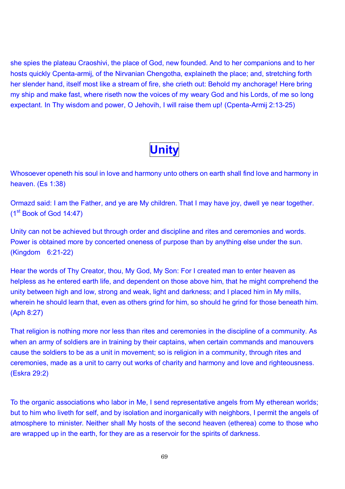she spies the plateau Craoshivi, the place of God, new founded. And to her companions and to her hosts quickly Cpenta-armij, of the Nirvanian Chengotha, explaineth the place; and, stretching forth her slender hand, itself most like a stream of fire, she crieth out: Behold my anchorage! Here bring my ship and make fast, where riseth now the voices of my weary God and his Lords, of me so long expectant. In Thy wisdom and power, O Jehovih, I will raise them up! (Cpenta-Armij 2:13-25)



Whosoever openeth his soul in love and harmony unto others on earth shall find love and harmony in heaven. (Es 1:38)

Ormazd said: I am the Father, and ye are My children. That I may have joy, dwell ye near together. (1st Book of God 14:47)

Unity can not be achieved but through order and discipline and rites and ceremonies and words. Power is obtained more by concerted oneness of purpose than by anything else under the sun. (Kingdom 6:21-22)

Hear the words of Thy Creator, thou, My God, My Son: For I created man to enter heaven as helpless as he entered earth life, and dependent on those above him, that he might comprehend the unity between high and low, strong and weak, light and darkness; and I placed him in My mills, wherein he should learn that, even as others grind for him, so should he grind for those beneath him. (Aph 8:27)

That religion is nothing more nor less than rites and ceremonies in the discipline of a community. As when an army of soldiers are in training by their captains, when certain commands and manouvers cause the soldiers to be as a unit in movement; so is religion in a community, through rites and ceremonies, made as a unit to carry out works of charity and harmony and love and righteousness. (Eskra 29:2)

To the organic associations who labor in Me, I send representative angels from My etherean worlds; but to him who liveth for self, and by isolation and inorganically with neighbors, I permit the angels of atmosphere to minister. Neither shall My hosts of the second heaven (etherea) come to those who are wrapped up in the earth, for they are as a reservoir for the spirits of darkness.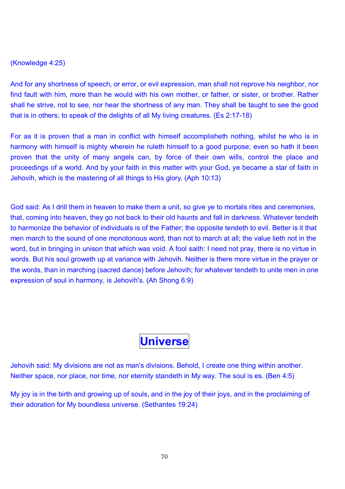#### (Knowledge 4:25)

And for any shortness of speech, or error, or evil expression, man shall not reprove his neighbor, nor find fault with him, more than he would with his own mother, or father, or sister, or brother. Rather shall he strive, not to see, nor hear the shortness of any man. They shall be taught to see the good that is in others; to speak of the delights of all My living creatures. (Es 2:17-18)

For as it is proven that a man in conflict with himself accomplisheth nothing, whilst he who is in harmony with himself is mighty wherein he ruleth himself to a good purpose; even so hath it been proven that the unity of many angels can, by force of their own wills, control the place and proceedings of a world. And by your faith in this matter with your God, ye became a star of faith in Jehovih, which is the mastering of all things to His glory. (Aph 10:13)

God said: As I drill them in heaven to make them a unit, so give ye to mortals rites and ceremonies, that, coming into heaven, they go not back to their old haunts and fall in darkness. Whatever tendeth to harmonize the behavior of individuals is of the Father; the opposite tendeth to evil. Better is it that men march to the sound of one monotonous word, than not to march at all; the value lieth not in the word, but in bringing in unison that which was void. A fool saith: I need not pray, there is no virtue in words. But his soul groweth up at variance with Jehovih. Neither is there more virtue in the prayer or the words, than in marching (sacred dance) before Jehovih; for whatever tendeth to unite men in one expression of soul in harmony, is Jehovih's. (Ah Shong 6:9)

## **Universe**

Jehovih said: My divisions are not as man's divisions. Behold, I create one thing within another. Neither space, nor place, nor time, nor eternity standeth in My way. The soul is es. (Ben 4:5)

My joy is in the birth and growing up of souls, and in the joy of their joys, and in the proclaiming of their adoration for My boundless universe. (Sethantes 19:24)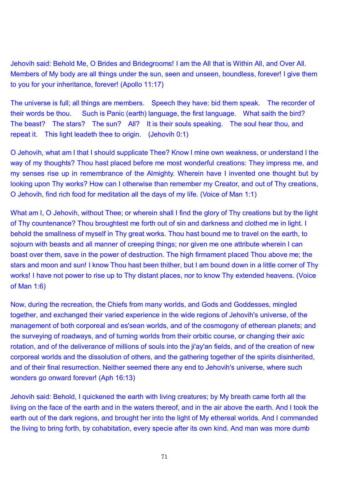Jehovih said: Behold Me, O Brides and Bridegrooms! I am the All that is Within All, and Over All. Members of My body are all things under the sun, seen and unseen, boundless, forever! I give them to you for your inheritance, forever! (Apollo 11:17)

The universe is full; all things are members. Speech they have: bid them speak. The recorder of their words be thou. Such is Panic (earth) language, the first language. What saith the bird? The beast? The stars? The sun? All? It is their souls speaking. The soul hear thou, and repeat it. This light leadeth thee to origin. (Jehovih 0:1)

O Jehovih, what am I that I should supplicate Thee? Know I mine own weakness, or understand I the way of my thoughts? Thou hast placed before me most wonderful creations: They impress me, and my senses rise up in remembrance of the Almighty. Wherein have I invented one thought but by looking upon Thy works? How can I otherwise than remember my Creator, and out of Thy creations, O Jehovih, find rich food for meditation all the days of my life. (Voice of Man 1:1)

What am I, O Jehovih, without Thee; or wherein shall I find the glory of Thy creations but by the light of Thy countenance? Thou broughtest me forth out of sin and darkness and clothed me in light. I behold the smallness of myself in Thy great works. Thou hast bound me to travel on the earth, to sojourn with beasts and all manner of creeping things; nor given me one attribute wherein I can boast over them, save in the power of destruction. The high firmament placed Thou above me; the stars and moon and sun! I know Thou hast been thither, but I am bound down in a little corner of Thy works! I have not power to rise up to Thy distant places, nor to know Thy extended heavens. (Voice of Man 1:6)

Now, during the recreation, the Chiefs from many worlds, and Gods and Goddesses, mingled together, and exchanged their varied experience in the wide regions of Jehovih's universe, of the management of both corporeal and es'sean worlds, and of the cosmogony of etherean planets; and the surveying of roadways, and of turning worlds from their orbitic course, or changing their axic rotation, and of the deliverance of millions of souls into the ji'ay'an fields, and of the creation of new corporeal worlds and the dissolution of others, and the gathering together of the spirits disinherited, and of their final resurrection. Neither seemed there any end to Jehovih's universe, where such wonders go onward forever! (Aph 16:13)

Jehovih said: Behold, I quickened the earth with living creatures; by My breath came forth all the living on the face of the earth and in the waters thereof, and in the air above the earth. And I took the earth out of the dark regions, and brought her into the light of My ethereal worlds. And I commanded the living to bring forth, by cohabitation, every specie after its own kind. And man was more dumb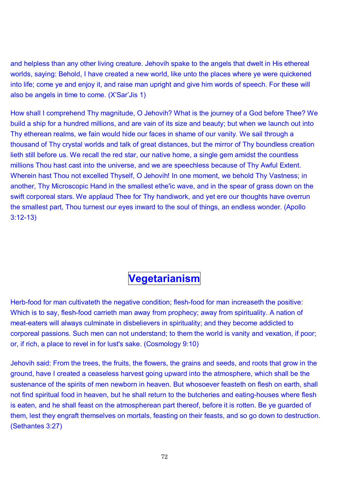and helpless than any other living creature. Jehovih spake to the angels that dwelt in His ethereal worlds, saying: Behold, I have created a new world, like unto the places where ye were quickened into life; come ye and enjoy it, and raise man upright and give him words of speech. For these will also be angels in time to come. (X'Sar'Jis 1)

How shall I comprehend Thy magnitude, O Jehovih? What is the journey of a God before Thee? We build a ship for a hundred millions, and are vain of its size and beauty; but when we launch out into Thy etherean realms, we fain would hide our faces in shame of our vanity. We sail through a thousand of Thy crystal worlds and talk of great distances, but the mirror of Thy boundless creation lieth still before us. We recall the red star, our native home, a single gem amidst the countless millions Thou hast cast into the universe, and we are speechless because of Thy Awful Extent. Wherein hast Thou not excelled Thyself, O Jehovih! In one moment, we behold Thy Vastness; in another, Thy Microscopic Hand in the smallest ethe'ic wave, and in the spear of grass down on the swift corporeal stars. We applaud Thee for Thy handiwork, and yet ere our thoughts have overrun the smallest part, Thou turnest our eyes inward to the soul of things, an endless wonder. (Apollo 3:12-13)

#### **Vegetarianism**

Herb-food for man cultivateth the negative condition; flesh-food for man increaseth the positive: Which is to say, flesh-food carrieth man away from prophecy; away from spirituality. A nation of meat-eaters will always culminate in disbelievers in spirituality; and they become addicted to corporeal passions. Such men can not understand; to them the world is vanity and vexation, if poor; or, if rich, a place to revel in for lust's sake. (Cosmology 9:10)

Jehovih said: From the trees, the fruits, the flowers, the grains and seeds, and roots that grow in the ground, have I created a ceaseless harvest going upward into the atmosphere, which shall be the sustenance of the spirits of men newborn in heaven. But whosoever feasteth on flesh on earth, shall not find spiritual food in heaven, but he shall return to the butcheries and eating-houses where flesh is eaten, and he shall feast on the atmospherean part thereof, before it is rotten. Be ye guarded of them, lest they engraft themselves on mortals, feasting on their feasts, and so go down to destruction. (Sethantes 3:27)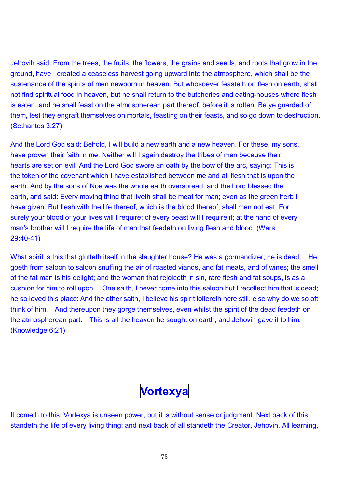Jehovih said: From the trees, the fruits, the flowers, the grains and seeds, and roots that grow in the ground, have I created a ceaseless harvest going upward into the atmosphere, which shall be the sustenance of the spirits of men newborn in heaven. But whosoever feasteth on flesh on earth, shall not find spiritual food in heaven, but he shall return to the butcheries and eating-houses where flesh is eaten, and he shall feast on the atmospherean part thereof, before it is rotten. Be ye guarded of them, lest they engraft themselves on mortals, feasting on their feasts, and so go down to destruction. (Sethantes 3:27)

And the Lord God said: Behold, I will build a new earth and a new heaven. For these, my sons, have proven their faith in me. Neither will I again destroy the tribes of men because their hearts are set on evil. And the Lord God swore an oath by the bow of the arc, saying: This is the token of the covenant which I have established between me and all flesh that is upon the earth. And by the sons of Noe was the whole earth overspread, and the Lord blessed the earth, and said: Every moving thing that liveth shall be meat for man; even as the green herb I have given. But flesh with the life thereof, which is the blood thereof, shall men not eat. For surely your blood of your lives will I require; of every beast will I require it; at the hand of every man's brother will I require the life of man that feedeth on living flesh and blood. (Wars 29:40-41)

What spirit is this that glutteth itself in the slaughter house? He was a gormandizer; he is dead. He goeth from saloon to saloon snuffing the air of roasted viands, and fat meats, and of wines; the smell of the fat man is his delight; and the woman that rejoiceth in sin, rare flesh and fat soups, is as a cushion for him to roll upon. One saith, I never come into this saloon but I recollect him that is dead; he so loved this place: And the other saith, I believe his spirit loitereth here still, else why do we so oft think of him. And thereupon they gorge themselves, even whilst the spirit of the dead feedeth on the atmospherean part. This is all the heaven he sought on earth, and Jehovih gave it to him. (Knowledge 6:21)



It cometh to this: Vortexya is unseen power, but it is without sense or judgment. Next back of this standeth the life of every living thing; and next back of all standeth the Creator, Jehovih. All learning,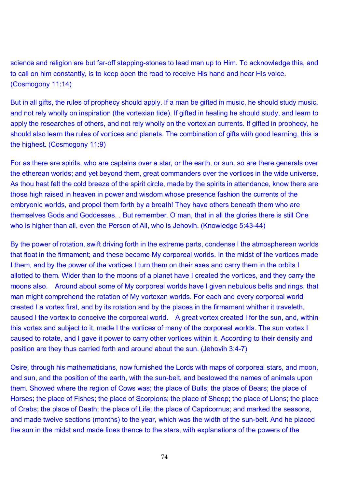science and religion are but far-off stepping-stones to lead man up to Him. To acknowledge this, and to call on him constantly, is to keep open the road to receive His hand and hear His voice. (Cosmogony 11:14)

But in all gifts, the rules of prophecy should apply. If a man be gifted in music, he should study music, and not rely wholly on inspiration (the vortexian tide). If gifted in healing he should study, and learn to apply the researches of others, and not rely wholly on the vortexian currents. If gifted in prophecy, he should also learn the rules of vortices and planets. The combination of gifts with good learning, this is the highest. (Cosmogony 11:9)

For as there are spirits, who are captains over a star, or the earth, or sun, so are there generals over the etherean worlds; and yet beyond them, great commanders over the vortices in the wide universe. As thou hast felt the cold breeze of the spirit circle, made by the spirits in attendance, know there are those high raised in heaven in power and wisdom whose presence fashion the currents of the embryonic worlds, and propel them forth by a breath! They have others beneath them who are themselves Gods and Goddesses. . But remember, O man, that in all the glories there is still One who is higher than all, even the Person of All, who is Jehovih. (Knowledge 5:43-44)

By the power of rotation, swift driving forth in the extreme parts, condense I the atmospherean worlds that float in the firmament; and these become My corporeal worlds. In the midst of the vortices made I them, and by the power of the vortices I turn them on their axes and carry them in the orbits I allotted to them. Wider than to the moons of a planet have I created the vortices, and they carry the moons also. Around about some of My corporeal worlds have I given nebulous belts and rings, that man might comprehend the rotation of My vortexan worlds. For each and every corporeal world created I a vortex first, and by its rotation and by the places in the firmament whither it traveleth, caused I the vortex to conceive the corporeal world. A great vortex created I for the sun, and, within this vortex and subject to it, made I the vortices of many of the corporeal worlds. The sun vortex I caused to rotate, and I gave it power to carry other vortices within it. According to their density and position are they thus carried forth and around about the sun. (Jehovih 3:4-7)

Osire, through his mathematicians, now furnished the Lords with maps of corporeal stars, and moon, and sun, and the position of the earth, with the sun-belt, and bestowed the names of animals upon them. Showed where the region of Cows was; the place of Bulls; the place of Bears; the place of Horses; the place of Fishes; the place of Scorpions; the place of Sheep; the place of Lions; the place of Crabs; the place of Death; the place of Life; the place of Capricornus; and marked the seasons, and made twelve sections (months) to the year, which was the width of the sun-belt. And he placed the sun in the midst and made lines thence to the stars, with explanations of the powers of the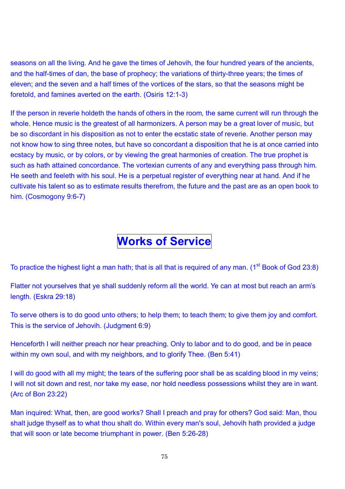seasons on all the living. And he gave the times of Jehovih, the four hundred years of the ancients, and the half-times of dan, the base of prophecy; the variations of thirty-three years; the times of eleven; and the seven and a half times of the vortices of the stars, so that the seasons might be foretold, and famines averted on the earth. (Osiris 12:1-3)

If the person in reverie holdeth the hands of others in the room, the same current will run through the whole. Hence music is the greatest of all harmonizers. A person may be a great lover of music, but be so discordant in his disposition as not to enter the ecstatic state of reverie. Another person may not know how to sing three notes, but have so concordant a disposition that he is at once carried into ecstacy by music, or by colors, or by viewing the great harmonies of creation. The true prophet is such as hath attained concordance. The vortexian currents of any and everything pass through him. He seeth and feeleth with his soul. He is a perpetual register of everything near at hand. And if he cultivate his talent so as to estimate results therefrom, the future and the past are as an open book to him. (Cosmogony 9:6-7)

# **Works of Service**

To practice the highest light a man hath; that is all that is required of any man. (1<sup>st</sup> Book of God 23:8)

Flatter not yourselves that ye shall suddenly reform all the world. Ye can at most but reach an arm's length. (Eskra 29:18)

To serve others is to do good unto others; to help them; to teach them; to give them joy and comfort. This is the service of Jehovih. (Judgment 6:9)

Henceforth I will neither preach nor hear preaching. Only to labor and to do good, and be in peace within my own soul, and with my neighbors, and to glorify Thee. (Ben 5:41)

I will do good with all my might; the tears of the suffering poor shall be as scalding blood in my veins; I will not sit down and rest, nor take my ease, nor hold needless possessions whilst they are in want. (Arc of Bon 23:22)

Man inquired: What, then, are good works? Shall I preach and pray for others? God said: Man, thou shalt judge thyself as to what thou shalt do. Within every man's soul, Jehovih hath provided a judge that will soon or late become triumphant in power. (Ben 5:26-28)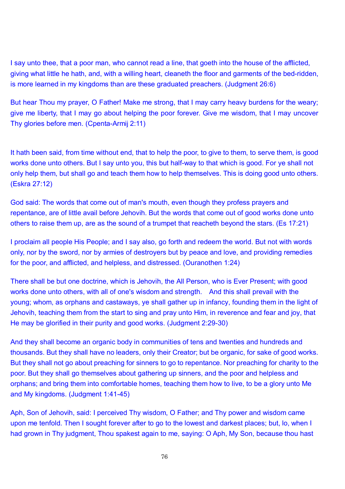I say unto thee, that a poor man, who cannot read a line, that goeth into the house of the afflicted. giving what little he hath, and, with a willing heart, cleaneth the floor and garments of the bed-ridden, is more learned in my kingdoms than are these graduated preachers. (Judgment 26:6)

But hear Thou my prayer, O Father! Make me strong, that I may carry heavy burdens for the weary; give me liberty, that I may go about helping the poor forever. Give me wisdom, that I may uncover Thy glories before men. (Cpenta-Armij 2:11)

It hath been said, from time without end, that to help the poor, to give to them, to serve them, is good works done unto others. But I say unto you, this but half-way to that which is good. For ye shall not only help them, but shall go and teach them how to help themselves. This is doing good unto others. (Eskra 27:12)

God said: The words that come out of man's mouth, even though they profess prayers and repentance, are of little avail before Jehovih. But the words that come out of good works done unto others to raise them up, are as the sound of a trumpet that reacheth beyond the stars. (Es 17:21)

I proclaim all people His People; and I say also, go forth and redeem the world. But not with words only, nor by the sword, nor by armies of destroyers but by peace and love, and providing remedies for the poor, and afflicted, and helpless, and distressed. (Ouranothen 1:24)

There shall be but one doctrine, which is Jehovih, the All Person, who is Ever Present; with good works done unto others, with all of one's wisdom and strength. And this shall prevail with the young; whom, as orphans and castaways, ye shall gather up in infancy, founding them in the light of Jehovih, teaching them from the start to sing and pray unto Him, in reverence and fear and joy, that He may be glorified in their purity and good works. (Judgment 2:29-30)

And they shall become an organic body in communities of tens and twenties and hundreds and thousands. But they shall have no leaders, only their Creator; but be organic, for sake of good works. But they shall not go about preaching for sinners to go to repentance. Nor preaching for charity to the poor. But they shall go themselves about gathering up sinners, and the poor and helpless and orphans; and bring them into comfortable homes, teaching them how to live, to be a glory unto Me and My kingdoms. (Judgment 1:41-45)

Aph, Son of Jehovih, said: I perceived Thy wisdom, O Father; and Thy power and wisdom came upon me tenfold. Then I sought forever after to go to the lowest and darkest places; but, lo, when I had grown in Thy judgment, Thou spakest again to me, saying: O Aph, My Son, because thou hast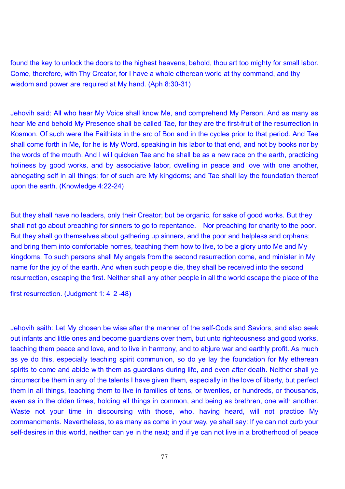found the key to unlock the doors to the highest heavens, behold, thou art too mighty for small labor. Come, therefore, with Thy Creator, for I have a whole etherean world at thy command, and thy wisdom and power are required at My hand. (Aph 8:30-31)

Jehovih said: All who hear My Voice shall know Me, and comprehend My Person. And as many as hear Me and behold My Presence shall be called Tae, for they are the first-fruit of the resurrection in Kosmon. Of such were the Faithists in the arc of Bon and in the cycles prior to that period. And Tae shall come forth in Me, for he is My Word, speaking in his labor to that end, and not by books nor by the words of the mouth. And I will quicken Tae and he shall be as a new race on the earth, practicing holiness by good works, and by associative labor, dwelling in peace and love with one another, abnegating self in all things; for of such are My kingdoms; and Tae shall lay the foundation thereof upon the earth. (Knowledge 4:22-24)

But they shall have no leaders, only their Creator; but be organic, for sake of good works. But they shall not go about preaching for sinners to go to repentance. Nor preaching for charity to the poor. But they shall go themselves about gathering up sinners, and the poor and helpless and orphans; and bring them into comfortable homes, teaching them how to live, to be a glory unto Me and My kingdoms. To such persons shall My angels from the second resurrection come, and minister in My name for the joy of the earth. And when such people die, they shall be received into the second resurrection, escaping the first. Neither shall any other people in all the world escape the place of the

first resurrection. (Judgment 1: 4 2-48)

Jehovih saith: Let My chosen be wise after the manner of the self-Gods and Saviors, and also seek out infants and little ones and become guardians over them, but unto righteousness and good works, teaching them peace and love, and to live in harmony, and to abjure war and earthly profit. As much as ye do this, especially teaching spirit communion, so do ye lay the foundation for My etherean spirits to come and abide with them as guardians during life, and even after death. Neither shall ye circumscribe them in any of the talents I have given them, especially in the love of liberty, but perfect them in all things, teaching them to live in families of tens, or twenties, or hundreds, or thousands, even as in the olden times, holding all things in common, and being as brethren, one with another. Waste not your time in discoursing with those, who, having heard, will not practice My commandments. Nevertheless, to as many as come in your way, ye shall say: If ye can not curb your self-desires in this world, neither can ye in the next; and if ye can not live in a brotherhood of peace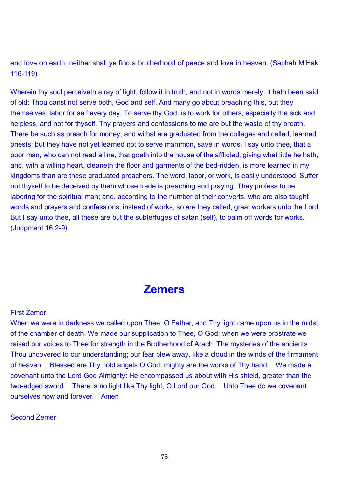and love on earth, neither shall ye find a brotherhood of peace and love in heaven. (Saphah M'Hak 116-119)

Wherein thy soul perceiveth a ray of light, follow it in truth, and not in words merely. It hath been said of old: Thou canst not serve both, God and self. And many go about preaching this, but they themselves, labor for self every day. To serve thy God, is to work for others, especially the sick and helpless, and not for thyself. Thy prayers and confessions to me are but the waste of thy breath. There be such as preach for money, and withal are graduated from the colleges and called, learned priests; but they have not yet learned not to serve mammon, save in words. I say unto thee, that a poor man, who can not read a line, that goeth into the house of the afflicted, giving what little he hath, and, with a willing heart, cleaneth the floor and garments of the bed-ridden, is more learned in my kingdoms than are these graduated preachers. The word, labor, or work, is easily understood. Suffer not thyself to be deceived by them whose trade is preaching and praying. They profess to be laboring for the spiritual man; and, according to the number of their converts, who are also taught words and prayers and confessions, instead of works, so are they called, great workers unto the Lord. But I say unto thee, all these are but the subterfuges of satan (self), to palm off words for works. (Judgment 16:2-9)



#### First Zemer

When we were in darkness we called upon Thee, O Father, and Thy light came upon us in the midst of the chamber of death. We made our supplication to Thee, O God; when we were prostrate we raised our voices to Thee for strength in the Brotherhood of Arach. The mysteries of the ancients Thou uncovered to our understanding; our fear blew away, like a cloud in the winds of the firmament of heaven. Blessed are Thy hold angels O God; mighty are the works of Thy hand. We made a covenant unto the Lord God Almighty; He encompassed us about with His shield, greater than the two-edged sword. There is no light like Thy light, O Lord our God. Unto Thee do we covenant ourselves now and forever. Amen

# Second Zemer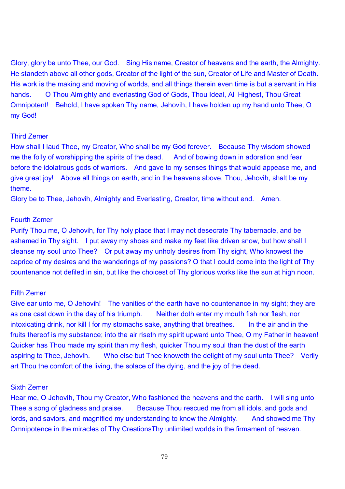Glory, glory be unto Thee, our God. Sing His name, Creator of heavens and the earth, the Almighty. He standeth above all other gods, Creator of the light of the sun, Creator of Life and Master of Death. His work is the making and moving of worlds, and all things therein even time is but a servant in His hands. O Thou Almighty and everlasting God of Gods, Thou Ideal, All Highest, Thou Great Omnipotent! Behold, I have spoken Thy name, Jehovih, I have holden up my hand unto Thee, O my God!

### Third Zemer

How shall I laud Thee, my Creator, Who shall be my God forever. Because Thy wisdom showed me the folly of worshipping the spirits of the dead. And of bowing down in adoration and fear before the idolatrous gods of warriors. And gave to my senses things that would appease me, and give great joy! Above all things on earth, and in the heavens above, Thou, Jehovih, shalt be my theme.

Glory be to Thee, Jehovih, Almighty and Everlasting, Creator, time without end. Amen.

# Fourth Zemer

Purify Thou me, O Jehovih, for Thy holy place that I may not desecrate Thy tabernacle, and be ashamed in Thy sight. I put away my shoes and make my feet like driven snow, but how shall I cleanse my soul unto Thee? Or put away my unholy desires from Thy sight, Who knowest the caprice of my desires and the wanderings of my passions? O that I could come into the light of Thy countenance not defiled in sin, but like the choicest of Thy glorious works like the sun at high noon.

# Fifth Zemer

Give ear unto me, O Jehovih! The vanities of the earth have no countenance in my sight; they are as one cast down in the day of his triumph. Neither doth enter my mouth fish nor flesh, nor intoxicating drink, nor kill I for my stomachs sake, anything that breathes. In the air and in the fruits thereof is my substance; into the air riseth my spirit upward unto Thee, O my Father in heaven! Quicker has Thou made my spirit than my flesh, quicker Thou my soul than the dust of the earth aspiring to Thee, Jehovih. Who else but Thee knoweth the delight of my soul unto Thee? Verily art Thou the comfort of the living, the solace of the dying, and the joy of the dead.

#### Sixth Zemer

Hear me, O Jehovih, Thou my Creator, Who fashioned the heavens and the earth. I will sing unto Thee a song of gladness and praise. Because Thou rescued me from all idols, and gods and lords, and saviors, and magnified my understanding to know the Almighty. And showed me Thy Omnipotence in the miracles of Thy CreationsThy unlimited worlds in the firmament of heaven.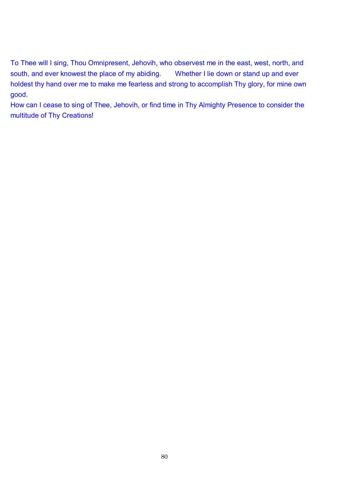To Thee will I sing, Thou Omnipresent, Jehovih, who observest me in the east, west, north, and south, and ever knowest the place of my abiding. Whether I lie down or stand up and ever holdest thy hand over me to make me fearless and strong to accomplish Thy glory, for mine own good.

How can I cease to sing of Thee, Jehovih, or find time in Thy Almighty Presence to consider the multitude of Thy Creations!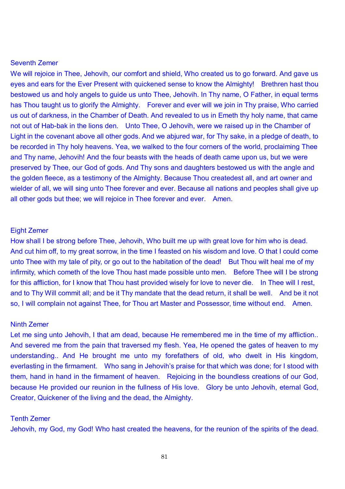## Seventh Zemer

We will rejoice in Thee, Jehovih, our comfort and shield. Who created us to go forward. And gave us eyes and ears for the Ever Present with quickened sense to know the Almighty! Brethren hast thou bestowed us and holy angels to guide us unto Thee, Jehovih. In Thy name, O Father, in equal terms has Thou taught us to glorify the Almighty. Forever and ever will we join in Thy praise, Who carried us out of darkness, in the Chamber of Death. And revealed to us in Emeth thy holy name, that came not out of Hab-bak in the lions den. Unto Thee, O Jehovih, were we raised up in the Chamber of Light in the covenant above all other gods. And we abjured war, for Thy sake, in a pledge of death, to be recorded in Thy holy heavens. Yea, we walked to the four corners of the world, proclaiming Thee and Thy name, Jehovih! And the four beasts with the heads of death came upon us, but we were preserved by Thee, our God of gods. And Thy sons and daughters bestowed us with the angle and the golden fleece, as a testimony of the Almighty. Because Thou createdest all, and art owner and wielder of all, we will sing unto Thee forever and ever. Because all nations and peoples shall give up all other gods but thee; we will rejoice in Thee forever and ever. Amen.

#### Eight Zemer

How shall I be strong before Thee, Jehovih, Who built me up with great love for him who is dead. And cut him off, to my great sorrow, in the time I feasted on his wisdom and love. O that I could come unto Thee with my tale of pity, or go out to the habitation of the dead! But Thou wilt heal me of my infirmity, which cometh of the love Thou hast made possible unto men. Before Thee will I be strong for this affliction, for I know that Thou hast provided wisely for love to never die. In Thee will I rest, and to Thy Will commit all; and be it Thy mandate that the dead return, it shall be well. And be it not so, I will complain not against Thee, for Thou art Master and Possessor, time without end. Amen.

#### Ninth Zemer

Let me sing unto Jehovih, I that am dead, because He remembered me in the time of my affliction.. And severed me from the pain that traversed my flesh. Yea, He opened the gates of heaven to my understanding.. And He brought me unto my forefathers of old, who dwelt in His kingdom, everlasting in the firmament. Who sang in Jehovih's praise for that which was done; for I stood with them, hand in hand in the firmament of heaven. Rejoicing in the boundless creations of our God, because He provided our reunion in the fullness of His love. Glory be unto Jehovih, eternal God, Creator, Quickener of the living and the dead, the Almighty.

#### Tenth Zemer

Jehovih, my God, my God! Who hast created the heavens, for the reunion of the spirits of the dead.